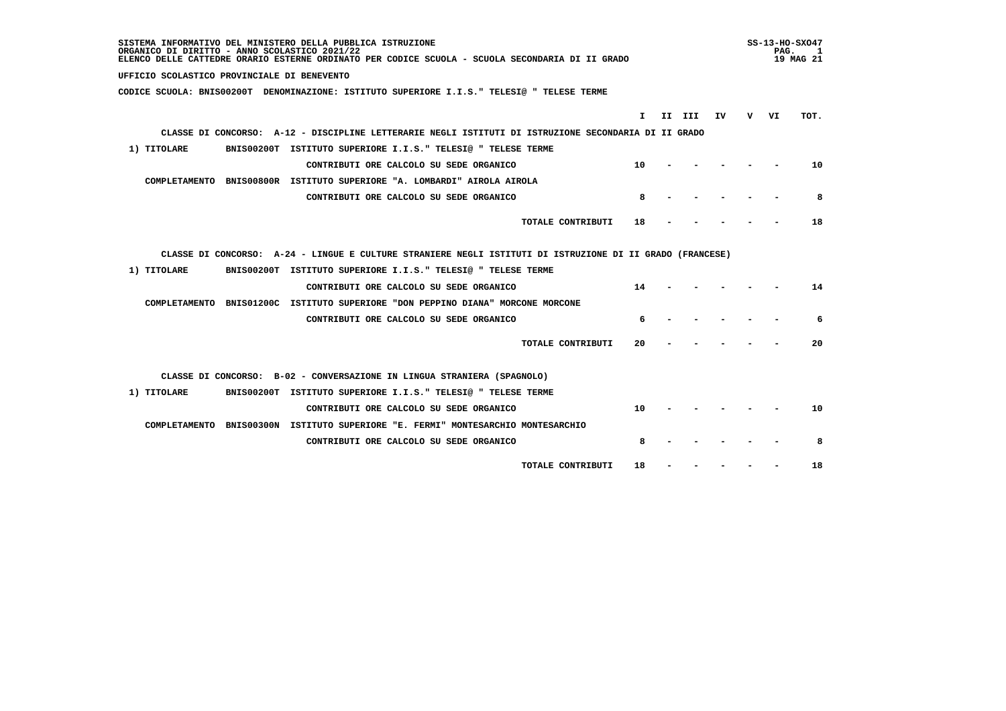| SISTEMA INFORMATIVO DEL MINISTERO DELLA PUBBLICA ISTRUZIONE<br>ORGANICO DI DIRITTO - ANNO SCOLASTICO 2021/22<br>ELENCO DELLE CATTEDRE ORARIO ESTERNE ORDINATO PER CODICE SCUOLA - SCUOLA SECONDARIA DI II GRADO |    |        |    |     | PAG. | $SS-13-HO-SXO47$<br>1<br>19 MAG 21 |
|-----------------------------------------------------------------------------------------------------------------------------------------------------------------------------------------------------------------|----|--------|----|-----|------|------------------------------------|
| UFFICIO SCOLASTICO PROVINCIALE DI BENEVENTO                                                                                                                                                                     |    |        |    |     |      |                                    |
| CODICE SCUOLA: BNIS00200T DENOMINAZIONE: ISTITUTO SUPERIORE I.I.S." TELESI@ " TELESE TERME                                                                                                                      |    |        |    |     |      |                                    |
|                                                                                                                                                                                                                 | I. | II III | IV | v — | VI   | TOT.                               |
| CLASSE DI CONCORSO: A-12 - DISCIPLINE LETTERARIE NEGLI ISTITUTI DI ISTRUZIONE SECONDARIA DI II GRADO                                                                                                            |    |        |    |     |      |                                    |
| BNIS00200T ISTITUTO SUPERIORE I.I.S." TELESI@ " TELESE TERME<br>1) TITOLARE                                                                                                                                     |    |        |    |     |      |                                    |
|                                                                                                                                                                                                                 |    |        |    |     |      |                                    |
| CONTRIBUTI ORE CALCOLO SU SEDE ORGANICO                                                                                                                                                                         | 10 |        |    |     |      | 10                                 |
| COMPLETAMENTO BNIS00800R ISTITUTO SUPERIORE "A. LOMBARDI" AIROLA AIROLA                                                                                                                                         |    |        |    |     |      |                                    |
| CONTRIBUTI ORE CALCOLO SU SEDE ORGANICO                                                                                                                                                                         | 8  |        |    |     |      | 8                                  |
| TOTALE CONTRIBUTI                                                                                                                                                                                               | 18 |        |    |     |      | 18                                 |
|                                                                                                                                                                                                                 |    |        |    |     |      |                                    |
| CLASSE DI CONCORSO: A-24 - LINGUE E CULTURE STRANIERE NEGLI ISTITUTI DI ISTRUZIONE DI II GRADO (FRANCESE)                                                                                                       |    |        |    |     |      |                                    |
| BNIS00200T ISTITUTO SUPERIORE I.I.S." TELESI@ " TELESE TERME<br>1) TITOLARE                                                                                                                                     |    |        |    |     |      |                                    |
| CONTRIBUTI ORE CALCOLO SU SEDE ORGANICO                                                                                                                                                                         | 14 |        |    |     |      | 14                                 |
| COMPLETAMENTO BNIS01200C ISTITUTO SUPERIORE "DON PEPPINO DIANA" MORCONE MORCONE                                                                                                                                 |    |        |    |     |      |                                    |
| CONTRIBUTI ORE CALCOLO SU SEDE ORGANICO                                                                                                                                                                         | 6  |        |    |     |      | 6                                  |
| TOTALE CONTRIBUTI                                                                                                                                                                                               | 20 |        |    |     |      | 20                                 |
| CLASSE DI CONCORSO: B-02 - CONVERSAZIONE IN LINGUA STRANIERA (SPAGNOLO)                                                                                                                                         |    |        |    |     |      |                                    |
| BNIS00200T ISTITUTO SUPERIORE I.I.S." TELESI@ " TELESE TERME<br>1) TITOLARE                                                                                                                                     |    |        |    |     |      |                                    |
| CONTRIBUTI ORE CALCOLO SU SEDE ORGANICO                                                                                                                                                                         | 10 |        |    |     |      | 10                                 |
| COMPLETAMENTO BNIS00300N ISTITUTO SUPERIORE "E. FERMI" MONTESARCHIO MONTESARCHIO                                                                                                                                |    |        |    |     |      |                                    |
| CONTRIBUTI ORE CALCOLO SU SEDE ORGANICO                                                                                                                                                                         | 8  |        |    |     |      | 8                                  |
|                                                                                                                                                                                                                 |    |        |    |     |      |                                    |
| TOTALE CONTRIBUTI                                                                                                                                                                                               | 18 |        |    |     |      | 18                                 |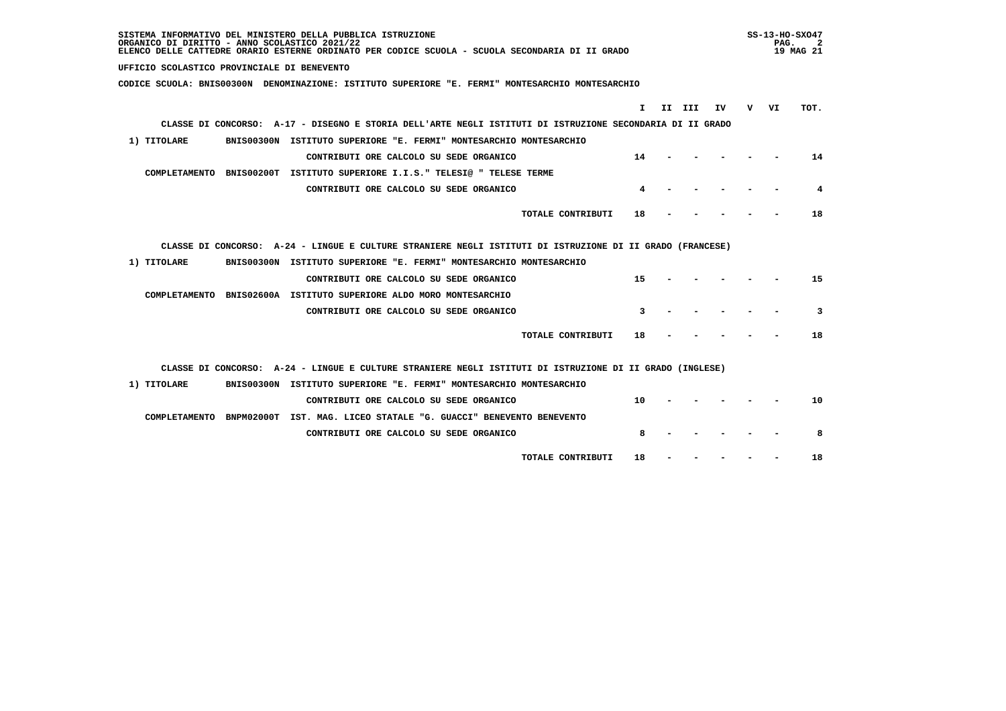| SISTEMA INFORMATIVO DEL MINISTERO DELLA PUBBLICA ISTRUZIONE<br>ORGANICO DI DIRITTO - ANNO SCOLASTICO 2021/22<br>ELENCO DELLE CATTEDRE ORARIO ESTERNE ORDINATO PER CODICE SCUOLA - SCUOLA SECONDARIA DI II GRADO |     | SS-13-HO-SXO47<br>PAG. | 19 MAG 21 |
|-----------------------------------------------------------------------------------------------------------------------------------------------------------------------------------------------------------------|-----|------------------------|-----------|
| UFFICIO SCOLASTICO PROVINCIALE DI BENEVENTO                                                                                                                                                                     |     |                        |           |
| CODICE SCUOLA: BNIS00300N DENOMINAZIONE: ISTITUTO SUPERIORE "E. FERMI" MONTESARCHIO MONTESARCHIO                                                                                                                |     |                        |           |
| II III<br>IV<br>I.                                                                                                                                                                                              | v — | VI                     | TOT.      |
| CLASSE DI CONCORSO: A-17 - DISEGNO E STORIA DELL'ARTE NEGLI ISTITUTI DI ISTRUZIONE SECONDARIA DI II GRADO                                                                                                       |     |                        |           |
| BNIS00300N ISTITUTO SUPERIORE "E. FERMI" MONTESARCHIO MONTESARCHIO                                                                                                                                              |     |                        |           |
| 1) TITOLARE                                                                                                                                                                                                     |     |                        |           |
| CONTRIBUTI ORE CALCOLO SU SEDE ORGANICO<br>14                                                                                                                                                                   |     |                        | 14        |
| COMPLETAMENTO BNIS00200T ISTITUTO SUPERIORE I.I.S." TELESI@ " TELESE TERME                                                                                                                                      |     |                        |           |
| CONTRIBUTI ORE CALCOLO SU SEDE ORGANICO<br>4                                                                                                                                                                    |     |                        | 4         |
| TOTALE CONTRIBUTI<br>18                                                                                                                                                                                         |     |                        | 18        |
|                                                                                                                                                                                                                 |     |                        |           |
| CLASSE DI CONCORSO: A-24 - LINGUE E CULTURE STRANIERE NEGLI ISTITUTI DI ISTRUZIONE DI II GRADO (FRANCESE)                                                                                                       |     |                        |           |
| 1) TITOLARE<br>BNIS00300N ISTITUTO SUPERIORE "E. FERMI" MONTESARCHIO MONTESARCHIO                                                                                                                               |     |                        |           |
| 15<br>CONTRIBUTI ORE CALCOLO SU SEDE ORGANICO                                                                                                                                                                   |     |                        | 15        |
| COMPLETAMENTO BNIS02600A ISTITUTO SUPERIORE ALDO MORO MONTESARCHIO                                                                                                                                              |     |                        |           |
| 3<br>CONTRIBUTI ORE CALCOLO SU SEDE ORGANICO                                                                                                                                                                    |     |                        | 3         |
| TOTALE CONTRIBUTI<br>18                                                                                                                                                                                         |     |                        | 18        |
|                                                                                                                                                                                                                 |     |                        |           |
| CLASSE DI CONCORSO: A-24 - LINGUE E CULTURE STRANIERE NEGLI ISTITUTI DI ISTRUZIONE DI II GRADO (INGLESE)                                                                                                        |     |                        |           |
| 1) TITOLARE<br>BNIS00300N ISTITUTO SUPERIORE "E. FERMI" MONTESARCHIO MONTESARCHIO                                                                                                                               |     |                        |           |
| 10<br>CONTRIBUTI ORE CALCOLO SU SEDE ORGANICO                                                                                                                                                                   |     |                        | 10        |
| COMPLETAMENTO BNPM02000T IST. MAG. LICEO STATALE "G. GUACCI" BENEVENTO BENEVENTO                                                                                                                                |     |                        |           |
| 8<br>CONTRIBUTI ORE CALCOLO SU SEDE ORGANICO                                                                                                                                                                    |     |                        | 8         |
| TOTALE CONTRIBUTI<br>18                                                                                                                                                                                         |     |                        | 18        |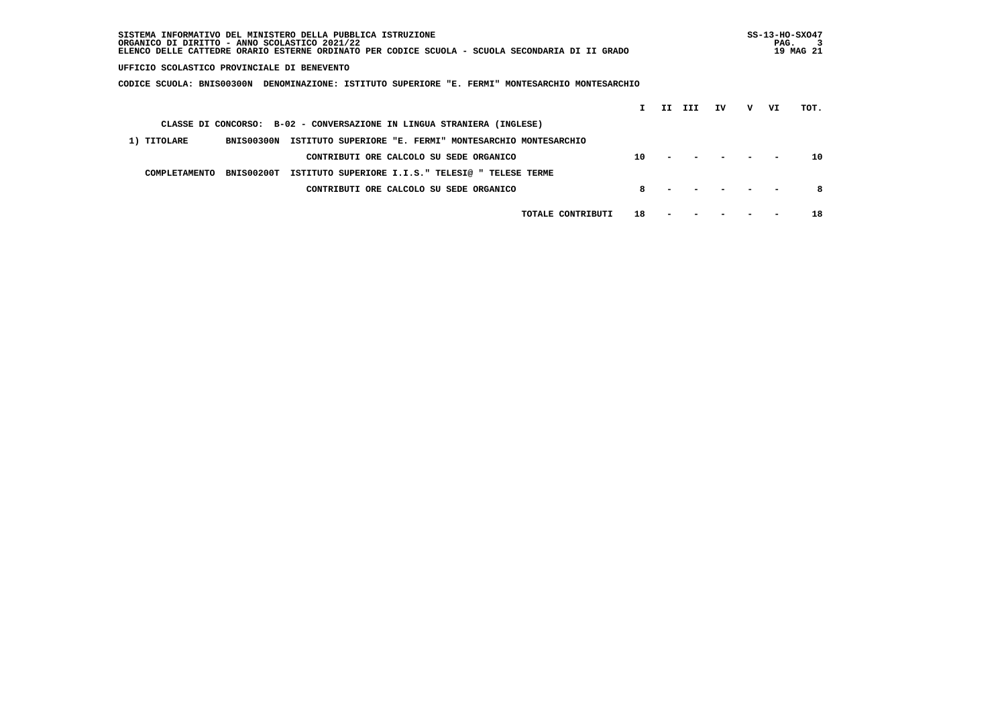| SISTEMA INFORMATIVO DEL MINISTERO DELLA PUBBLICA ISTRUZIONE<br>ORGANICO DI DIRITTO - ANNO SCOLASTICO 2021/22<br>ELENCO DELLE CATTEDRE ORARIO ESTERNE ORDINATO PER CODICE SCUOLA - SCUOLA SECONDARIA DI II GRADO |    |    |     |    |   | PAG. | $SS-13-HO-SXO47$<br>19 MAG 21 |
|-----------------------------------------------------------------------------------------------------------------------------------------------------------------------------------------------------------------|----|----|-----|----|---|------|-------------------------------|
| UFFICIO SCOLASTICO PROVINCIALE DI BENEVENTO                                                                                                                                                                     |    |    |     |    |   |      |                               |
| DENOMINAZIONE: ISTITUTO SUPERIORE "E. FERMI" MONTESARCHIO MONTESARCHIO<br>CODICE SCUOLA: BNIS00300N                                                                                                             |    |    |     |    |   |      |                               |
|                                                                                                                                                                                                                 |    | II | III | TV | v | VI   | TOT.                          |
| CLASSE DI CONCORSO: B-02 - CONVERSAZIONE IN LINGUA STRANIERA (INGLESE)                                                                                                                                          |    |    |     |    |   |      |                               |
| 1) TITOLARE<br>BNIS00300N<br>ISTITUTO SUPERIORE "E. FERMI" MONTESARCHIO MONTESARCHIO                                                                                                                            |    |    |     |    |   |      |                               |
| CONTRIBUTI ORE CALCOLO SU SEDE ORGANICO                                                                                                                                                                         | 10 |    |     |    |   |      | 10                            |
| BNIS00200T<br>ISTITUTO SUPERIORE I.I.S." TELESI@ " TELESE TERME<br>COMPLETAMENTO                                                                                                                                |    |    |     |    |   |      |                               |
| CONTRIBUTI ORE CALCOLO SU SEDE ORGANICO                                                                                                                                                                         | 8  |    |     |    |   |      | 8                             |
| TOTALE CONTRIBUTI                                                                                                                                                                                               | 18 |    |     |    |   |      | 18                            |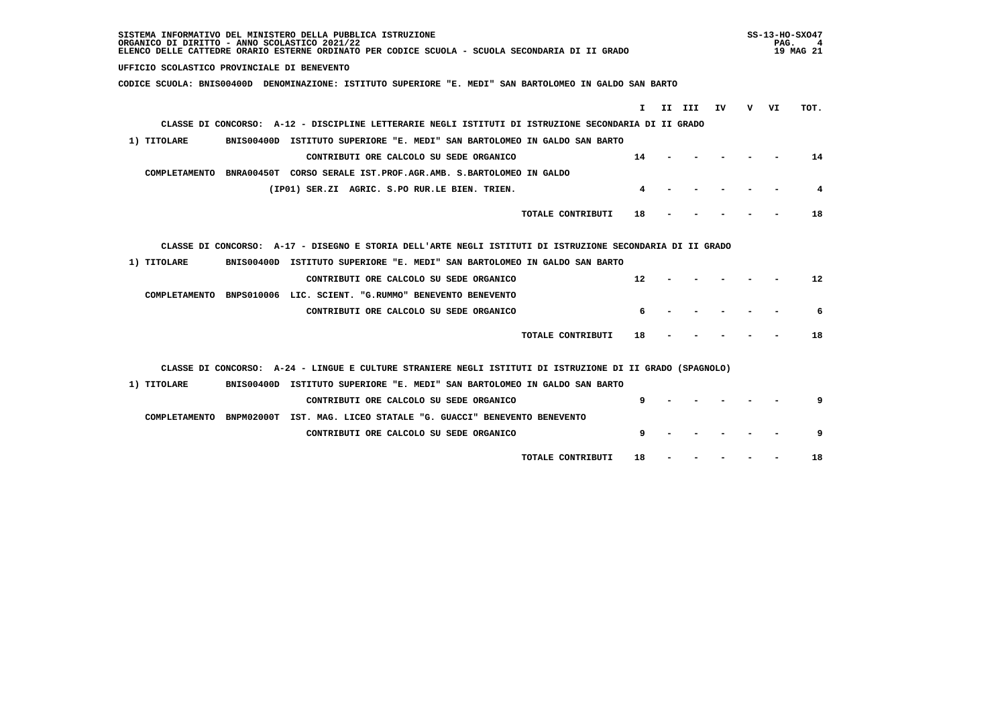| SISTEMA INFORMATIVO DEL MINISTERO DELLA PUBBLICA ISTRUZIONE<br>ORGANICO DI DIRITTO - ANNO SCOLASTICO 2021/22<br>ELENCO DELLE CATTEDRE ORARIO ESTERNE ORDINATO PER CODICE SCUOLA - SCUOLA SECONDARIA DI II GRADO |   | $SS-13-HO-SXO47$<br>PAG.<br>19 MAG 21 |      |
|-----------------------------------------------------------------------------------------------------------------------------------------------------------------------------------------------------------------|---|---------------------------------------|------|
| UFFICIO SCOLASTICO PROVINCIALE DI BENEVENTO                                                                                                                                                                     |   |                                       |      |
| CODICE SCUOLA: BNIS00400D DENOMINAZIONE: ISTITUTO SUPERIORE "E. MEDI" SAN BARTOLOMEO IN GALDO SAN BARTO                                                                                                         |   |                                       |      |
| II III<br>I.<br>ΙV                                                                                                                                                                                              | v | VI                                    | TOT. |
| CLASSE DI CONCORSO: A-12 - DISCIPLINE LETTERARIE NEGLI ISTITUTI DI ISTRUZIONE SECONDARIA DI II GRADO                                                                                                            |   |                                       |      |
| 1) TITOLARE<br>BNIS00400D ISTITUTO SUPERIORE "E. MEDI" SAN BARTOLOMEO IN GALDO SAN BARTO                                                                                                                        |   |                                       |      |
| 14<br>CONTRIBUTI ORE CALCOLO SU SEDE ORGANICO                                                                                                                                                                   |   |                                       | 14   |
| COMPLETAMENTO BNRA00450T CORSO SERALE IST.PROF.AGR.AMB. S.BARTOLOMEO IN GALDO                                                                                                                                   |   |                                       |      |
| (IP01) SER.ZI AGRIC. S.PO RUR.LE BIEN. TRIEN.<br>4                                                                                                                                                              |   |                                       | 4    |
| TOTALE CONTRIBUTI<br>18                                                                                                                                                                                         |   |                                       | 18   |
|                                                                                                                                                                                                                 |   |                                       |      |
| CLASSE DI CONCORSO: A-17 - DISEGNO E STORIA DELL'ARTE NEGLI ISTITUTI DI ISTRUZIONE SECONDARIA DI II GRADO                                                                                                       |   |                                       |      |
| 1) TITOLARE<br>BNIS00400D ISTITUTO SUPERIORE "E. MEDI" SAN BARTOLOMEO IN GALDO SAN BARTO                                                                                                                        |   |                                       |      |
| 12<br>CONTRIBUTI ORE CALCOLO SU SEDE ORGANICO                                                                                                                                                                   |   |                                       | 12   |
| COMPLETAMENTO BNPS010006 LIC. SCIENT. "G.RUMMO" BENEVENTO BENEVENTO                                                                                                                                             |   |                                       |      |
| 6<br>CONTRIBUTI ORE CALCOLO SU SEDE ORGANICO                                                                                                                                                                    |   |                                       | 6    |
| TOTALE CONTRIBUTI<br>18                                                                                                                                                                                         |   |                                       | 18   |
| CLASSE DI CONCORSO: A-24 - LINGUE E CULTURE STRANIERE NEGLI ISTITUTI DI ISTRUZIONE DI II GRADO (SPAGNOLO)                                                                                                       |   |                                       |      |
| BNIS00400D ISTITUTO SUPERIORE "E. MEDI" SAN BARTOLOMEO IN GALDO SAN BARTO<br>1) TITOLARE                                                                                                                        |   |                                       |      |
| CONTRIBUTI ORE CALCOLO SU SEDE ORGANICO<br>q                                                                                                                                                                    |   |                                       | 9    |
| COMPLETAMENTO BNPM02000T IST. MAG. LICEO STATALE "G. GUACCI" BENEVENTO BENEVENTO                                                                                                                                |   |                                       |      |
| 9<br>CONTRIBUTI ORE CALCOLO SU SEDE ORGANICO                                                                                                                                                                    |   |                                       | 9    |
| TOTALE CONTRIBUTI<br>18                                                                                                                                                                                         |   |                                       | 18   |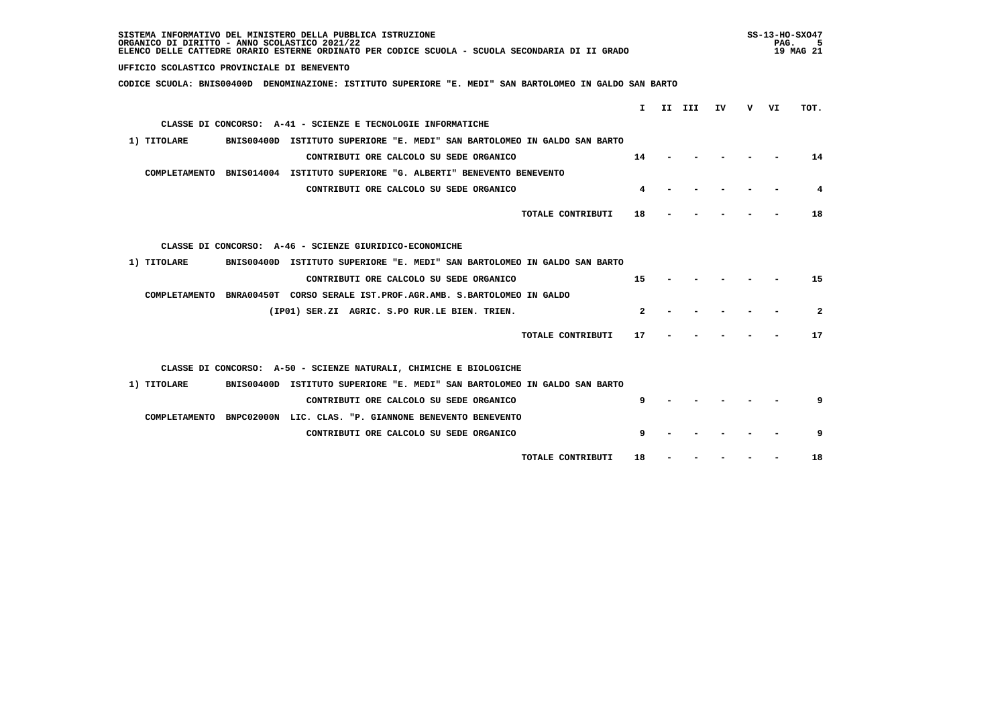| SISTEMA INFORMATIVO DEL MINISTERO DELLA PUBBLICA ISTRUZIONE<br>ORGANICO DI DIRITTO - ANNO SCOLASTICO 2021/22<br>ELENCO DELLE CATTEDRE ORARIO ESTERNE ORDINATO PER CODICE SCUOLA - SCUOLA SECONDARIA DI II GRADO |              |        |    |    | PAG. | $SS-13-HO-SXO47$<br>5<br>19 MAG 21 |
|-----------------------------------------------------------------------------------------------------------------------------------------------------------------------------------------------------------------|--------------|--------|----|----|------|------------------------------------|
| UFFICIO SCOLASTICO PROVINCIALE DI BENEVENTO                                                                                                                                                                     |              |        |    |    |      |                                    |
| CODICE SCUOLA: BNIS00400D DENOMINAZIONE: ISTITUTO SUPERIORE "E. MEDI" SAN BARTOLOMEO IN GALDO SAN BARTO                                                                                                         |              |        |    |    |      |                                    |
|                                                                                                                                                                                                                 | T.           |        |    |    |      |                                    |
|                                                                                                                                                                                                                 |              | II III | IV | v. | VI   | TOT.                               |
| CLASSE DI CONCORSO: A-41 - SCIENZE E TECNOLOGIE INFORMATICHE                                                                                                                                                    |              |        |    |    |      |                                    |
| 1) TITOLARE<br>BNIS00400D ISTITUTO SUPERIORE "E. MEDI" SAN BARTOLOMEO IN GALDO SAN BARTO                                                                                                                        |              |        |    |    |      |                                    |
| CONTRIBUTI ORE CALCOLO SU SEDE ORGANICO                                                                                                                                                                         | 14           |        |    |    |      | 14                                 |
| COMPLETAMENTO BNIS014004 ISTITUTO SUPERIORE "G. ALBERTI" BENEVENTO BENEVENTO                                                                                                                                    |              |        |    |    |      |                                    |
| CONTRIBUTI ORE CALCOLO SU SEDE ORGANICO                                                                                                                                                                         | 4            |        |    |    |      | 4                                  |
| TOTALE CONTRIBUTI                                                                                                                                                                                               | 18           |        |    |    |      | 18                                 |
| CLASSE DI CONCORSO: A-46 - SCIENZE GIURIDICO-ECONOMICHE                                                                                                                                                         |              |        |    |    |      |                                    |
| 1) TITOLARE<br>BNIS00400D ISTITUTO SUPERIORE "E. MEDI" SAN BARTOLOMEO IN GALDO SAN BARTO                                                                                                                        |              |        |    |    |      |                                    |
| CONTRIBUTI ORE CALCOLO SU SEDE ORGANICO                                                                                                                                                                         | 15           |        |    |    |      | 15                                 |
| COMPLETAMENTO BNRA00450T CORSO SERALE IST.PROF.AGR.AMB. S.BARTOLOMEO IN GALDO                                                                                                                                   |              |        |    |    |      |                                    |
| (IP01) SER.ZI AGRIC. S.PO RUR.LE BIEN. TRIEN.                                                                                                                                                                   | $\mathbf{z}$ |        |    |    |      | $\mathbf{2}$                       |
| TOTALE CONTRIBUTI                                                                                                                                                                                               | 17           |        |    |    |      | 17                                 |
| CLASSE DI CONCORSO: A-50 - SCIENZE NATURALI, CHIMICHE E BIOLOGICHE                                                                                                                                              |              |        |    |    |      |                                    |
| 1) TITOLARE<br>BNIS00400D ISTITUTO SUPERIORE "E. MEDI" SAN BARTOLOMEO IN GALDO SAN BARTO                                                                                                                        |              |        |    |    |      |                                    |
| CONTRIBUTI ORE CALCOLO SU SEDE ORGANICO                                                                                                                                                                         | q            |        |    |    |      | 9                                  |
| COMPLETAMENTO BNPC02000N LIC. CLAS. "P. GIANNONE BENEVENTO BENEVENTO                                                                                                                                            |              |        |    |    |      |                                    |
| CONTRIBUTI ORE CALCOLO SU SEDE ORGANICO                                                                                                                                                                         | 9            |        |    |    |      | 9                                  |
|                                                                                                                                                                                                                 |              |        |    |    |      |                                    |
| TOTALE CONTRIBUTI                                                                                                                                                                                               | 18           |        |    |    |      | 18                                 |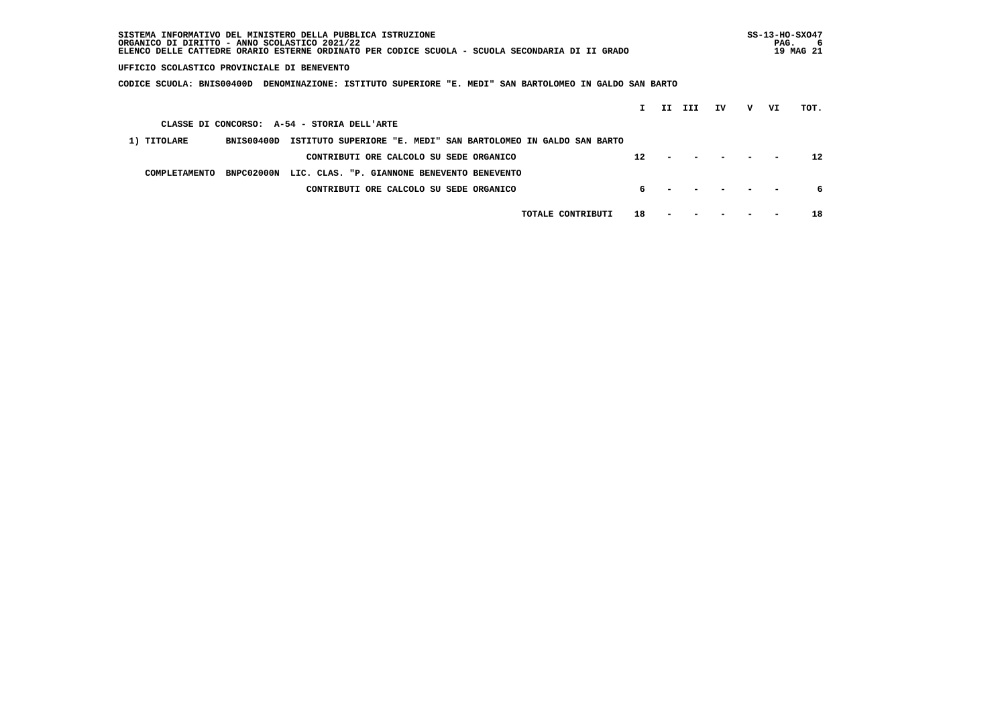| SISTEMA INFORMATIVO DEL MINISTERO DELLA PUBBLICA ISTRUZIONE<br>ORGANICO DI DIRITTO - ANNO SCOLASTICO 2021/22<br>ELENCO DELLE CATTEDRE ORARIO ESTERNE ORDINATO PER CODICE SCUOLA - SCUOLA SECONDARIA DI II GRADO |   | $SS-13-HO-SXO47$<br>PAG. | 6<br>19 MAG 21 |
|-----------------------------------------------------------------------------------------------------------------------------------------------------------------------------------------------------------------|---|--------------------------|----------------|
| UFFICIO SCOLASTICO PROVINCIALE DI BENEVENTO                                                                                                                                                                     |   |                          |                |
| CODICE SCUOLA: BNIS00400D<br>DENOMINAZIONE: ISTITUTO SUPERIORE "E. MEDI" SAN BARTOLOMEO IN GALDO SAN BARTO                                                                                                      |   |                          |                |
| II.<br>III<br>ΙV                                                                                                                                                                                                | v | VI                       | TOT.           |
| CLASSE DI CONCORSO: A-54 - STORIA DELL'ARTE                                                                                                                                                                     |   |                          |                |
| 1) TITOLARE<br>BNIS00400D<br>ISTITUTO SUPERIORE "E. MEDI" SAN BARTOLOMEO IN GALDO SAN BARTO                                                                                                                     |   |                          |                |
| 12<br>CONTRIBUTI ORE CALCOLO SU SEDE ORGANICO                                                                                                                                                                   |   |                          | 12             |
| BNPC02000N<br>LIC. CLAS. "P. GIANNONE BENEVENTO BENEVENTO<br>COMPLETAMENTO                                                                                                                                      |   |                          |                |
| CONTRIBUTI ORE CALCOLO SU SEDE ORGANICO<br>б.                                                                                                                                                                   |   |                          | 6              |
| 18<br>TOTALE CONTRIBUTI                                                                                                                                                                                         |   |                          | 18             |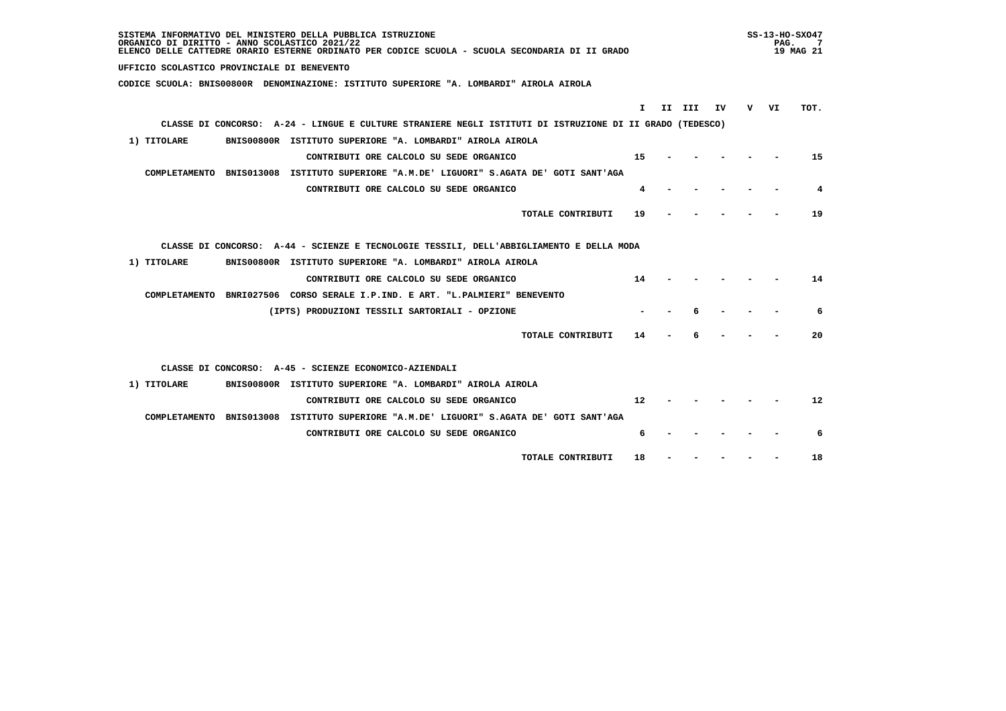| SISTEMA INFORMATIVO DEL MINISTERO DELLA PUBBLICA ISTRUZIONE<br>ORGANICO DI DIRITTO - ANNO SCOLASTICO 2021/22<br>ELENCO DELLE CATTEDRE ORARIO ESTERNE ORDINATO PER CODICE SCUOLA - SCUOLA SECONDARIA DI II GRADO |     | PAG. | SS-13-HO-SX047<br>7<br>19 MAG 21 |
|-----------------------------------------------------------------------------------------------------------------------------------------------------------------------------------------------------------------|-----|------|----------------------------------|
| UFFICIO SCOLASTICO PROVINCIALE DI BENEVENTO                                                                                                                                                                     |     |      |                                  |
| CODICE SCUOLA: BNIS00800R DENOMINAZIONE: ISTITUTO SUPERIORE "A. LOMBARDI" AIROLA AIROLA                                                                                                                         |     |      |                                  |
| I.<br>II III<br>IV.                                                                                                                                                                                             | v — | VI   | TOT.                             |
| CLASSE DI CONCORSO: A-24 - LINGUE E CULTURE STRANIERE NEGLI ISTITUTI DI ISTRUZIONE DI II GRADO (TEDESCO)                                                                                                        |     |      |                                  |
|                                                                                                                                                                                                                 |     |      |                                  |
| 1) TITOLARE<br>BNIS00800R ISTITUTO SUPERIORE "A. LOMBARDI" AIROLA AIROLA                                                                                                                                        |     |      |                                  |
| 15<br>CONTRIBUTI ORE CALCOLO SU SEDE ORGANICO                                                                                                                                                                   |     |      | 15                               |
| COMPLETAMENTO BNIS013008 ISTITUTO SUPERIORE "A.M.DE' LIGUORI" S.AGATA DE' GOTI SANT'AGA                                                                                                                         |     |      |                                  |
| CONTRIBUTI ORE CALCOLO SU SEDE ORGANICO<br>4                                                                                                                                                                    |     |      | 4                                |
| TOTALE CONTRIBUTI<br>19                                                                                                                                                                                         |     |      | 19                               |
| CLASSE DI CONCORSO: A-44 - SCIENZE E TECNOLOGIE TESSILI, DELL'ABBIGLIAMENTO E DELLA MODA                                                                                                                        |     |      |                                  |
| 1) TITOLARE<br>BNIS00800R ISTITUTO SUPERIORE "A. LOMBARDI" AIROLA AIROLA                                                                                                                                        |     |      |                                  |
| CONTRIBUTI ORE CALCOLO SU SEDE ORGANICO<br>14                                                                                                                                                                   |     |      | 14                               |
| COMPLETAMENTO BNRI027506 CORSO SERALE I.P.IND. E ART. "L.PALMIERI" BENEVENTO                                                                                                                                    |     |      |                                  |
| (IPTS) PRODUZIONI TESSILI SARTORIALI - OPZIONE                                                                                                                                                                  |     |      | 6                                |
| TOTALE CONTRIBUTI<br>14                                                                                                                                                                                         |     |      | 20                               |
| CLASSE DI CONCORSO: A-45 - SCIENZE ECONOMICO-AZIENDALI                                                                                                                                                          |     |      |                                  |
| 1) TITOLARE<br>BNIS00800R ISTITUTO SUPERIORE "A. LOMBARDI" AIROLA AIROLA                                                                                                                                        |     |      |                                  |
| $12 \overline{ }$<br>CONTRIBUTI ORE CALCOLO SU SEDE ORGANICO                                                                                                                                                    |     |      | 12                               |
| COMPLETAMENTO BNIS013008 ISTITUTO SUPERIORE "A.M.DE' LIGUORI" S.AGATA DE' GOTI SANT'AGA                                                                                                                         |     |      |                                  |
| CONTRIBUTI ORE CALCOLO SU SEDE ORGANICO<br>6                                                                                                                                                                    |     |      | 6                                |
| TOTALE CONTRIBUTI<br>18                                                                                                                                                                                         |     |      | 18                               |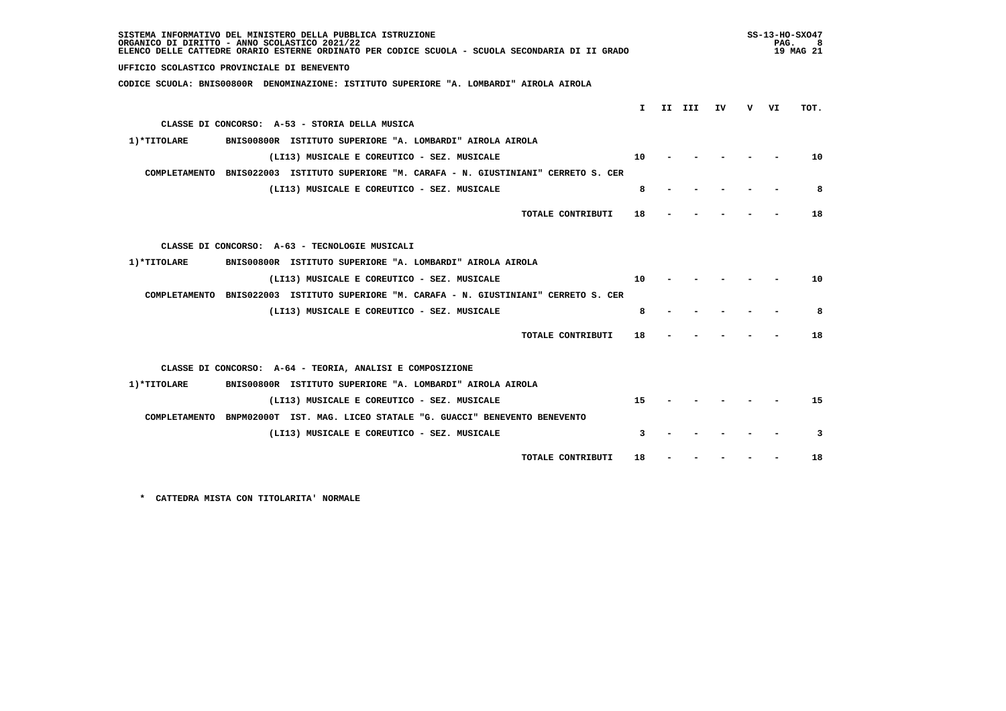| SISTEMA INFORMATIVO DEL MINISTERO DELLA PUBBLICA ISTRUZIONE<br>ORGANICO DI DIRITTO - ANNO SCOLASTICO 2021/22<br>ELENCO DELLE CATTEDRE ORARIO ESTERNE ORDINATO PER CODICE SCUOLA - SCUOLA SECONDARIA DI II GRADO |    |        |     |     | PAG. | $SS-13-HO-SXO47$<br>8<br>19 MAG 21 |
|-----------------------------------------------------------------------------------------------------------------------------------------------------------------------------------------------------------------|----|--------|-----|-----|------|------------------------------------|
| UFFICIO SCOLASTICO PROVINCIALE DI BENEVENTO                                                                                                                                                                     |    |        |     |     |      |                                    |
| CODICE SCUOLA: BNIS00800R DENOMINAZIONE: ISTITUTO SUPERIORE "A. LOMBARDI" AIROLA AIROLA                                                                                                                         |    |        |     |     |      |                                    |
|                                                                                                                                                                                                                 | I. | II III |     |     |      | TOT.                               |
| CLASSE DI CONCORSO: A-53 - STORIA DELLA MUSICA                                                                                                                                                                  |    |        | IV. | V – | VI   |                                    |
|                                                                                                                                                                                                                 |    |        |     |     |      |                                    |
| BNIS00800R ISTITUTO SUPERIORE "A. LOMBARDI" AIROLA AIROLA<br>1)*TITOLARE                                                                                                                                        |    |        |     |     |      |                                    |
| (LI13) MUSICALE E COREUTICO - SEZ. MUSICALE                                                                                                                                                                     | 10 |        |     |     |      | 10                                 |
| COMPLETAMENTO BNIS022003 ISTITUTO SUPERIORE "M. CARAFA - N. GIUSTINIANI" CERRETO S. CER                                                                                                                         |    |        |     |     |      |                                    |
| (LI13) MUSICALE E COREUTICO - SEZ. MUSICALE                                                                                                                                                                     | 8  |        |     |     |      | 8                                  |
| TOTALE CONTRIBUTI                                                                                                                                                                                               | 18 |        |     |     |      | 18                                 |
|                                                                                                                                                                                                                 |    |        |     |     |      |                                    |
| CLASSE DI CONCORSO: A-63 - TECNOLOGIE MUSICALI                                                                                                                                                                  |    |        |     |     |      |                                    |
| 1) *TITOLARE<br>BNIS00800R ISTITUTO SUPERIORE "A. LOMBARDI" AIROLA AIROLA                                                                                                                                       |    |        |     |     |      |                                    |
| (LI13) MUSICALE E COREUTICO - SEZ. MUSICALE                                                                                                                                                                     | 10 |        |     |     |      | 10                                 |
| COMPLETAMENTO BNIS022003 ISTITUTO SUPERIORE "M. CARAFA - N. GIUSTINIANI" CERRETO S. CER                                                                                                                         |    |        |     |     |      |                                    |
| (LI13) MUSICALE E COREUTICO - SEZ. MUSICALE                                                                                                                                                                     | 8  |        |     |     |      | 8                                  |
| TOTALE CONTRIBUTI                                                                                                                                                                                               | 18 |        |     |     |      | 18                                 |
|                                                                                                                                                                                                                 |    |        |     |     |      |                                    |
| CLASSE DI CONCORSO: A-64 - TEORIA, ANALISI E COMPOSIZIONE                                                                                                                                                       |    |        |     |     |      |                                    |
| BNIS00800R ISTITUTO SUPERIORE "A. LOMBARDI" AIROLA AIROLA<br>1)*TITOLARE                                                                                                                                        |    |        |     |     |      |                                    |
| (LI13) MUSICALE E COREUTICO - SEZ. MUSICALE                                                                                                                                                                     | 15 |        |     |     |      | 15                                 |
| COMPLETAMENTO BNPM02000T IST. MAG. LICEO STATALE "G. GUACCI" BENEVENTO BENEVENTO                                                                                                                                |    |        |     |     |      |                                    |
| (LI13) MUSICALE E COREUTICO - SEZ. MUSICALE                                                                                                                                                                     | 3  |        |     |     |      | 3                                  |
| TOTALE CONTRIBUTI                                                                                                                                                                                               | 18 |        |     |     |      | 18                                 |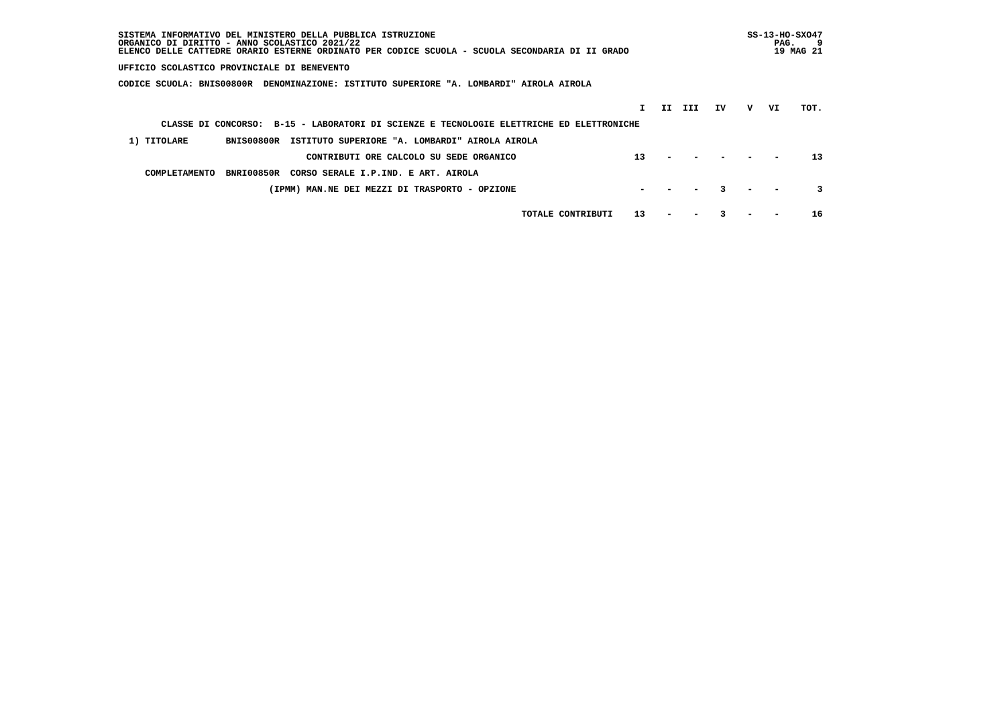| SISTEMA INFORMATIVO DEL MINISTERO DELLA PUBBLICA ISTRUZIONE<br>ORGANICO DI DIRITTO - ANNO SCOLASTICO 2021/22<br>ELENCO DELLE CATTEDRE ORARIO ESTERNE ORDINATO PER CODICE SCUOLA - SCUOLA SECONDARIA DI II GRADO |    |     |     |    |   | PAG. | $SS-13-HO-SXO47$<br>-9<br>19 MAG 21 |
|-----------------------------------------------------------------------------------------------------------------------------------------------------------------------------------------------------------------|----|-----|-----|----|---|------|-------------------------------------|
| UFFICIO SCOLASTICO PROVINCIALE DI BENEVENTO                                                                                                                                                                     |    |     |     |    |   |      |                                     |
| CODICE SCUOLA: BNIS00800R<br>DENOMINAZIONE: ISTITUTO SUPERIORE "A. LOMBARDI" AIROLA AIROLA                                                                                                                      |    |     |     |    |   |      |                                     |
|                                                                                                                                                                                                                 |    | II. | III | IV | v | VI   | TOT.                                |
| CLASSE DI CONCORSO: B-15 - LABORATORI DI SCIENZE E TECNOLOGIE ELETTRICHE ED ELETTRONICHE                                                                                                                        |    |     |     |    |   |      |                                     |
| 1) TITOLARE<br>BNIS00800R<br>ISTITUTO SUPERIORE "A. LOMBARDI" AIROLA AIROLA                                                                                                                                     |    |     |     |    |   |      |                                     |
| CONTRIBUTI ORE CALCOLO SU SEDE ORGANICO                                                                                                                                                                         | 13 |     |     |    |   |      | 13                                  |
| CORSO SERALE I.P.IND. E ART. AIROLA<br>BNRI00850R<br>COMPLETAMENTO                                                                                                                                              |    |     |     |    |   |      |                                     |
| (IPMM) MAN.NE DEI MEZZI DI TRASPORTO - OPZIONE                                                                                                                                                                  |    |     |     |    |   |      |                                     |
| TOTALE CONTRIBUTI                                                                                                                                                                                               | 13 |     |     |    |   |      | 16                                  |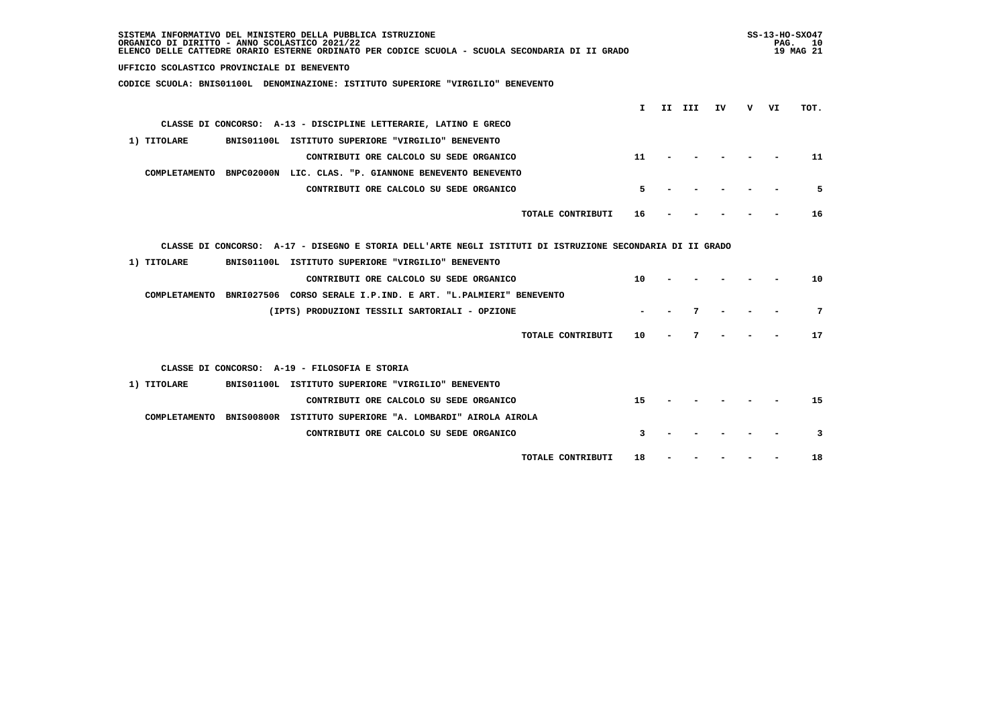| SISTEMA INFORMATIVO DEL MINISTERO DELLA PUBBLICA ISTRUZIONE<br>ORGANICO DI DIRITTO - ANNO SCOLASTICO 2021/22<br>ELENCO DELLE CATTEDRE ORARIO ESTERNE ORDINATO PER CODICE SCUOLA - SCUOLA SECONDARIA DI II GRADO |    |        |    |     |    | $SS-13-HO-SXO47$<br>PAG.<br><b>10</b><br>19 MAG 21 |
|-----------------------------------------------------------------------------------------------------------------------------------------------------------------------------------------------------------------|----|--------|----|-----|----|----------------------------------------------------|
| UFFICIO SCOLASTICO PROVINCIALE DI BENEVENTO                                                                                                                                                                     |    |        |    |     |    |                                                    |
| CODICE SCUOLA: BNIS01100L DENOMINAZIONE: ISTITUTO SUPERIORE "VIRGILIO" BENEVENTO                                                                                                                                |    |        |    |     |    |                                                    |
|                                                                                                                                                                                                                 | I. | II III | IV | v – | VI | TOT.                                               |
| CLASSE DI CONCORSO: A-13 - DISCIPLINE LETTERARIE, LATINO E GRECO                                                                                                                                                |    |        |    |     |    |                                                    |
| 1) TITOLARE<br>BNIS01100L ISTITUTO SUPERIORE "VIRGILIO" BENEVENTO                                                                                                                                               |    |        |    |     |    |                                                    |
| 11<br>CONTRIBUTI ORE CALCOLO SU SEDE ORGANICO                                                                                                                                                                   |    |        |    |     |    | 11                                                 |
|                                                                                                                                                                                                                 |    |        |    |     |    |                                                    |
| COMPLETAMENTO BNPC02000N LIC. CLAS. "P. GIANNONE BENEVENTO BENEVENTO                                                                                                                                            |    |        |    |     |    |                                                    |
| CONTRIBUTI ORE CALCOLO SU SEDE ORGANICO                                                                                                                                                                         | 5  |        |    |     |    | 5                                                  |
| TOTALE CONTRIBUTI<br>16                                                                                                                                                                                         |    |        |    |     |    | 16                                                 |
|                                                                                                                                                                                                                 |    |        |    |     |    |                                                    |
| CLASSE DI CONCORSO: A-17 - DISEGNO E STORIA DELL'ARTE NEGLI ISTITUTI DI ISTRUZIONE SECONDARIA DI II GRADO                                                                                                       |    |        |    |     |    |                                                    |
| BNIS01100L ISTITUTO SUPERIORE "VIRGILIO" BENEVENTO<br>1) TITOLARE                                                                                                                                               |    |        |    |     |    |                                                    |
| 10<br>CONTRIBUTI ORE CALCOLO SU SEDE ORGANICO                                                                                                                                                                   |    |        |    |     |    | 10                                                 |
| COMPLETAMENTO BNRI027506 CORSO SERALE I.P.IND. E ART. "L.PALMIERI" BENEVENTO                                                                                                                                    |    |        |    |     |    |                                                    |
| (IPTS) PRODUZIONI TESSILI SARTORIALI - OPZIONE                                                                                                                                                                  |    |        | 7  |     |    | 7                                                  |
|                                                                                                                                                                                                                 |    |        |    |     |    |                                                    |
| TOTALE CONTRIBUTI<br>10                                                                                                                                                                                         |    |        | 7  |     |    | 17                                                 |
| CLASSE DI CONCORSO: A-19 - FILOSOFIA E STORIA                                                                                                                                                                   |    |        |    |     |    |                                                    |
|                                                                                                                                                                                                                 |    |        |    |     |    |                                                    |
| 1) TITOLARE<br>BNIS01100L ISTITUTO SUPERIORE "VIRGILIO" BENEVENTO                                                                                                                                               |    |        |    |     |    |                                                    |
| CONTRIBUTI ORE CALCOLO SU SEDE ORGANICO<br>15                                                                                                                                                                   |    |        |    |     |    | 15                                                 |
| COMPLETAMENTO BNIS00800R ISTITUTO SUPERIORE "A. LOMBARDI" AIROLA AIROLA                                                                                                                                         |    |        |    |     |    |                                                    |
| CONTRIBUTI ORE CALCOLO SU SEDE ORGANICO                                                                                                                                                                         | 3  |        |    |     |    | 3                                                  |
| TOTALE CONTRIBUTI<br>18                                                                                                                                                                                         |    |        |    |     |    | 18                                                 |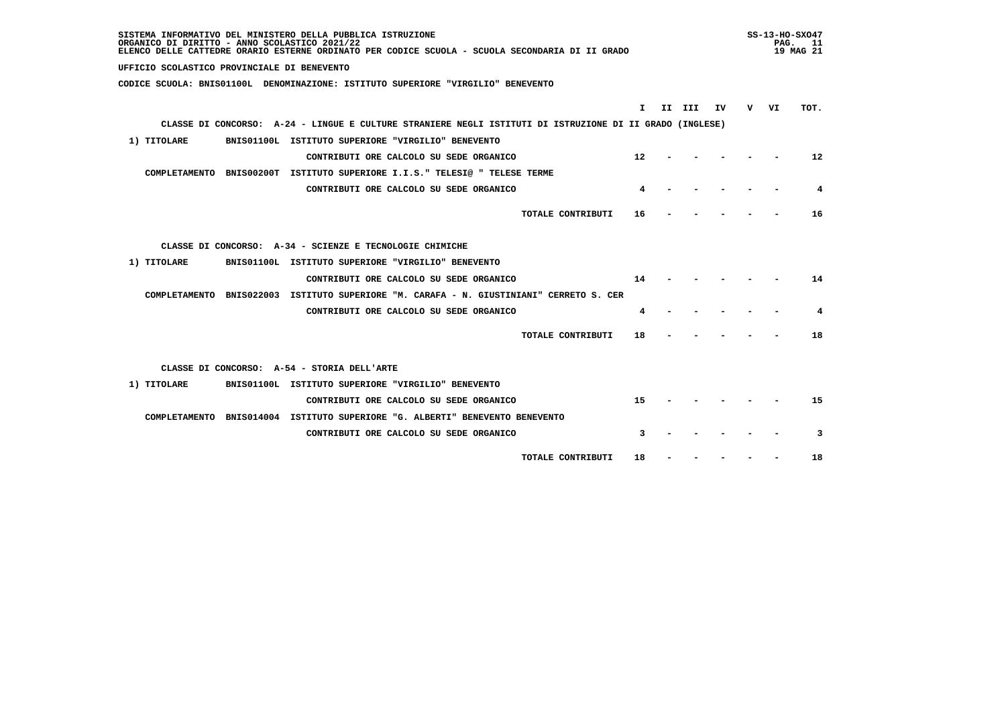| SISTEMA INFORMATIVO DEL MINISTERO DELLA PUBBLICA ISTRUZIONE<br>ORGANICO DI DIRITTO - ANNO SCOLASTICO 2021/22<br>ELENCO DELLE CATTEDRE ORARIO ESTERNE ORDINATO PER CODICE SCUOLA - SCUOLA SECONDARIA DI II GRADO |    | $SS-13-HO-SXO47$<br>PAG. | - 11<br>19 MAG 21 |
|-----------------------------------------------------------------------------------------------------------------------------------------------------------------------------------------------------------------|----|--------------------------|-------------------|
| UFFICIO SCOLASTICO PROVINCIALE DI BENEVENTO                                                                                                                                                                     |    |                          |                   |
| CODICE SCUOLA: BNIS01100L DENOMINAZIONE: ISTITUTO SUPERIORE "VIRGILIO" BENEVENTO                                                                                                                                |    |                          |                   |
| II III<br>IV<br>I.                                                                                                                                                                                              | v. | VI                       | TOT.              |
| CLASSE DI CONCORSO: A-24 - LINGUE E CULTURE STRANIERE NEGLI ISTITUTI DI ISTRUZIONE DI II GRADO (INGLESE)                                                                                                        |    |                          |                   |
|                                                                                                                                                                                                                 |    |                          |                   |
| 1) TITOLARE<br>BNIS01100L ISTITUTO SUPERIORE "VIRGILIO" BENEVENTO                                                                                                                                               |    |                          |                   |
| CONTRIBUTI ORE CALCOLO SU SEDE ORGANICO<br>$12 \overline{ }$                                                                                                                                                    |    |                          | 12                |
| COMPLETAMENTO BNIS00200T ISTITUTO SUPERIORE I.I.S." TELESI@ " TELESE TERME                                                                                                                                      |    |                          |                   |
| CONTRIBUTI ORE CALCOLO SU SEDE ORGANICO                                                                                                                                                                         |    |                          | 4                 |
| TOTALE CONTRIBUTI<br>16                                                                                                                                                                                         |    |                          | 16                |
| CLASSE DI CONCORSO: A-34 - SCIENZE E TECNOLOGIE CHIMICHE                                                                                                                                                        |    |                          |                   |
| BNIS01100L ISTITUTO SUPERIORE "VIRGILIO" BENEVENTO<br>1) TITOLARE                                                                                                                                               |    |                          |                   |
| CONTRIBUTI ORE CALCOLO SU SEDE ORGANICO<br>14                                                                                                                                                                   |    |                          | 14                |
| COMPLETAMENTO BNIS022003 ISTITUTO SUPERIORE "M. CARAFA - N. GIUSTINIANI" CERRETO S. CER                                                                                                                         |    |                          |                   |
| CONTRIBUTI ORE CALCOLO SU SEDE ORGANICO<br>4                                                                                                                                                                    |    |                          | 4                 |
| TOTALE CONTRIBUTI<br>18                                                                                                                                                                                         |    |                          | 18                |
| CLASSE DI CONCORSO: A-54 - STORIA DELL'ARTE                                                                                                                                                                     |    |                          |                   |
| BNIS01100L ISTITUTO SUPERIORE "VIRGILIO" BENEVENTO<br>1) TITOLARE                                                                                                                                               |    |                          |                   |
| 15<br>CONTRIBUTI ORE CALCOLO SU SEDE ORGANICO                                                                                                                                                                   |    |                          | 15                |
| COMPLETAMENTO BNIS014004 ISTITUTO SUPERIORE "G. ALBERTI" BENEVENTO BENEVENTO                                                                                                                                    |    |                          |                   |
| 3<br>CONTRIBUTI ORE CALCOLO SU SEDE ORGANICO                                                                                                                                                                    |    |                          | 3                 |
| TOTALE CONTRIBUTI<br>18                                                                                                                                                                                         |    |                          | 18                |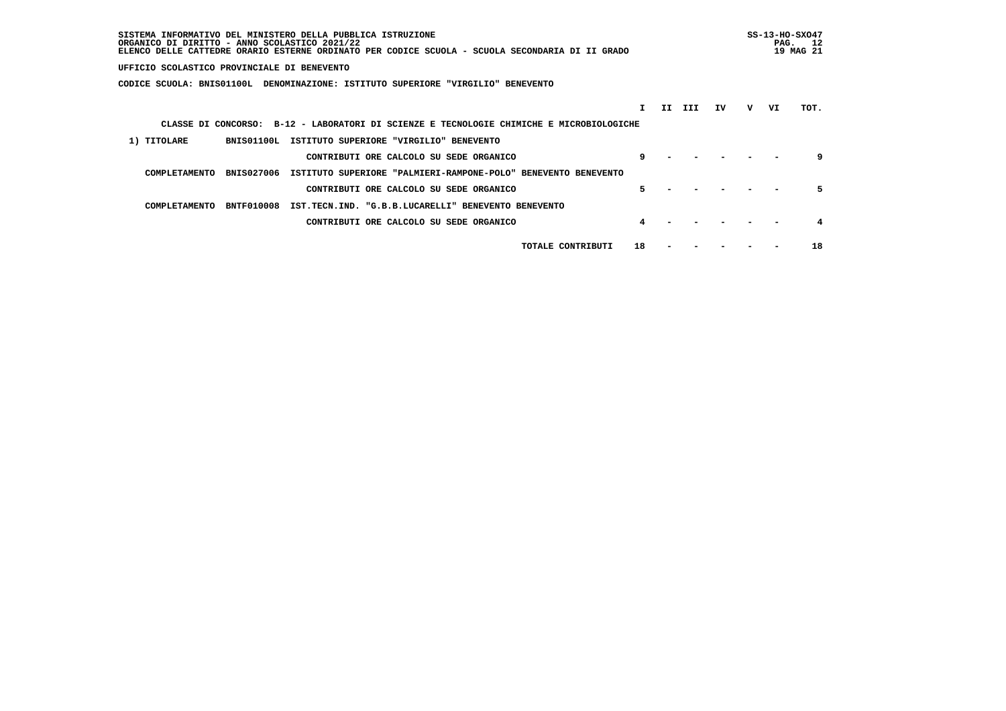| SISTEMA INFORMATIVO DEL MINISTERO DELLA PUBBLICA ISTRUZIONE<br>ORGANICO DI DIRITTO - ANNO SCOLASTICO 2021/22<br>ELENCO DELLE CATTEDRE ORARIO ESTERNE ORDINATO PER CODICE SCUOLA - SCUOLA SECONDARIA DI II GRADO |    |     |     |    |   | PAG. | $SS-13-HO-SXO47$<br>12<br>19 MAG 21 |
|-----------------------------------------------------------------------------------------------------------------------------------------------------------------------------------------------------------------|----|-----|-----|----|---|------|-------------------------------------|
| UFFICIO SCOLASTICO PROVINCIALE DI BENEVENTO                                                                                                                                                                     |    |     |     |    |   |      |                                     |
| CODICE SCUOLA: BNIS01100L<br>DENOMINAZIONE: ISTITUTO SUPERIORE "VIRGILIO" BENEVENTO                                                                                                                             |    |     |     |    |   |      |                                     |
|                                                                                                                                                                                                                 |    | II. | III | ΙV | v | VI   | TOT.                                |
| CLASSE DI CONCORSO: B-12 - LABORATORI DI SCIENZE E TECNOLOGIE CHIMICHE E MICROBIOLOGICHE                                                                                                                        |    |     |     |    |   |      |                                     |
| BNIS01100L<br>1) TITOLARE<br>ISTITUTO SUPERIORE "VIRGILIO" BENEVENTO                                                                                                                                            |    |     |     |    |   |      |                                     |
| CONTRIBUTI ORE CALCOLO SU SEDE ORGANICO                                                                                                                                                                         | 9  |     |     |    |   |      | 9                                   |
| <b>BNIS027006</b><br>COMPLETAMENTO<br>ISTITUTO SUPERIORE "PALMIERI-RAMPONE-POLO" BENEVENTO BENEVENTO                                                                                                            |    |     |     |    |   |      |                                     |
| CONTRIBUTI ORE CALCOLO SU SEDE ORGANICO                                                                                                                                                                         | Б. |     |     |    |   |      | 5                                   |
| <b>BNTF010008</b><br>IST.TECN.IND. "G.B.B.LUCARELLI" BENEVENTO BENEVENTO<br>COMPLETAMENTO                                                                                                                       |    |     |     |    |   |      |                                     |
| CONTRIBUTI ORE CALCOLO SU SEDE ORGANICO                                                                                                                                                                         |    |     |     |    |   |      |                                     |
| TOTALE CONTRIBUTI                                                                                                                                                                                               | 18 |     |     |    |   |      | 18                                  |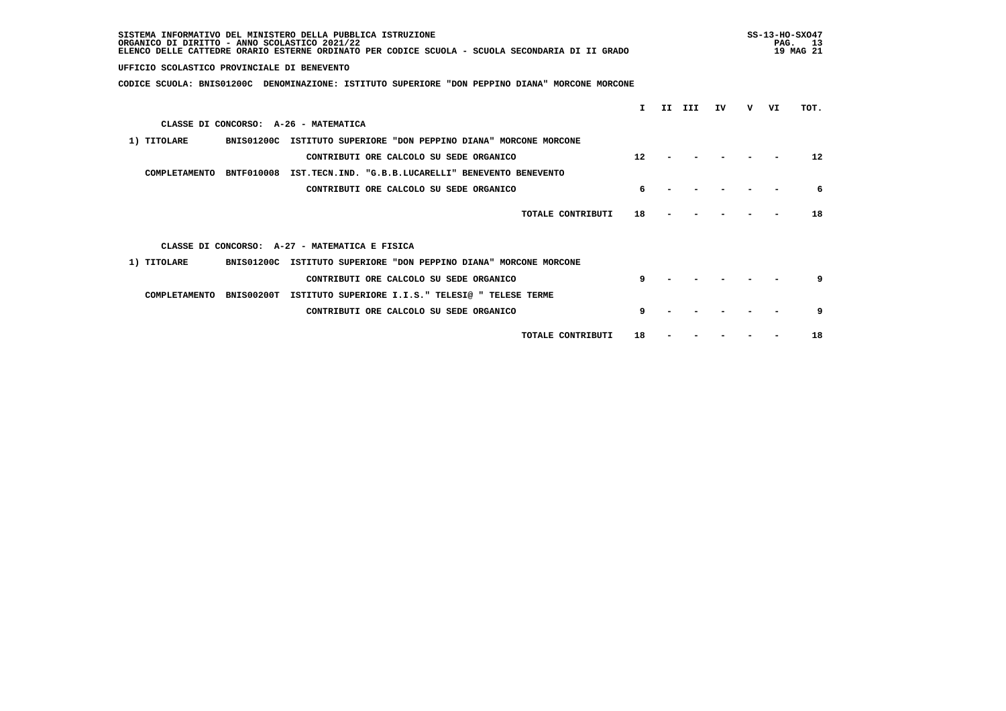| SISTEMA INFORMATIVO DEL MINISTERO DELLA PUBBLICA ISTRUZIONE<br>ORGANICO DI DIRITTO - ANNO SCOLASTICO 2021/22<br>ELENCO DELLE CATTEDRE ORARIO ESTERNE ORDINATO PER CODICE SCUOLA - SCUOLA SECONDARIA DI II GRADO |    |    |     |    | $SS-13-HO-SXO47$<br>PAG.<br>13<br>19 MAG 21 |    |                   |
|-----------------------------------------------------------------------------------------------------------------------------------------------------------------------------------------------------------------|----|----|-----|----|---------------------------------------------|----|-------------------|
| UFFICIO SCOLASTICO PROVINCIALE DI BENEVENTO                                                                                                                                                                     |    |    |     |    |                                             |    |                   |
| CODICE SCUOLA: BNIS01200C DENOMINAZIONE: ISTITUTO SUPERIORE "DON PEPPINO DIANA" MORCONE MORCONE                                                                                                                 |    |    |     |    |                                             |    |                   |
|                                                                                                                                                                                                                 | Τ. | II | III | ΙV | v                                           | VI | TOT.              |
| CLASSE DI CONCORSO: A-26 - MATEMATICA                                                                                                                                                                           |    |    |     |    |                                             |    |                   |
| 1) TITOLARE<br>BNIS01200C ISTITUTO SUPERIORE "DON PEPPINO DIANA" MORCONE MORCONE                                                                                                                                |    |    |     |    |                                             |    |                   |
| CONTRIBUTI ORE CALCOLO SU SEDE ORGANICO                                                                                                                                                                         | 12 |    |     |    |                                             |    | $12 \overline{ }$ |
| COMPLETAMENTO<br><b>BNTF010008</b><br>IST.TECN.IND. "G.B.B.LUCARELLI" BENEVENTO BENEVENTO                                                                                                                       |    |    |     |    |                                             |    |                   |
| CONTRIBUTI ORE CALCOLO SU SEDE ORGANICO                                                                                                                                                                         |    |    |     |    |                                             |    | 6                 |
| TOTALE CONTRIBUTI                                                                                                                                                                                               | 18 |    |     |    |                                             |    | 18                |
| CLASSE DI CONCORSO: A-27 - MATEMATICA E FISICA                                                                                                                                                                  |    |    |     |    |                                             |    |                   |
| 1) TITOLARE<br><b>BNIS01200C</b><br>ISTITUTO SUPERIORE "DON PEPPINO DIANA" MORCONE MORCONE                                                                                                                      |    |    |     |    |                                             |    |                   |
| CONTRIBUTI ORE CALCOLO SU SEDE ORGANICO                                                                                                                                                                         | 9  |    |     |    |                                             |    | a                 |
| COMPLETAMENTO<br><b>BNIS00200T</b><br>ISTITUTO SUPERIORE I.I.S." TELESI@ " TELESE TERME                                                                                                                         |    |    |     |    |                                             |    |                   |
| CONTRIBUTI ORE CALCOLO SU SEDE ORGANICO                                                                                                                                                                         | 9  |    |     |    |                                             |    | 9                 |
| TOTALE CONTRIBUTI                                                                                                                                                                                               | 18 |    |     |    |                                             |    | 18                |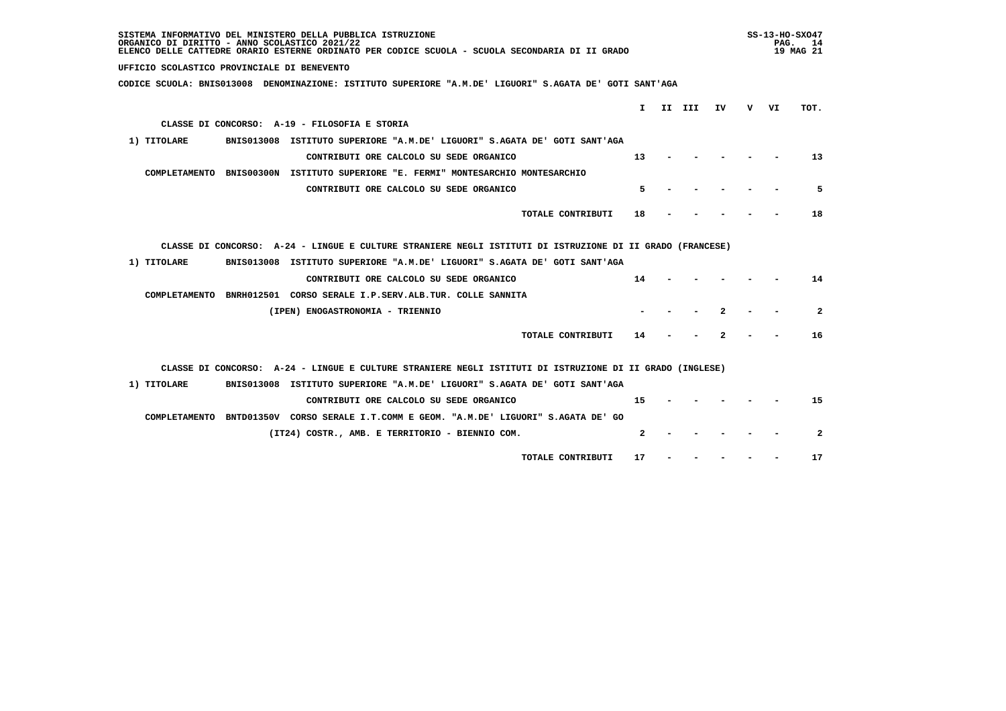| SISTEMA INFORMATIVO DEL MINISTERO DELLA PUBBLICA ISTRUZIONE<br>ORGANICO DI DIRITTO - ANNO SCOLASTICO 2021/22<br>ELENCO DELLE CATTEDRE ORARIO ESTERNE ORDINATO PER CODICE SCUOLA - SCUOLA SECONDARIA DI II GRADO |     | $SS-13-HO-SXO47$<br>PAG.<br>19 MAG 21 | 14                      |
|-----------------------------------------------------------------------------------------------------------------------------------------------------------------------------------------------------------------|-----|---------------------------------------|-------------------------|
| UFFICIO SCOLASTICO PROVINCIALE DI BENEVENTO                                                                                                                                                                     |     |                                       |                         |
| CODICE SCUOLA: BNIS013008 DENOMINAZIONE: ISTITUTO SUPERIORE "A.M.DE' LIGUORI" S.AGATA DE' GOTI SANT'AGA                                                                                                         |     |                                       |                         |
| II III<br>$\mathbf{I}$<br>IV                                                                                                                                                                                    | v – | VI                                    | TOT.                    |
| CLASSE DI CONCORSO: A-19 - FILOSOFIA E STORIA                                                                                                                                                                   |     |                                       |                         |
| 1) TITOLARE<br>BNIS013008 ISTITUTO SUPERIORE "A.M.DE' LIGUORI" S.AGATA DE' GOTI SANT'AGA                                                                                                                        |     |                                       |                         |
| CONTRIBUTI ORE CALCOLO SU SEDE ORGANICO<br>13                                                                                                                                                                   |     |                                       | 13                      |
| COMPLETAMENTO BNIS00300N ISTITUTO SUPERIORE "E. FERMI" MONTESARCHIO MONTESARCHIO                                                                                                                                |     |                                       |                         |
| 5<br>CONTRIBUTI ORE CALCOLO SU SEDE ORGANICO                                                                                                                                                                    |     |                                       | 5                       |
| TOTALE CONTRIBUTI<br>18                                                                                                                                                                                         |     |                                       | 18                      |
|                                                                                                                                                                                                                 |     |                                       |                         |
| CLASSE DI CONCORSO: A-24 - LINGUE E CULTURE STRANIERE NEGLI ISTITUTI DI ISTRUZIONE DI II GRADO (FRANCESE)                                                                                                       |     |                                       |                         |
| BNIS013008 ISTITUTO SUPERIORE "A.M.DE' LIGUORI" S.AGATA DE' GOTI SANT'AGA<br>1) TITOLARE                                                                                                                        |     |                                       |                         |
| 14<br>CONTRIBUTI ORE CALCOLO SU SEDE ORGANICO                                                                                                                                                                   |     |                                       | 14                      |
| COMPLETAMENTO BNRH012501 CORSO SERALE I.P.SERV.ALB.TUR. COLLE SANNITA                                                                                                                                           |     |                                       |                         |
| 2<br>(IPEN) ENOGASTRONOMIA - TRIENNIO                                                                                                                                                                           |     |                                       | $\overline{a}$          |
| TOTALE CONTRIBUTI<br>14<br>2                                                                                                                                                                                    |     |                                       | 16                      |
|                                                                                                                                                                                                                 |     |                                       |                         |
| CLASSE DI CONCORSO: A-24 - LINGUE E CULTURE STRANIERE NEGLI ISTITUTI DI ISTRUZIONE DI II GRADO (INGLESE)                                                                                                        |     |                                       |                         |
| BNIS013008 ISTITUTO SUPERIORE "A.M.DE' LIGUORI" S.AGATA DE' GOTI SANT'AGA<br>1) TITOLARE                                                                                                                        |     |                                       |                         |
| 15<br>CONTRIBUTI ORE CALCOLO SU SEDE ORGANICO                                                                                                                                                                   |     |                                       | 15                      |
| COMPLETAMENTO BNTD01350V CORSO SERALE I.T.COMM E GEOM. "A.M.DE' LIGUORI" S.AGATA DE' GO                                                                                                                         |     |                                       |                         |
| $\mathbf{2}$<br>(IT24) COSTR., AMB. E TERRITORIO - BIENNIO COM.                                                                                                                                                 |     |                                       | $\overline{\mathbf{2}}$ |
| TOTALE CONTRIBUTI<br>17                                                                                                                                                                                         |     |                                       | 17                      |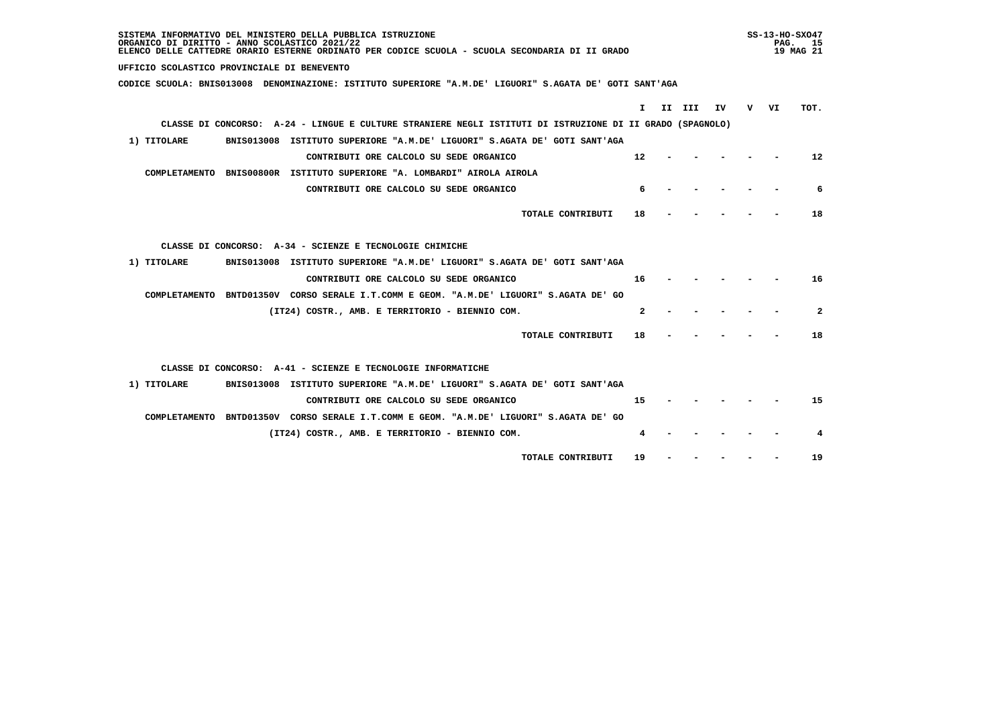| SISTEMA INFORMATIVO DEL MINISTERO DELLA PUBBLICA ISTRUZIONE<br>ORGANICO DI DIRITTO - ANNO SCOLASTICO 2021/22<br>ELENCO DELLE CATTEDRE ORARIO ESTERNE ORDINATO PER CODICE SCUOLA - SCUOLA SECONDARIA DI II GRADO |              | $SS-13-HO-SXO47$ | PAG. 15<br>19 MAG 21 |
|-----------------------------------------------------------------------------------------------------------------------------------------------------------------------------------------------------------------|--------------|------------------|----------------------|
| UFFICIO SCOLASTICO PROVINCIALE DI BENEVENTO                                                                                                                                                                     |              |                  |                      |
| CODICE SCUOLA: BNIS013008 DENOMINAZIONE: ISTITUTO SUPERIORE "A.M.DE' LIGUORI" S.AGATA DE' GOTI SANT'AGA                                                                                                         |              |                  |                      |
| $\mathbf{I}$                                                                                                                                                                                                    | II III<br>IV | v vı             | TOT.                 |
| CLASSE DI CONCORSO: A-24 - LINGUE E CULTURE STRANIERE NEGLI ISTITUTI DI ISTRUZIONE DI II GRADO (SPAGNOLO)                                                                                                       |              |                  |                      |
| 1) TITOLARE<br>BNIS013008 ISTITUTO SUPERIORE "A.M.DE' LIGUORI" S.AGATA DE' GOTI SANT'AGA                                                                                                                        |              |                  |                      |
| 12<br>CONTRIBUTI ORE CALCOLO SU SEDE ORGANICO                                                                                                                                                                   |              |                  | 12                   |
|                                                                                                                                                                                                                 |              |                  |                      |
| COMPLETAMENTO BNIS00800R ISTITUTO SUPERIORE "A. LOMBARDI" AIROLA AIROLA                                                                                                                                         |              |                  |                      |
| CONTRIBUTI ORE CALCOLO SU SEDE ORGANICO<br>6                                                                                                                                                                    |              |                  | 6                    |
| TOTALE CONTRIBUTI<br>18                                                                                                                                                                                         |              |                  | 18                   |
|                                                                                                                                                                                                                 |              |                  |                      |
| CLASSE DI CONCORSO: A-34 - SCIENZE E TECNOLOGIE CHIMICHE                                                                                                                                                        |              |                  |                      |
| 1) TITOLARE<br>BNIS013008 ISTITUTO SUPERIORE "A.M.DE' LIGUORI" S.AGATA DE' GOTI SANT'AGA                                                                                                                        |              |                  |                      |
| 16<br>CONTRIBUTI ORE CALCOLO SU SEDE ORGANICO                                                                                                                                                                   |              |                  | 16                   |
| COMPLETAMENTO BNTD01350V CORSO SERALE I.T.COMM E GEOM. "A.M.DE' LIGUORI" S.AGATA DE' GO                                                                                                                         |              |                  |                      |
| $\mathbf{2}$<br>(IT24) COSTR., AMB. E TERRITORIO - BIENNIO COM.                                                                                                                                                 |              |                  | $\mathbf{2}$         |
| TOTALE CONTRIBUTI<br>18                                                                                                                                                                                         |              |                  | 18                   |
| CLASSE DI CONCORSO: A-41 - SCIENZE E TECNOLOGIE INFORMATICHE                                                                                                                                                    |              |                  |                      |
| BNIS013008 ISTITUTO SUPERIORE "A.M.DE' LIGUORI" S.AGATA DE' GOTI SANT'AGA<br>1) TITOLARE                                                                                                                        |              |                  |                      |
| CONTRIBUTI ORE CALCOLO SU SEDE ORGANICO<br>15                                                                                                                                                                   |              |                  | 15                   |
|                                                                                                                                                                                                                 |              |                  |                      |
| COMPLETAMENTO BNTD01350V CORSO SERALE I.T.COMM E GEOM. "A.M.DE' LIGUORI" S.AGATA DE' GO                                                                                                                         |              |                  |                      |
| (IT24) COSTR., AMB. E TERRITORIO - BIENNIO COM.<br>4                                                                                                                                                            |              |                  | 4                    |
| 19<br>TOTALE CONTRIBUTI                                                                                                                                                                                         |              |                  | 19                   |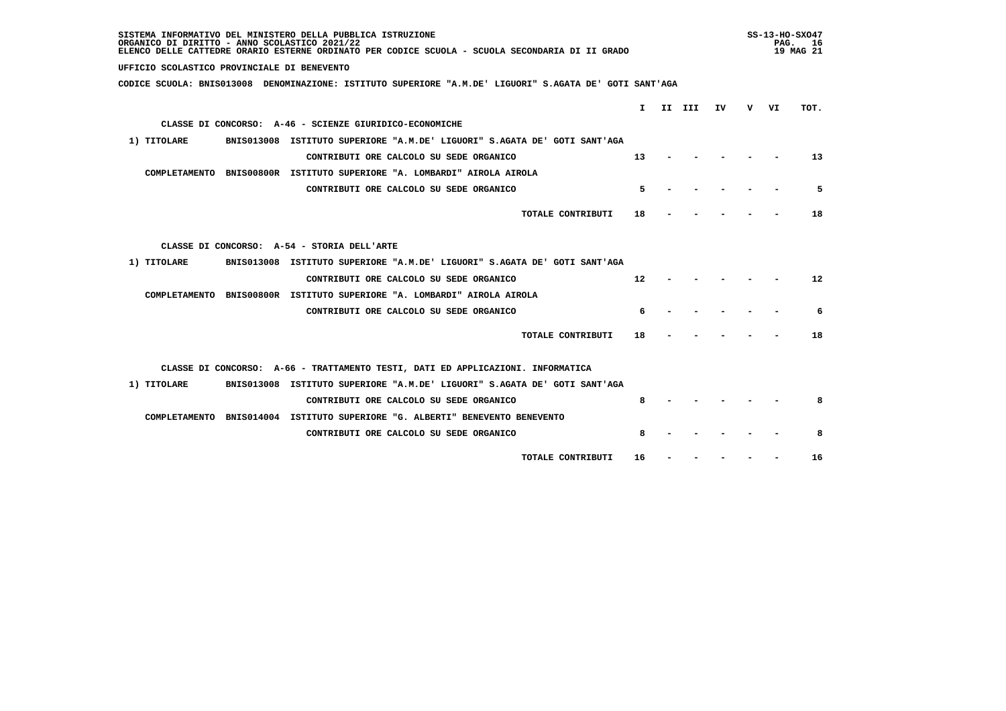| SISTEMA INFORMATIVO DEL MINISTERO DELLA PUBBLICA ISTRUZIONE<br>ORGANICO DI DIRITTO - ANNO SCOLASTICO 2021/22<br>ELENCO DELLE CATTEDRE ORARIO ESTERNE ORDINATO PER CODICE SCUOLA - SCUOLA SECONDARIA DI II GRADO |                 |        |    |     |    | $SS-13-HO-SXO47$<br>PAG. 16<br>19 MAG 21 |
|-----------------------------------------------------------------------------------------------------------------------------------------------------------------------------------------------------------------|-----------------|--------|----|-----|----|------------------------------------------|
| UFFICIO SCOLASTICO PROVINCIALE DI BENEVENTO                                                                                                                                                                     |                 |        |    |     |    |                                          |
| CODICE SCUOLA: BNIS013008 DENOMINAZIONE: ISTITUTO SUPERIORE "A.M.DE' LIGUORI" S.AGATA DE' GOTI SANT'AGA                                                                                                         |                 |        |    |     |    |                                          |
|                                                                                                                                                                                                                 | $\mathbf{I}$    | II III | IV | v – | VI | TOT.                                     |
| CLASSE DI CONCORSO: A-46 - SCIENZE GIURIDICO-ECONOMICHE                                                                                                                                                         |                 |        |    |     |    |                                          |
| BNIS013008 ISTITUTO SUPERIORE "A.M.DE' LIGUORI" S.AGATA DE' GOTI SANT'AGA<br>1) TITOLARE                                                                                                                        |                 |        |    |     |    |                                          |
| CONTRIBUTI ORE CALCOLO SU SEDE ORGANICO                                                                                                                                                                         | 13              |        |    |     |    | 13                                       |
| COMPLETAMENTO BNIS00800R ISTITUTO SUPERIORE "A. LOMBARDI" AIROLA AIROLA                                                                                                                                         |                 |        |    |     |    |                                          |
| CONTRIBUTI ORE CALCOLO SU SEDE ORGANICO                                                                                                                                                                         | 5               |        |    |     |    | 5                                        |
| TOTALE CONTRIBUTI                                                                                                                                                                                               | 18              |        |    |     |    | 18                                       |
|                                                                                                                                                                                                                 |                 |        |    |     |    |                                          |
| CLASSE DI CONCORSO: A-54 - STORIA DELL'ARTE                                                                                                                                                                     |                 |        |    |     |    |                                          |
| BNIS013008 ISTITUTO SUPERIORE "A.M.DE' LIGUORI" S.AGATA DE' GOTI SANT'AGA<br>1) TITOLARE                                                                                                                        |                 |        |    |     |    |                                          |
| CONTRIBUTI ORE CALCOLO SU SEDE ORGANICO                                                                                                                                                                         | 12 <sup>2</sup> |        |    |     |    | 12                                       |
| COMPLETAMENTO BNIS00800R ISTITUTO SUPERIORE "A. LOMBARDI" AIROLA AIROLA                                                                                                                                         |                 |        |    |     |    |                                          |
| CONTRIBUTI ORE CALCOLO SU SEDE ORGANICO                                                                                                                                                                         | 6               |        |    |     |    | 6                                        |
|                                                                                                                                                                                                                 |                 |        |    |     |    |                                          |
| TOTALE CONTRIBUTI                                                                                                                                                                                               | 18              |        |    |     |    | 18                                       |
| CLASSE DI CONCORSO: A-66 - TRATTAMENTO TESTI, DATI ED APPLICAZIONI. INFORMATICA                                                                                                                                 |                 |        |    |     |    |                                          |
| 1) TITOLARE<br>BNIS013008 ISTITUTO SUPERIORE "A.M.DE' LIGUORI" S.AGATA DE' GOTI SANT'AGA                                                                                                                        |                 |        |    |     |    |                                          |
| CONTRIBUTI ORE CALCOLO SU SEDE ORGANICO                                                                                                                                                                         |                 |        |    |     |    | 8                                        |
| COMPLETAMENTO BNIS014004 ISTITUTO SUPERIORE "G. ALBERTI" BENEVENTO BENEVENTO                                                                                                                                    |                 |        |    |     |    |                                          |
| CONTRIBUTI ORE CALCOLO SU SEDE ORGANICO                                                                                                                                                                         | 8               |        |    |     |    | 8                                        |
|                                                                                                                                                                                                                 |                 |        |    |     |    |                                          |
| TOTALE CONTRIBUTI                                                                                                                                                                                               | 16              |        |    |     |    | 16                                       |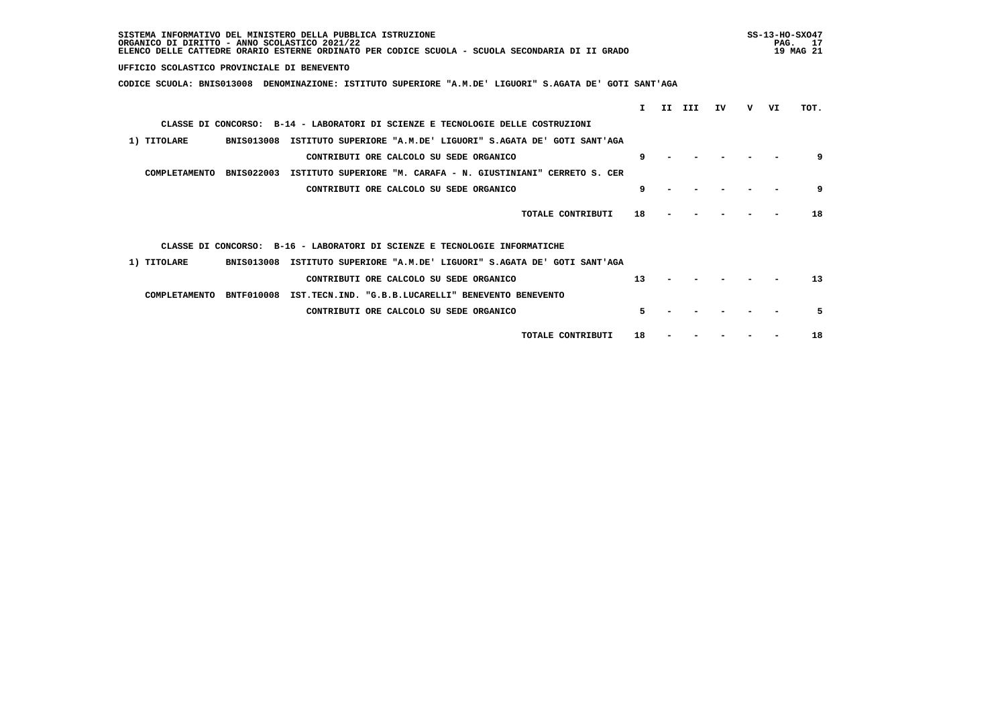| SISTEMA INFORMATIVO DEL MINISTERO DELLA PUBBLICA ISTRUZIONE<br>ORGANICO DI DIRITTO - ANNO SCOLASTICO 2021/22<br>ELENCO DELLE CATTEDRE ORARIO ESTERNE ORDINATO PER CODICE SCUOLA - SCUOLA SECONDARIA DI II GRADO |  |        |    |   | $SS-13-HO-SXO47$<br>PAG.<br>17<br>19 MAG 21 |      |  |  |
|-----------------------------------------------------------------------------------------------------------------------------------------------------------------------------------------------------------------|--|--------|----|---|---------------------------------------------|------|--|--|
| UFFICIO SCOLASTICO PROVINCIALE DI BENEVENTO                                                                                                                                                                     |  |        |    |   |                                             |      |  |  |
| CODICE SCUOLA: BNIS013008 DENOMINAZIONE: ISTITUTO SUPERIORE "A.M.DE' LIGUORI" S.AGATA DE' GOTI SANT'AGA                                                                                                         |  |        |    |   |                                             |      |  |  |
| T.                                                                                                                                                                                                              |  | II III | ΙV | v | VI                                          | TOT. |  |  |
| CLASSE DI CONCORSO: B-14 - LABORATORI DI SCIENZE E TECNOLOGIE DELLE COSTRUZIONI                                                                                                                                 |  |        |    |   |                                             |      |  |  |
| 1) TITOLARE<br><b>BNIS013008</b><br>ISTITUTO SUPERIORE "A.M.DE' LIGUORI" S.AGATA DE' GOTI SANT'AGA                                                                                                              |  |        |    |   |                                             |      |  |  |
| 9<br>CONTRIBUTI ORE CALCOLO SU SEDE ORGANICO                                                                                                                                                                    |  |        |    |   |                                             | 9    |  |  |
| COMPLETAMENTO<br><b>BNIS022003</b><br>ISTITUTO SUPERIORE "M. CARAFA - N. GIUSTINIANI"<br>CERRETO S. CER                                                                                                         |  |        |    |   |                                             |      |  |  |
| 9<br>CONTRIBUTI ORE CALCOLO SU SEDE ORGANICO                                                                                                                                                                    |  |        |    |   |                                             | 9    |  |  |
| TOTALE CONTRIBUTI<br>18                                                                                                                                                                                         |  |        |    |   |                                             | 18   |  |  |
| CLASSE DI CONCORSO: B-16 - LABORATORI DI SCIENZE E TECNOLOGIE INFORMATICHE                                                                                                                                      |  |        |    |   |                                             |      |  |  |
| 1) TITOLARE<br><b>BNIS013008</b><br>ISTITUTO SUPERIORE "A.M.DE' LIGUORI" S.AGATA DE' GOTI SANT'AGA                                                                                                              |  |        |    |   |                                             |      |  |  |
| 13<br>CONTRIBUTI ORE CALCOLO SU SEDE ORGANICO                                                                                                                                                                   |  |        |    |   |                                             | 13   |  |  |
| COMPLETAMENTO<br><b>BNTF010008</b><br>IST.TECN.IND. "G.B.B.LUCARELLI" BENEVENTO BENEVENTO                                                                                                                       |  |        |    |   |                                             |      |  |  |
| 5.<br>CONTRIBUTI ORE CALCOLO SU SEDE ORGANICO                                                                                                                                                                   |  |        |    |   |                                             | 5    |  |  |
| TOTALE CONTRIBUTI<br>18                                                                                                                                                                                         |  |        |    |   |                                             | 18   |  |  |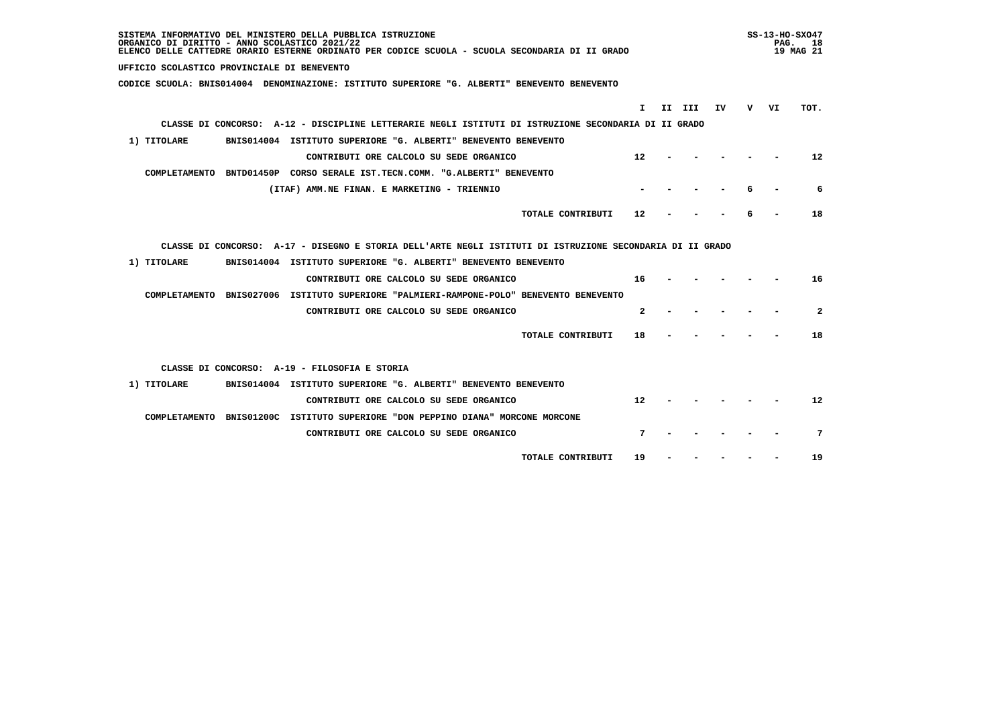| SISTEMA INFORMATIVO DEL MINISTERO DELLA PUBBLICA ISTRUZIONE<br>ORGANICO DI DIRITTO - ANNO SCOLASTICO 2021/22<br>ELENCO DELLE CATTEDRE ORARIO ESTERNE ORDINATO PER CODICE SCUOLA - SCUOLA SECONDARIA DI II GRADO |     |    | $SS-13-HO-SXO47$<br>PAG. 18<br>19 MAG 21 |
|-----------------------------------------------------------------------------------------------------------------------------------------------------------------------------------------------------------------|-----|----|------------------------------------------|
| UFFICIO SCOLASTICO PROVINCIALE DI BENEVENTO                                                                                                                                                                     |     |    |                                          |
| CODICE SCUOLA: BNIS014004 DENOMINAZIONE: ISTITUTO SUPERIORE "G. ALBERTI" BENEVENTO BENEVENTO                                                                                                                    |     |    |                                          |
| II III<br>I.<br>IV.                                                                                                                                                                                             | v — | VI | TOT.                                     |
| CLASSE DI CONCORSO: A-12 - DISCIPLINE LETTERARIE NEGLI ISTITUTI DI ISTRUZIONE SECONDARIA DI II GRADO                                                                                                            |     |    |                                          |
| BNIS014004 ISTITUTO SUPERIORE "G. ALBERTI" BENEVENTO BENEVENTO<br>1) TITOLARE                                                                                                                                   |     |    |                                          |
| CONTRIBUTI ORE CALCOLO SU SEDE ORGANICO<br>12                                                                                                                                                                   |     |    | $12 \overline{ }$                        |
| COMPLETAMENTO BNTD01450P CORSO SERALE IST.TECN.COMM. "G.ALBERTI" BENEVENTO                                                                                                                                      |     |    |                                          |
| (ITAF) AMM.NE FINAN. E MARKETING - TRIENNIO                                                                                                                                                                     |     |    | 6                                        |
|                                                                                                                                                                                                                 |     |    |                                          |
| TOTALE CONTRIBUTI<br>12                                                                                                                                                                                         |     |    | 18                                       |
|                                                                                                                                                                                                                 |     |    |                                          |
| CLASSE DI CONCORSO: A-17 - DISEGNO E STORIA DELL'ARTE NEGLI ISTITUTI DI ISTRUZIONE SECONDARIA DI II GRADO                                                                                                       |     |    |                                          |
| 1) TITOLARE<br>BNIS014004 ISTITUTO SUPERIORE "G. ALBERTI" BENEVENTO BENEVENTO                                                                                                                                   |     |    |                                          |
| CONTRIBUTI ORE CALCOLO SU SEDE ORGANICO<br>16                                                                                                                                                                   |     |    | 16                                       |
| COMPLETAMENTO BNIS027006 ISTITUTO SUPERIORE "PALMIERI-RAMPONE-POLO" BENEVENTO BENEVENTO                                                                                                                         |     |    |                                          |
| CONTRIBUTI ORE CALCOLO SU SEDE ORGANICO<br>$\mathbf{2}$                                                                                                                                                         |     |    | $\mathbf{2}$                             |
| TOTALE CONTRIBUTI<br>18                                                                                                                                                                                         |     |    | 18                                       |
|                                                                                                                                                                                                                 |     |    |                                          |
| CLASSE DI CONCORSO: A-19 - FILOSOFIA E STORIA                                                                                                                                                                   |     |    |                                          |
| BNIS014004 ISTITUTO SUPERIORE "G. ALBERTI" BENEVENTO BENEVENTO<br>1) TITOLARE                                                                                                                                   |     |    |                                          |
| CONTRIBUTI ORE CALCOLO SU SEDE ORGANICO<br>12                                                                                                                                                                   |     |    | 12                                       |
| COMPLETAMENTO BNIS01200C ISTITUTO SUPERIORE "DON PEPPINO DIANA" MORCONE MORCONE                                                                                                                                 |     |    |                                          |
| 7<br>CONTRIBUTI ORE CALCOLO SU SEDE ORGANICO                                                                                                                                                                    |     |    | 7                                        |
|                                                                                                                                                                                                                 |     |    |                                          |
| TOTALE CONTRIBUTI<br>19                                                                                                                                                                                         |     |    | 19                                       |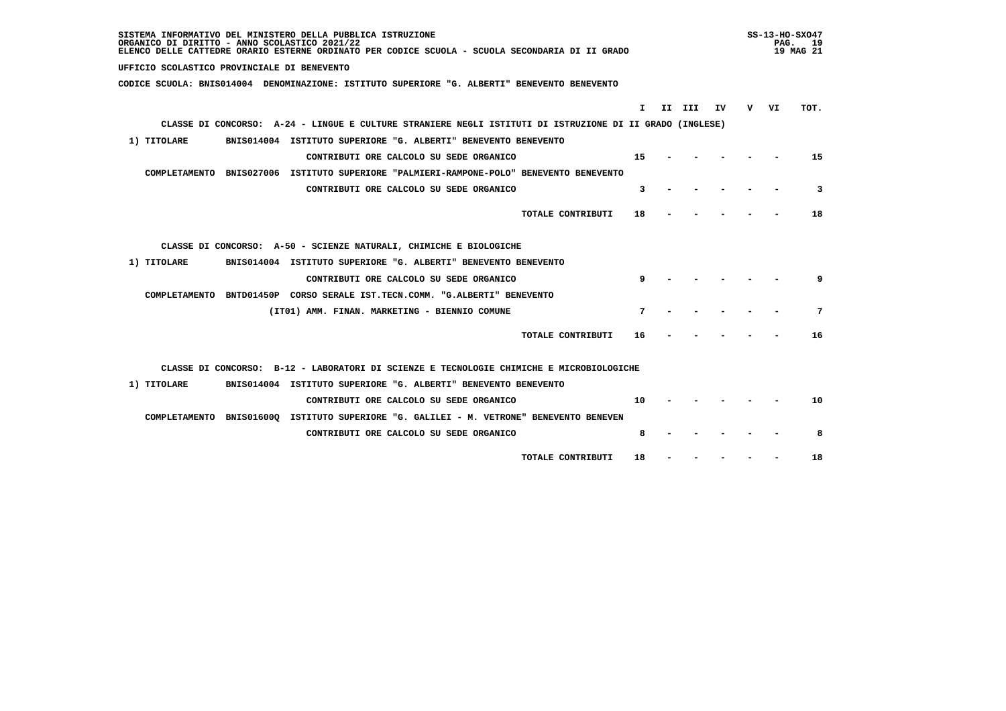| SISTEMA INFORMATIVO DEL MINISTERO DELLA PUBBLICA ISTRUZIONE<br>ORGANICO DI DIRITTO - ANNO SCOLASTICO 2021/22<br>ELENCO DELLE CATTEDRE ORARIO ESTERNE ORDINATO PER CODICE SCUOLA - SCUOLA SECONDARIA DI II GRADO |    | $SS-13-HO-SXO47$<br>PAG. 19<br>19 MAG 21 |      |
|-----------------------------------------------------------------------------------------------------------------------------------------------------------------------------------------------------------------|----|------------------------------------------|------|
| UFFICIO SCOLASTICO PROVINCIALE DI BENEVENTO                                                                                                                                                                     |    |                                          |      |
| CODICE SCUOLA: BNIS014004 DENOMINAZIONE: ISTITUTO SUPERIORE "G. ALBERTI" BENEVENTO BENEVENTO                                                                                                                    |    |                                          |      |
| II III<br>IV<br>т.                                                                                                                                                                                              | v. | VI                                       | TOT. |
| CLASSE DI CONCORSO: A-24 - LINGUE E CULTURE STRANIERE NEGLI ISTITUTI DI ISTRUZIONE DI II GRADO (INGLESE)                                                                                                        |    |                                          |      |
| 1) TITOLARE<br>BNIS014004 ISTITUTO SUPERIORE "G. ALBERTI" BENEVENTO BENEVENTO                                                                                                                                   |    |                                          |      |
|                                                                                                                                                                                                                 |    |                                          |      |
| CONTRIBUTI ORE CALCOLO SU SEDE ORGANICO<br>15                                                                                                                                                                   |    |                                          | 15   |
| COMPLETAMENTO BNIS027006 ISTITUTO SUPERIORE "PALMIERI-RAMPONE-POLO" BENEVENTO BENEVENTO                                                                                                                         |    |                                          |      |
| CONTRIBUTI ORE CALCOLO SU SEDE ORGANICO<br>3                                                                                                                                                                    |    |                                          | 3    |
| TOTALE CONTRIBUTI<br>18                                                                                                                                                                                         |    |                                          | 18   |
| CLASSE DI CONCORSO: A-50 - SCIENZE NATURALI, CHIMICHE E BIOLOGICHE                                                                                                                                              |    |                                          |      |
| 1) TITOLARE<br>BNIS014004 ISTITUTO SUPERIORE "G. ALBERTI" BENEVENTO BENEVENTO                                                                                                                                   |    |                                          |      |
| CONTRIBUTI ORE CALCOLO SU SEDE ORGANICO<br>9                                                                                                                                                                    |    |                                          | 9    |
| COMPLETAMENTO BNTD01450P CORSO SERALE IST.TECN.COMM. "G.ALBERTI" BENEVENTO                                                                                                                                      |    |                                          |      |
| (IT01) AMM. FINAN. MARKETING - BIENNIO COMUNE<br>7                                                                                                                                                              |    |                                          | 7    |
| TOTALE CONTRIBUTI<br>16                                                                                                                                                                                         |    |                                          | 16   |
| CLASSE DI CONCORSO: B-12 - LABORATORI DI SCIENZE E TECNOLOGIE CHIMICHE E MICROBIOLOGICHE                                                                                                                        |    |                                          |      |
| BNIS014004 ISTITUTO SUPERIORE "G. ALBERTI" BENEVENTO BENEVENTO<br>1) TITOLARE                                                                                                                                   |    |                                          |      |
| CONTRIBUTI ORE CALCOLO SU SEDE ORGANICO<br>10                                                                                                                                                                   |    |                                          | 10   |
| COMPLETAMENTO BNIS01600Q ISTITUTO SUPERIORE "G. GALILEI - M. VETRONE" BENEVENTO BENEVEN                                                                                                                         |    |                                          |      |
| 8<br>CONTRIBUTI ORE CALCOLO SU SEDE ORGANICO                                                                                                                                                                    |    |                                          | 8    |
| TOTALE CONTRIBUTI<br>18                                                                                                                                                                                         |    |                                          | 18   |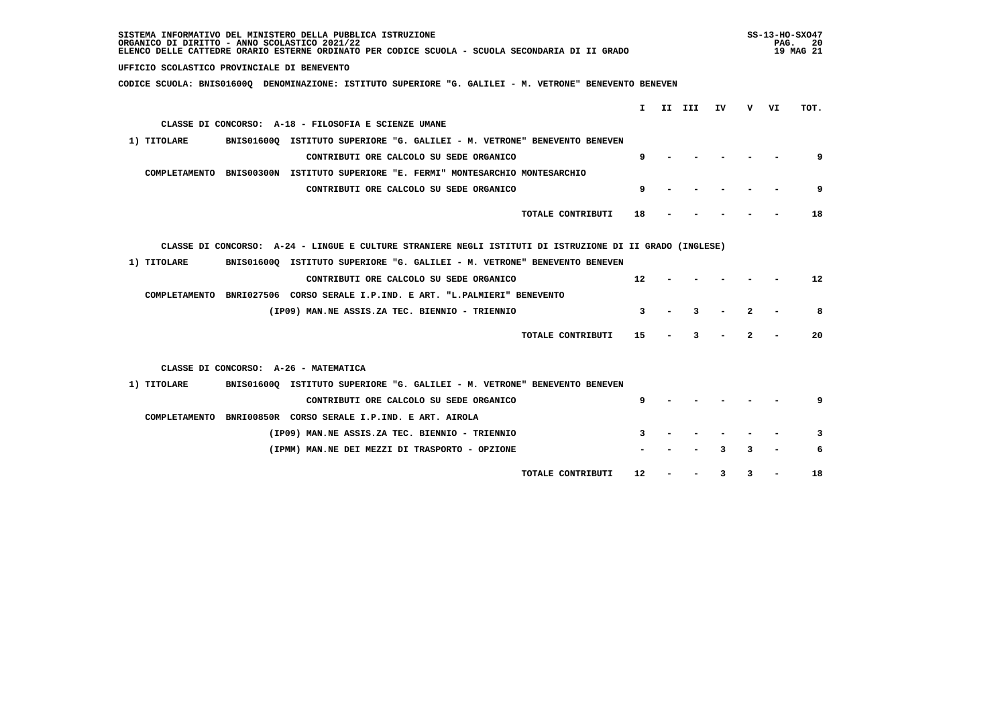| SISTEMA INFORMATIVO DEL MINISTERO DELLA PUBBLICA ISTRUZIONE<br>ORGANICO DI DIRITTO - ANNO SCOLASTICO 2021/22<br>ELENCO DELLE CATTEDRE ORARIO ESTERNE ORDINATO PER CODICE SCUOLA - SCUOLA SECONDARIA DI II GRADO |    |    |                   |  |
|-----------------------------------------------------------------------------------------------------------------------------------------------------------------------------------------------------------------|----|----|-------------------|--|
| UFFICIO SCOLASTICO PROVINCIALE DI BENEVENTO                                                                                                                                                                     |    |    |                   |  |
| CODICE SCUOLA: BNIS01600Q DENOMINAZIONE: ISTITUTO SUPERIORE "G. GALILEI - M. VETRONE" BENEVENTO BENEVEN                                                                                                         |    |    |                   |  |
|                                                                                                                                                                                                                 |    |    |                   |  |
| I.<br>II III<br>IV                                                                                                                                                                                              | v. | VI | TOT.              |  |
| CLASSE DI CONCORSO: A-18 - FILOSOFIA E SCIENZE UMANE                                                                                                                                                            |    |    |                   |  |
| 1) TITOLARE<br>BNIS01600Q ISTITUTO SUPERIORE "G. GALILEI - M. VETRONE" BENEVENTO BENEVEN                                                                                                                        |    |    |                   |  |
| CONTRIBUTI ORE CALCOLO SU SEDE ORGANICO<br>9                                                                                                                                                                    |    |    | 9                 |  |
| COMPLETAMENTO BNIS00300N ISTITUTO SUPERIORE "E. FERMI" MONTESARCHIO MONTESARCHIO                                                                                                                                |    |    |                   |  |
| 9<br>CONTRIBUTI ORE CALCOLO SU SEDE ORGANICO                                                                                                                                                                    |    |    | 9                 |  |
| TOTALE CONTRIBUTI<br>18                                                                                                                                                                                         |    |    | 18                |  |
| CLASSE DI CONCORSO: A-24 - LINGUE E CULTURE STRANIERE NEGLI ISTITUTI DI ISTRUZIONE DI II GRADO (INGLESE)                                                                                                        |    |    |                   |  |
| 1) TITOLARE<br>BNIS016000 ISTITUTO SUPERIORE "G. GALILEI - M. VETRONE" BENEVENTO BENEVEN                                                                                                                        |    |    |                   |  |
| CONTRIBUTI ORE CALCOLO SU SEDE ORGANICO<br>12                                                                                                                                                                   |    |    | $12 \overline{ }$ |  |
| COMPLETAMENTO BNRI027506 CORSO SERALE I.P.IND. E ART. "L.PALMIERI" BENEVENTO                                                                                                                                    |    |    |                   |  |
| 3<br>(IP09) MAN.NE ASSIS.ZA TEC. BIENNIO - TRIENNIO<br>3                                                                                                                                                        | 2  |    | 8                 |  |
| 15<br>TOTALE CONTRIBUTI<br>3                                                                                                                                                                                    | 2  |    | 20                |  |
| CLASSE DI CONCORSO: A-26 - MATEMATICA                                                                                                                                                                           |    |    |                   |  |
| 1) TITOLARE<br>BNIS01600Q ISTITUTO SUPERIORE "G. GALILEI - M. VETRONE" BENEVENTO BENEVEN                                                                                                                        |    |    |                   |  |
| CONTRIBUTI ORE CALCOLO SU SEDE ORGANICO<br>9                                                                                                                                                                    |    |    | 9                 |  |
| COMPLETAMENTO BNRI00850R CORSO SERALE I.P.IND. E ART. AIROLA                                                                                                                                                    |    |    |                   |  |
| (IP09) MAN.NE ASSIS.ZA TEC. BIENNIO - TRIENNIO<br>3                                                                                                                                                             |    |    | 3                 |  |
| (IPMM) MAN.NE DEI MEZZI DI TRASPORTO - OPZIONE                                                                                                                                                                  | 3  |    | 6                 |  |
| TOTALE CONTRIBUTI<br>$12 \overline{ }$<br>3                                                                                                                                                                     | 3  |    | 18                |  |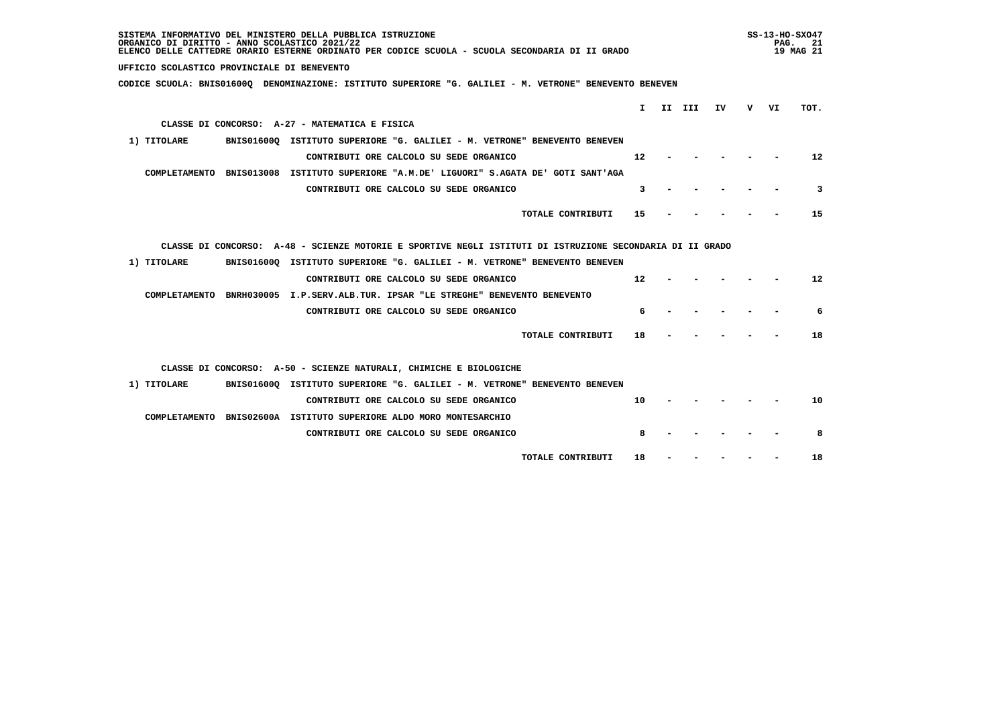| SISTEMA INFORMATIVO DEL MINISTERO DELLA PUBBLICA ISTRUZIONE<br>ORGANICO DI DIRITTO - ANNO SCOLASTICO 2021/22<br>ELENCO DELLE CATTEDRE ORARIO ESTERNE ORDINATO PER CODICE SCUOLA - SCUOLA SECONDARIA DI II GRADO |     |    |                   |  |  |
|-----------------------------------------------------------------------------------------------------------------------------------------------------------------------------------------------------------------|-----|----|-------------------|--|--|
| UFFICIO SCOLASTICO PROVINCIALE DI BENEVENTO                                                                                                                                                                     |     |    |                   |  |  |
| CODICE SCUOLA: BNIS016000 DENOMINAZIONE: ISTITUTO SUPERIORE "G. GALILEI - M. VETRONE" BENEVENTO BENEVEN                                                                                                         |     |    |                   |  |  |
| II III<br>IV<br>$\mathbf{I}$                                                                                                                                                                                    | v – | VI | TOT.              |  |  |
| CLASSE DI CONCORSO: A-27 - MATEMATICA E FISICA                                                                                                                                                                  |     |    |                   |  |  |
|                                                                                                                                                                                                                 |     |    |                   |  |  |
| BNIS016000 ISTITUTO SUPERIORE "G. GALILEI - M. VETRONE" BENEVENTO BENEVEN<br>1) TITOLARE                                                                                                                        |     |    |                   |  |  |
| 12<br>CONTRIBUTI ORE CALCOLO SU SEDE ORGANICO                                                                                                                                                                   |     |    | 12                |  |  |
| COMPLETAMENTO BNIS013008 ISTITUTO SUPERIORE "A.M.DE' LIGUORI" S.AGATA DE' GOTI SANT'AGA                                                                                                                         |     |    |                   |  |  |
| CONTRIBUTI ORE CALCOLO SU SEDE ORGANICO<br>3                                                                                                                                                                    |     |    | 3                 |  |  |
| TOTALE CONTRIBUTI<br>15                                                                                                                                                                                         |     |    | 15                |  |  |
| CLASSE DI CONCORSO: A-48 - SCIENZE MOTORIE E SPORTIVE NEGLI ISTITUTI DI ISTRUZIONE SECONDARIA DI II GRADO                                                                                                       |     |    |                   |  |  |
| 1) TITOLARE<br>BNIS016000 ISTITUTO SUPERIORE "G. GALILEI - M. VETRONE" BENEVENTO BENEVEN                                                                                                                        |     |    |                   |  |  |
| 12<br>CONTRIBUTI ORE CALCOLO SU SEDE ORGANICO                                                                                                                                                                   |     |    | $12 \overline{ }$ |  |  |
| COMPLETAMENTO BNRH030005 I.P.SERV.ALB.TUR. IPSAR "LE STREGHE" BENEVENTO BENEVENTO                                                                                                                               |     |    |                   |  |  |
| 6<br>CONTRIBUTI ORE CALCOLO SU SEDE ORGANICO                                                                                                                                                                    |     |    | 6                 |  |  |
| TOTALE CONTRIBUTI<br>18                                                                                                                                                                                         |     |    | 18                |  |  |
| CLASSE DI CONCORSO: A-50 - SCIENZE NATURALI, CHIMICHE E BIOLOGICHE                                                                                                                                              |     |    |                   |  |  |
| BNIS016000 ISTITUTO SUPERIORE "G. GALILEI - M. VETRONE" BENEVENTO BENEVEN<br>1) TITOLARE                                                                                                                        |     |    |                   |  |  |
| CONTRIBUTI ORE CALCOLO SU SEDE ORGANICO<br>10                                                                                                                                                                   |     |    | 10                |  |  |
| COMPLETAMENTO BNIS02600A ISTITUTO SUPERIORE ALDO MORO MONTESARCHIO                                                                                                                                              |     |    |                   |  |  |
| CONTRIBUTI ORE CALCOLO SU SEDE ORGANICO<br>8                                                                                                                                                                    |     |    | 8                 |  |  |
| TOTALE CONTRIBUTI<br>18                                                                                                                                                                                         |     |    | 18                |  |  |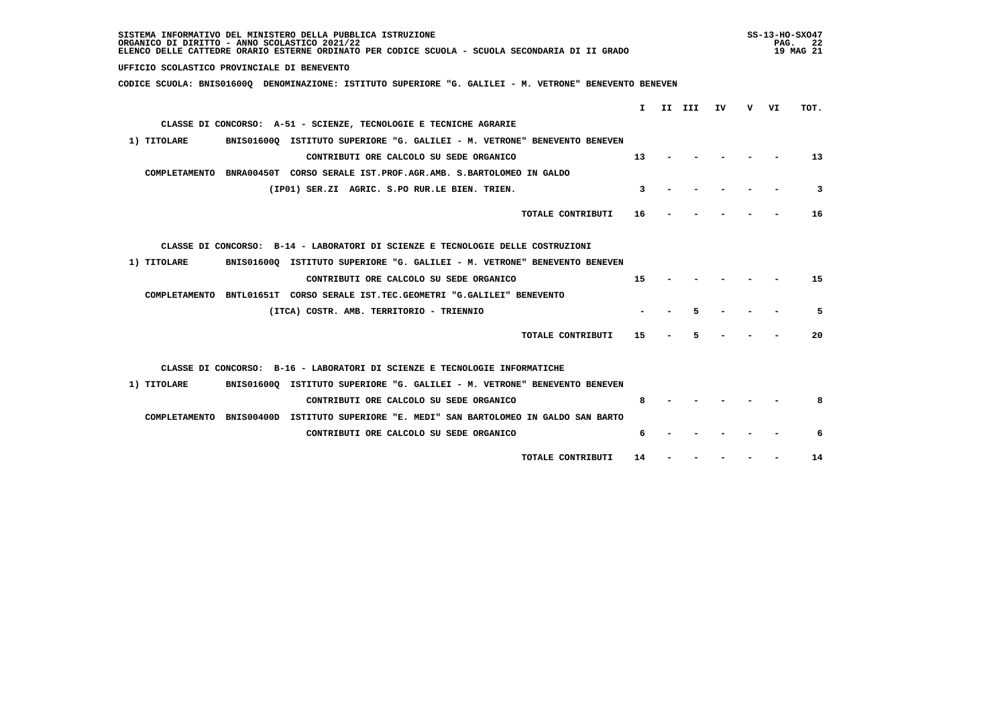| SISTEMA INFORMATIVO DEL MINISTERO DELLA PUBBLICA ISTRUZIONE<br>ORGANICO DI DIRITTO - ANNO SCOLASTICO 2021/22<br>ELENCO DELLE CATTEDRE ORARIO ESTERNE ORDINATO PER CODICE SCUOLA - SCUOLA SECONDARIA DI II GRADO |    |  |             |  |  |      | $SS-13-HO-SXO47$<br>PAG. 22<br>19 MAG 21 |
|-----------------------------------------------------------------------------------------------------------------------------------------------------------------------------------------------------------------|----|--|-------------|--|--|------|------------------------------------------|
| UFFICIO SCOLASTICO PROVINCIALE DI BENEVENTO                                                                                                                                                                     |    |  |             |  |  |      |                                          |
| CODICE SCUOLA: BNIS01600Q DENOMINAZIONE: ISTITUTO SUPERIORE "G. GALILEI - M. VETRONE" BENEVENTO BENEVEN                                                                                                         |    |  |             |  |  |      |                                          |
|                                                                                                                                                                                                                 |    |  | I II III IV |  |  | v vı | TOT.                                     |
| CLASSE DI CONCORSO: A-51 - SCIENZE, TECNOLOGIE E TECNICHE AGRARIE                                                                                                                                               |    |  |             |  |  |      |                                          |
|                                                                                                                                                                                                                 |    |  |             |  |  |      |                                          |
| 1) TITOLARE<br>BNIS01600Q ISTITUTO SUPERIORE "G. GALILEI - M. VETRONE" BENEVENTO BENEVEN                                                                                                                        |    |  |             |  |  |      |                                          |
| CONTRIBUTI ORE CALCOLO SU SEDE ORGANICO                                                                                                                                                                         | 13 |  |             |  |  |      | 13                                       |
| COMPLETAMENTO BNRA00450T CORSO SERALE IST.PROF.AGR.AMB. S.BARTOLOMEO IN GALDO                                                                                                                                   |    |  |             |  |  |      |                                          |
| (IP01) SER.ZI AGRIC. S.PO RUR.LE BIEN. TRIEN.                                                                                                                                                                   | 3  |  |             |  |  |      | 3                                        |
| TOTALE CONTRIBUTI                                                                                                                                                                                               | 16 |  |             |  |  |      | 16                                       |
| CLASSE DI CONCORSO: B-14 - LABORATORI DI SCIENZE E TECNOLOGIE DELLE COSTRUZIONI                                                                                                                                 |    |  |             |  |  |      |                                          |
| 1) TITOLARE<br>BNIS01600Q ISTITUTO SUPERIORE "G. GALILEI - M. VETRONE" BENEVENTO BENEVEN                                                                                                                        |    |  |             |  |  |      |                                          |
| CONTRIBUTI ORE CALCOLO SU SEDE ORGANICO                                                                                                                                                                         | 15 |  |             |  |  |      | 15                                       |
| COMPLETAMENTO BNTL01651T CORSO SERALE IST.TEC.GEOMETRI "G.GALILEI" BENEVENTO                                                                                                                                    |    |  |             |  |  |      |                                          |
| (ITCA) COSTR. AMB. TERRITORIO - TRIENNIO                                                                                                                                                                        |    |  | 5           |  |  |      | 5                                        |
| TOTALE CONTRIBUTI                                                                                                                                                                                               | 15 |  | 5           |  |  |      | 20                                       |
| CLASSE DI CONCORSO: B-16 - LABORATORI DI SCIENZE E TECNOLOGIE INFORMATICHE                                                                                                                                      |    |  |             |  |  |      |                                          |
| 1) TITOLARE<br>BNIS016000 ISTITUTO SUPERIORE "G. GALILEI - M. VETRONE" BENEVENTO BENEVEN                                                                                                                        |    |  |             |  |  |      |                                          |
| CONTRIBUTI ORE CALCOLO SU SEDE ORGANICO                                                                                                                                                                         | 8  |  |             |  |  |      | 8                                        |
| COMPLETAMENTO BNIS00400D ISTITUTO SUPERIORE "E. MEDI" SAN BARTOLOMEO IN GALDO SAN BARTO                                                                                                                         |    |  |             |  |  |      |                                          |
| CONTRIBUTI ORE CALCOLO SU SEDE ORGANICO                                                                                                                                                                         | 6  |  |             |  |  |      | 6                                        |
|                                                                                                                                                                                                                 |    |  |             |  |  |      |                                          |
| TOTALE CONTRIBUTI                                                                                                                                                                                               | 14 |  |             |  |  |      | 14                                       |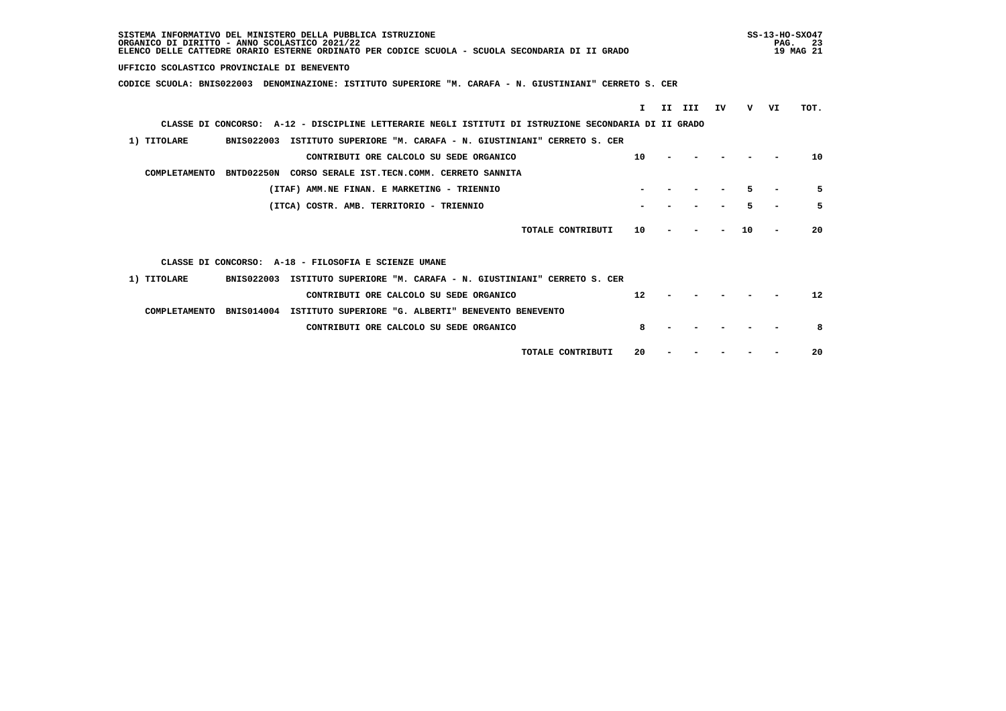| SISTEMA INFORMATIVO DEL MINISTERO DELLA PUBBLICA ISTRUZIONE<br>ORGANICO DI DIRITTO - ANNO SCOLASTICO 2021/22<br>ELENCO DELLE CATTEDRE ORARIO ESTERNE ORDINATO PER CODICE SCUOLA - SCUOLA SECONDARIA DI II GRADO |           |    |    |    | $SS-13-HO-SXO47$<br>PAG.<br>-23<br>19 MAG 21 |
|-----------------------------------------------------------------------------------------------------------------------------------------------------------------------------------------------------------------|-----------|----|----|----|----------------------------------------------|
| UFFICIO SCOLASTICO PROVINCIALE DI BENEVENTO                                                                                                                                                                     |           |    |    |    |                                              |
| CODICE SCUOLA: BNIS022003 DENOMINAZIONE: ISTITUTO SUPERIORE "M. CARAFA - N. GIUSTINIANI" CERRETO S. CER                                                                                                         |           |    |    |    |                                              |
| T.                                                                                                                                                                                                              | II<br>III | IV | v  | VI | TOT.                                         |
| CLASSE DI CONCORSO: A-12 - DISCIPLINE LETTERARIE NEGLI ISTITUTI DI ISTRUZIONE SECONDARIA DI II GRADO                                                                                                            |           |    |    |    |                                              |
| 1) TITOLARE<br>BNIS022003 ISTITUTO SUPERIORE "M. CARAFA - N. GIUSTINIANI" CERRETO S. CER                                                                                                                        |           |    |    |    |                                              |
| 10<br>CONTRIBUTI ORE CALCOLO SU SEDE ORGANICO                                                                                                                                                                   |           |    |    |    | 10                                           |
| COMPLETAMENTO<br>BNTD02250N CORSO SERALE IST.TECN.COMM. CERRETO SANNITA                                                                                                                                         |           |    |    |    |                                              |
| (ITAF) AMM.NE FINAN. E MARKETING - TRIENNIO                                                                                                                                                                     |           |    |    |    | 5                                            |
| (ITCA) COSTR. AMB. TERRITORIO - TRIENNIO                                                                                                                                                                        |           |    | 5  |    | 5                                            |
| TOTALE CONTRIBUTI<br>10                                                                                                                                                                                         |           |    | 10 |    | 20                                           |
| CLASSE DI CONCORSO: A-18 - FILOSOFIA E SCIENZE UMANE                                                                                                                                                            |           |    |    |    |                                              |
| <b>BNIS022003</b><br>1) TITOLARE<br>ISTITUTO SUPERIORE "M. CARAFA - N. GIUSTINIANI" CERRETO S. CER                                                                                                              |           |    |    |    |                                              |
| 12<br>CONTRIBUTI ORE CALCOLO SU SEDE ORGANICO                                                                                                                                                                   |           |    |    |    | 12                                           |
| <b>BNIS014004</b><br>ISTITUTO SUPERIORE "G. ALBERTI" BENEVENTO BENEVENTO<br>COMPLETAMENTO                                                                                                                       |           |    |    |    |                                              |
| 8<br>CONTRIBUTI ORE CALCOLO SU SEDE ORGANICO                                                                                                                                                                    |           |    |    |    | 8                                            |
| 20<br>TOTALE CONTRIBUTI                                                                                                                                                                                         |           |    |    |    | 20                                           |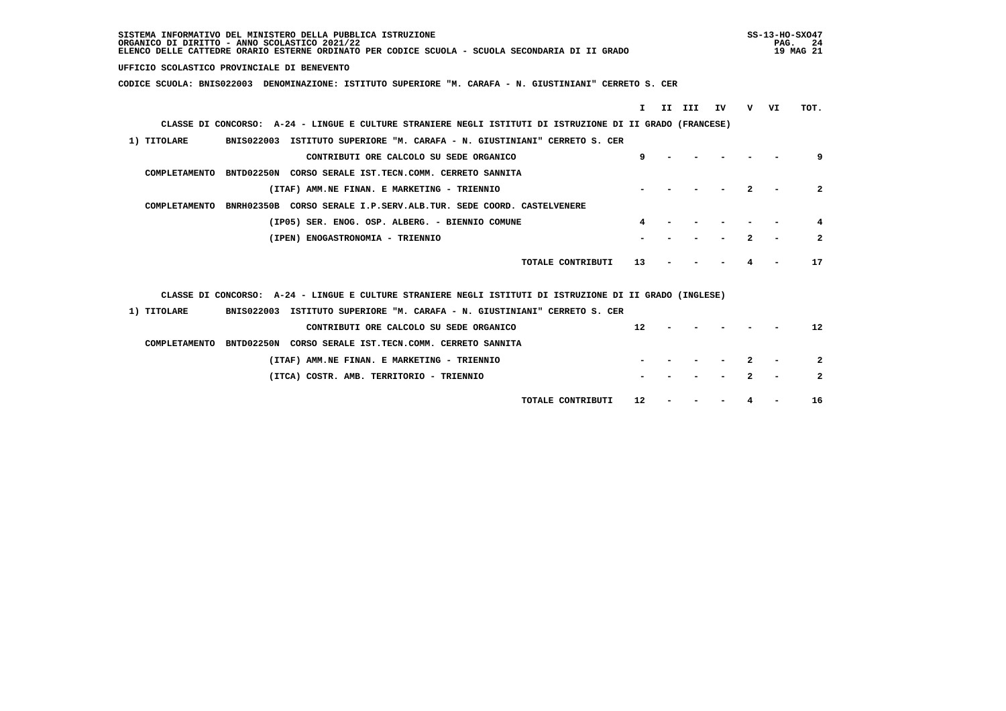| SISTEMA INFORMATIVO DEL MINISTERO DELLA PUBBLICA ISTRUZIONE<br>ORGANICO DI DIRITTO - ANNO SCOLASTICO 2021/22<br>ELENCO DELLE CATTEDRE ORARIO ESTERNE ORDINATO PER CODICE SCUOLA - SCUOLA SECONDARIA DI II GRADO |   |    |                |  |  |
|-----------------------------------------------------------------------------------------------------------------------------------------------------------------------------------------------------------------|---|----|----------------|--|--|
| UFFICIO SCOLASTICO PROVINCIALE DI BENEVENTO                                                                                                                                                                     |   |    |                |  |  |
| CODICE SCUOLA: BNIS022003 DENOMINAZIONE: ISTITUTO SUPERIORE "M. CARAFA - N. GIUSTINIANI" CERRETO S. CER                                                                                                         |   |    |                |  |  |
|                                                                                                                                                                                                                 |   |    |                |  |  |
| T.<br>II III<br>IV                                                                                                                                                                                              | v | VI | TOT.           |  |  |
| CLASSE DI CONCORSO: A-24 - LINGUE E CULTURE STRANIERE NEGLI ISTITUTI DI ISTRUZIONE DI II GRADO (FRANCESE)                                                                                                       |   |    |                |  |  |
| 1) TITOLARE<br>BNIS022003 ISTITUTO SUPERIORE "M. CARAFA - N. GIUSTINIANI" CERRETO S. CER                                                                                                                        |   |    |                |  |  |
| 9<br>CONTRIBUTI ORE CALCOLO SU SEDE ORGANICO                                                                                                                                                                    |   |    | 9              |  |  |
| COMPLETAMENTO BNTD02250N CORSO SERALE IST.TECN.COMM. CERRETO SANNITA                                                                                                                                            |   |    |                |  |  |
| (ITAF) AMM.NE FINAN. E MARKETING - TRIENNIO                                                                                                                                                                     |   |    | $\overline{2}$ |  |  |
| BNRH02350B CORSO SERALE I.P.SERV.ALB.TUR. SEDE COORD. CASTELVENERE<br>COMPLETAMENTO                                                                                                                             |   |    |                |  |  |
| (IP05) SER. ENOG. OSP. ALBERG. - BIENNIO COMUNE<br>4                                                                                                                                                            |   |    | 4              |  |  |
| (IPEN) ENOGASTRONOMIA - TRIENNIO                                                                                                                                                                                |   |    | $\overline{2}$ |  |  |
|                                                                                                                                                                                                                 |   |    |                |  |  |
| TOTALE CONTRIBUTI<br>13                                                                                                                                                                                         |   |    | 17             |  |  |
|                                                                                                                                                                                                                 |   |    |                |  |  |
| CLASSE DI CONCORSO: A-24 - LINGUE E CULTURE STRANIERE NEGLI ISTITUTI DI ISTRUZIONE DI II GRADO (INGLESE)                                                                                                        |   |    |                |  |  |
| 1) TITOLARE<br>BNIS022003 ISTITUTO SUPERIORE "M. CARAFA - N. GIUSTINIANI" CERRETO S. CER                                                                                                                        |   |    |                |  |  |
| 12<br>CONTRIBUTI ORE CALCOLO SU SEDE ORGANICO                                                                                                                                                                   |   |    | 12             |  |  |
| COMPLETAMENTO BNTD02250N CORSO SERALE IST.TECN.COMM. CERRETO SANNITA                                                                                                                                            |   |    |                |  |  |
| (ITAF) AMM.NE FINAN. E MARKETING - TRIENNIO                                                                                                                                                                     |   |    | $\overline{2}$ |  |  |
| (ITCA) COSTR. AMB. TERRITORIO - TRIENNIO                                                                                                                                                                        |   |    | $\mathbf{2}$   |  |  |
|                                                                                                                                                                                                                 |   |    |                |  |  |
| TOTALE CONTRIBUTI<br>12                                                                                                                                                                                         |   |    | 16             |  |  |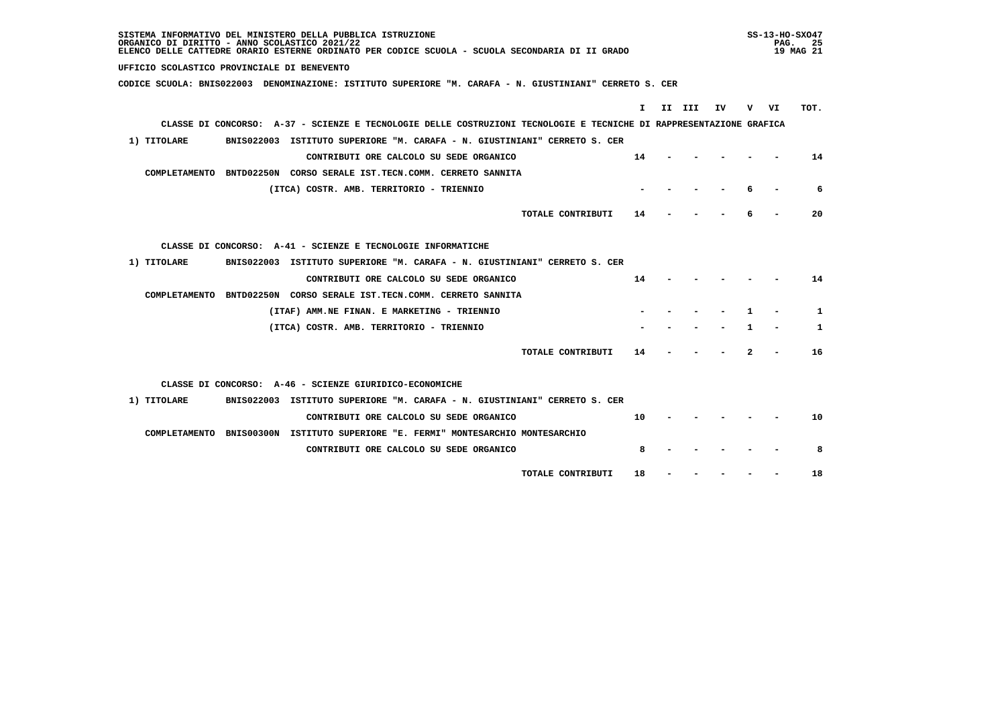| SISTEMA INFORMATIVO DEL MINISTERO DELLA PUBBLICA ISTRUZIONE<br>ORGANICO DI DIRITTO - ANNO SCOLASTICO 2021/22<br>ELENCO DELLE CATTEDRE ORARIO ESTERNE ORDINATO PER CODICE SCUOLA - SCUOLA SECONDARIA DI II GRADO |    |        |     |    | PAG. | $SS-13-HO-SXO47$<br>-25<br>19 MAG 21 |
|-----------------------------------------------------------------------------------------------------------------------------------------------------------------------------------------------------------------|----|--------|-----|----|------|--------------------------------------|
| UFFICIO SCOLASTICO PROVINCIALE DI BENEVENTO                                                                                                                                                                     |    |        |     |    |      |                                      |
| CODICE SCUOLA: BNIS022003 DENOMINAZIONE: ISTITUTO SUPERIORE "M. CARAFA - N. GIUSTINIANI" CERRETO S. CER                                                                                                         |    |        |     |    |      |                                      |
|                                                                                                                                                                                                                 |    |        |     |    |      | TOT.                                 |
| CLASSE DI CONCORSO: A-37 - SCIENZE E TECNOLOGIE DELLE COSTRUZIONI TECNOLOGIE E TECNICHE DI RAPPRESENTAZIONE GRAFICA                                                                                             | I. | II III | IV. |    | v vı |                                      |
|                                                                                                                                                                                                                 |    |        |     |    |      |                                      |
| 1) TITOLARE<br>BNIS022003 ISTITUTO SUPERIORE "M. CARAFA - N. GIUSTINIANI" CERRETO S. CER                                                                                                                        |    |        |     |    |      |                                      |
| CONTRIBUTI ORE CALCOLO SU SEDE ORGANICO<br>14                                                                                                                                                                   |    |        |     |    |      | 14                                   |
| COMPLETAMENTO BNTD02250N CORSO SERALE IST.TECN.COMM. CERRETO SANNITA                                                                                                                                            |    |        |     |    |      |                                      |
| (ITCA) COSTR. AMB. TERRITORIO - TRIENNIO                                                                                                                                                                        |    |        |     |    |      | 6                                    |
| TOTALE CONTRIBUTI<br>14                                                                                                                                                                                         |    |        |     |    |      | 20                                   |
| CLASSE DI CONCORSO: A-41 - SCIENZE E TECNOLOGIE INFORMATICHE                                                                                                                                                    |    |        |     |    |      |                                      |
| 1) TITOLARE<br>BNIS022003 ISTITUTO SUPERIORE "M. CARAFA - N. GIUSTINIANI" CERRETO S. CER                                                                                                                        |    |        |     |    |      |                                      |
| CONTRIBUTI ORE CALCOLO SU SEDE ORGANICO<br>14                                                                                                                                                                   |    |        |     |    |      | 14                                   |
| COMPLETAMENTO BNTD02250N CORSO SERALE IST.TECN.COMM. CERRETO SANNITA                                                                                                                                            |    |        |     |    |      |                                      |
| (ITAF) AMM.NE FINAN. E MARKETING - TRIENNIO                                                                                                                                                                     |    |        |     | п. |      | 1                                    |
| (ITCA) COSTR. AMB. TERRITORIO - TRIENNIO                                                                                                                                                                        |    |        |     | 1  |      | 1                                    |
| TOTALE CONTRIBUTI<br>14                                                                                                                                                                                         |    |        |     | 2  |      | 16                                   |
| CLASSE DI CONCORSO: A-46 - SCIENZE GIURIDICO-ECONOMICHE                                                                                                                                                         |    |        |     |    |      |                                      |
| 1) TITOLARE<br>BNIS022003 ISTITUTO SUPERIORE "M. CARAFA - N. GIUSTINIANI" CERRETO S. CER                                                                                                                        |    |        |     |    |      |                                      |
| 10<br>CONTRIBUTI ORE CALCOLO SU SEDE ORGANICO                                                                                                                                                                   |    |        |     |    |      | 10                                   |
| COMPLETAMENTO BNIS00300N ISTITUTO SUPERIORE "E. FERMI" MONTESARCHIO MONTESARCHIO                                                                                                                                |    |        |     |    |      |                                      |
| CONTRIBUTI ORE CALCOLO SU SEDE ORGANICO                                                                                                                                                                         | 8  |        |     |    |      | 8                                    |
| 18<br>TOTALE CONTRIBUTI                                                                                                                                                                                         |    |        |     |    |      | 18                                   |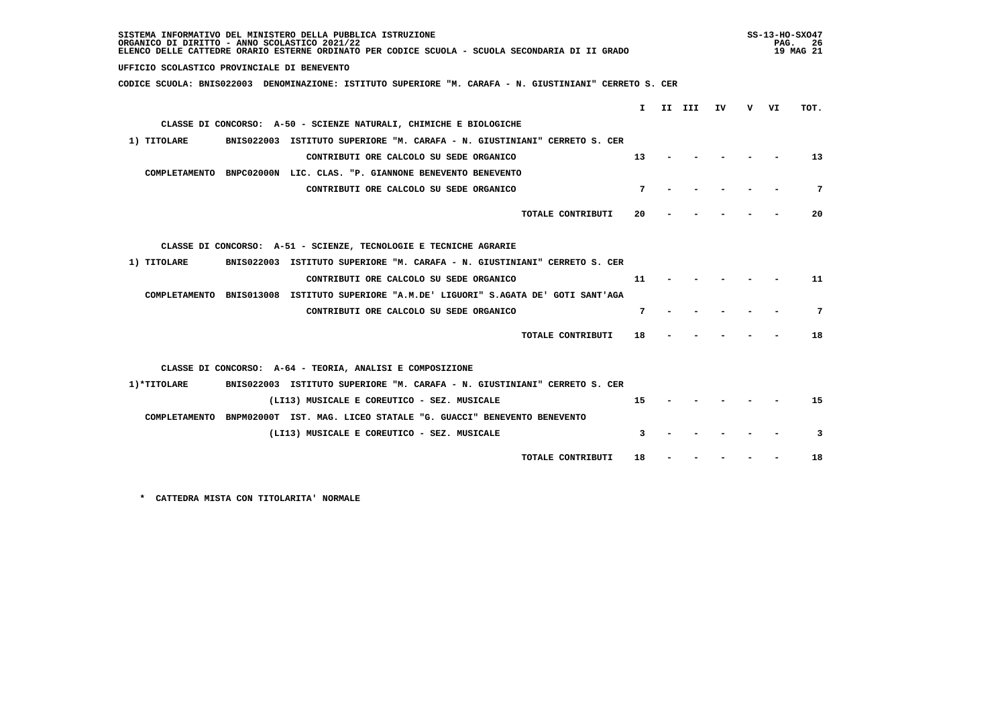| SISTEMA INFORMATIVO DEL MINISTERO DELLA PUBBLICA ISTRUZIONE<br>ORGANICO DI DIRITTO - ANNO SCOLASTICO 2021/22<br>ELENCO DELLE CATTEDRE ORARIO ESTERNE ORDINATO PER CODICE SCUOLA - SCUOLA SECONDARIA DI II GRADO |              |        |    | PAG. | $SS-13-HO-SXO47$<br>- 26<br>19 MAG 21 |
|-----------------------------------------------------------------------------------------------------------------------------------------------------------------------------------------------------------------|--------------|--------|----|------|---------------------------------------|
| UFFICIO SCOLASTICO PROVINCIALE DI BENEVENTO                                                                                                                                                                     |              |        |    |      |                                       |
| CODICE SCUOLA: BNIS022003 DENOMINAZIONE: ISTITUTO SUPERIORE "M. CARAFA - N. GIUSTINIANI" CERRETO S. CER                                                                                                         |              |        |    |      |                                       |
|                                                                                                                                                                                                                 | $\mathbf{I}$ | II III | IV | v vı | TOT.                                  |
| CLASSE DI CONCORSO: A-50 - SCIENZE NATURALI, CHIMICHE E BIOLOGICHE                                                                                                                                              |              |        |    |      |                                       |
|                                                                                                                                                                                                                 |              |        |    |      |                                       |
| 1) TITOLARE<br>BNIS022003 ISTITUTO SUPERIORE "M. CARAFA - N. GIUSTINIANI" CERRETO S. CER                                                                                                                        |              |        |    |      |                                       |
| CONTRIBUTI ORE CALCOLO SU SEDE ORGANICO                                                                                                                                                                         | 13           |        |    |      | 13                                    |
| COMPLETAMENTO BNPC02000N LIC. CLAS. "P. GIANNONE BENEVENTO BENEVENTO                                                                                                                                            |              |        |    |      |                                       |
| CONTRIBUTI ORE CALCOLO SU SEDE ORGANICO                                                                                                                                                                         | 7            |        |    |      | 7                                     |
| TOTALE CONTRIBUTI                                                                                                                                                                                               | 20           |        |    |      | 20                                    |
| CLASSE DI CONCORSO: A-51 - SCIENZE, TECNOLOGIE E TECNICHE AGRARIE                                                                                                                                               |              |        |    |      |                                       |
| BNIS022003 ISTITUTO SUPERIORE "M. CARAFA - N. GIUSTINIANI" CERRETO S. CER<br>1) TITOLARE                                                                                                                        |              |        |    |      |                                       |
| CONTRIBUTI ORE CALCOLO SU SEDE ORGANICO                                                                                                                                                                         | 11           |        |    |      | 11                                    |
| COMPLETAMENTO BNIS013008 ISTITUTO SUPERIORE "A.M.DE' LIGUORI" S.AGATA DE' GOTI SANT'AGA                                                                                                                         |              |        |    |      |                                       |
| CONTRIBUTI ORE CALCOLO SU SEDE ORGANICO                                                                                                                                                                         | 7            |        |    |      | 7                                     |
| TOTALE CONTRIBUTI                                                                                                                                                                                               | 18           |        |    |      | 18                                    |
| CLASSE DI CONCORSO: A-64 - TEORIA, ANALISI E COMPOSIZIONE                                                                                                                                                       |              |        |    |      |                                       |
| 1) *TITOLARE<br>BNIS022003 ISTITUTO SUPERIORE "M. CARAFA - N. GIUSTINIANI" CERRETO S. CER                                                                                                                       |              |        |    |      |                                       |
| (LI13) MUSICALE E COREUTICO - SEZ. MUSICALE                                                                                                                                                                     | 15           |        |    |      | 15                                    |
| COMPLETAMENTO BNPM02000T IST. MAG. LICEO STATALE "G. GUACCI" BENEVENTO BENEVENTO                                                                                                                                |              |        |    |      |                                       |
| (LI13) MUSICALE E COREUTICO - SEZ. MUSICALE                                                                                                                                                                     | 3            |        |    |      | 3                                     |
| TOTALE CONTRIBUTI                                                                                                                                                                                               | 18           |        |    |      | 18                                    |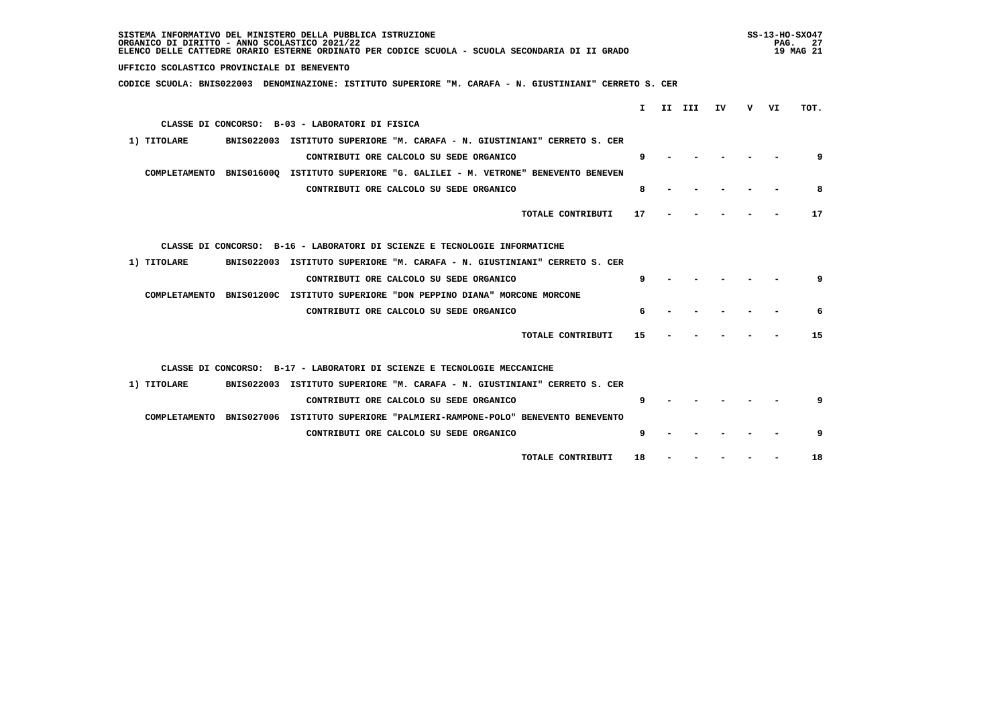| SISTEMA INFORMATIVO DEL MINISTERO DELLA PUBBLICA ISTRUZIONE<br>ORGANICO DI DIRITTO - ANNO SCOLASTICO 2021/22<br>ELENCO DELLE CATTEDRE ORARIO ESTERNE ORDINATO PER CODICE SCUOLA - SCUOLA SECONDARIA DI II GRADO |    | $SS-13-HO-SXO47$<br>PAG.<br>19 MAG 21 | - 27 |
|-----------------------------------------------------------------------------------------------------------------------------------------------------------------------------------------------------------------|----|---------------------------------------|------|
| UFFICIO SCOLASTICO PROVINCIALE DI BENEVENTO                                                                                                                                                                     |    |                                       |      |
| CODICE SCUOLA: BNIS022003 DENOMINAZIONE: ISTITUTO SUPERIORE "M. CARAFA - N. GIUSTINIANI" CERRETO S. CER                                                                                                         |    |                                       |      |
| I.<br>II III<br>ΙV                                                                                                                                                                                              | v. | VI                                    | TOT. |
|                                                                                                                                                                                                                 |    |                                       |      |
| CLASSE DI CONCORSO: B-03 - LABORATORI DI FISICA                                                                                                                                                                 |    |                                       |      |
| BNIS022003 ISTITUTO SUPERIORE "M. CARAFA - N. GIUSTINIANI" CERRETO S. CER<br>1) TITOLARE                                                                                                                        |    |                                       |      |
| 9<br>CONTRIBUTI ORE CALCOLO SU SEDE ORGANICO                                                                                                                                                                    |    |                                       | 9    |
| COMPLETAMENTO BNIS016000 ISTITUTO SUPERIORE "G. GALILEI - M. VETRONE" BENEVENTO BENEVEN                                                                                                                         |    |                                       |      |
| 8<br>CONTRIBUTI ORE CALCOLO SU SEDE ORGANICO                                                                                                                                                                    |    |                                       | 8    |
| TOTALE CONTRIBUTI<br>17                                                                                                                                                                                         |    |                                       | 17   |
| CLASSE DI CONCORSO: B-16 - LABORATORI DI SCIENZE E TECNOLOGIE INFORMATICHE                                                                                                                                      |    |                                       |      |
| 1) TITOLARE<br>BNIS022003 ISTITUTO SUPERIORE "M. CARAFA - N. GIUSTINIANI" CERRETO S. CER                                                                                                                        |    |                                       |      |
| 9<br>CONTRIBUTI ORE CALCOLO SU SEDE ORGANICO                                                                                                                                                                    |    |                                       | 9    |
| COMPLETAMENTO BNIS01200C ISTITUTO SUPERIORE "DON PEPPINO DIANA" MORCONE MORCONE                                                                                                                                 |    |                                       |      |
| CONTRIBUTI ORE CALCOLO SU SEDE ORGANICO<br>6                                                                                                                                                                    |    |                                       | 6    |
| TOTALE CONTRIBUTI<br>15                                                                                                                                                                                         |    |                                       | 15   |
| CLASSE DI CONCORSO: B-17 - LABORATORI DI SCIENZE E TECNOLOGIE MECCANICHE                                                                                                                                        |    |                                       |      |
| 1) TITOLARE<br>BNIS022003 ISTITUTO SUPERIORE "M. CARAFA - N. GIUSTINIANI" CERRETO S. CER                                                                                                                        |    |                                       |      |
| q                                                                                                                                                                                                               |    |                                       | q    |
| CONTRIBUTI ORE CALCOLO SU SEDE ORGANICO                                                                                                                                                                         |    |                                       |      |
| COMPLETAMENTO BNIS027006 ISTITUTO SUPERIORE "PALMIERI-RAMPONE-POLO" BENEVENTO BENEVENTO                                                                                                                         |    |                                       |      |
| 9<br>CONTRIBUTI ORE CALCOLO SU SEDE ORGANICO                                                                                                                                                                    |    |                                       | 9    |
| TOTALE CONTRIBUTI<br>18                                                                                                                                                                                         |    |                                       | 18   |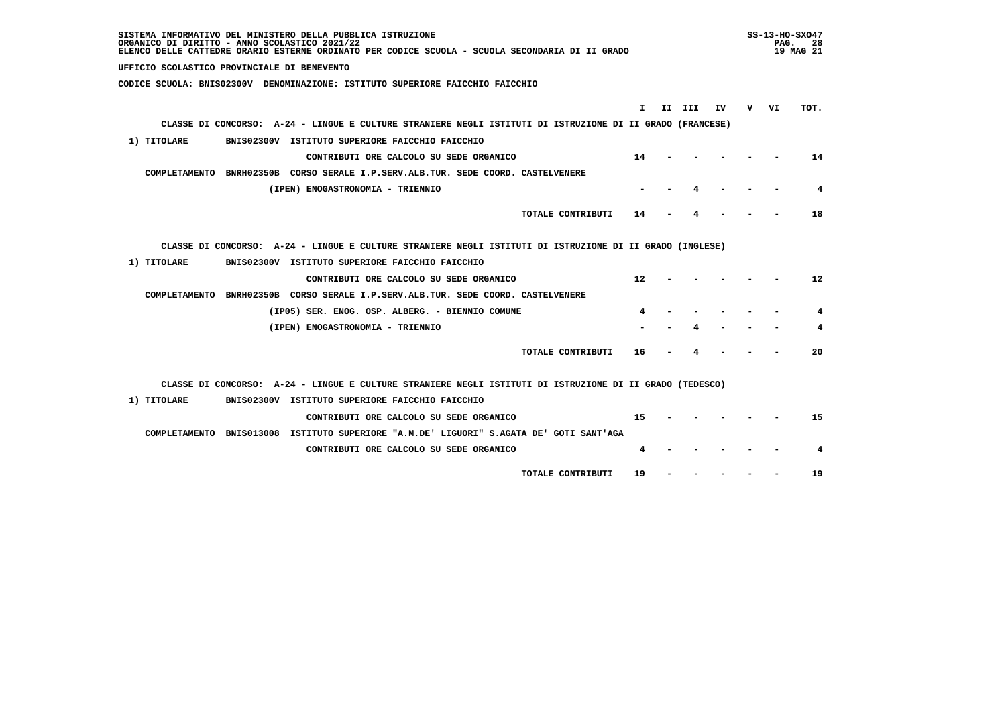| SISTEMA INFORMATIVO DEL MINISTERO DELLA PUBBLICA ISTRUZIONE<br>ORGANICO DI DIRITTO - ANNO SCOLASTICO 2021/22<br>ELENCO DELLE CATTEDRE ORARIO ESTERNE ORDINATO PER CODICE SCUOLA - SCUOLA SECONDARIA DI II GRADO |     | $SS-13-HO-SXO47$<br>PAG. | -28<br>19 MAG 21 |
|-----------------------------------------------------------------------------------------------------------------------------------------------------------------------------------------------------------------|-----|--------------------------|------------------|
| UFFICIO SCOLASTICO PROVINCIALE DI BENEVENTO                                                                                                                                                                     |     |                          |                  |
| CODICE SCUOLA: BNIS02300V DENOMINAZIONE: ISTITUTO SUPERIORE FAICCHIO FAICCHIO                                                                                                                                   |     |                          |                  |
| I.                                                                                                                                                                                                              | v — |                          |                  |
| II III<br>IV.<br>CLASSE DI CONCORSO: A-24 - LINGUE E CULTURE STRANIERE NEGLI ISTITUTI DI ISTRUZIONE DI II GRADO (FRANCESE)                                                                                      |     | VI                       | TOT.             |
|                                                                                                                                                                                                                 |     |                          |                  |
| 1) TITOLARE<br>BNIS02300V ISTITUTO SUPERIORE FAICCHIO FAICCHIO                                                                                                                                                  |     |                          |                  |
| CONTRIBUTI ORE CALCOLO SU SEDE ORGANICO<br>14                                                                                                                                                                   |     |                          | 14               |
| COMPLETAMENTO BNRH02350B CORSO SERALE I.P.SERV.ALB.TUR. SEDE COORD. CASTELVENERE                                                                                                                                |     |                          |                  |
| (IPEN) ENOGASTRONOMIA - TRIENNIO                                                                                                                                                                                |     |                          | 4                |
| TOTALE CONTRIBUTI<br>14                                                                                                                                                                                         |     |                          | 18               |
|                                                                                                                                                                                                                 |     |                          |                  |
| CLASSE DI CONCORSO: A-24 - LINGUE E CULTURE STRANIERE NEGLI ISTITUTI DI ISTRUZIONE DI II GRADO (INGLESE)                                                                                                        |     |                          |                  |
| 1) TITOLARE<br>BNIS02300V ISTITUTO SUPERIORE FAICCHIO FAICCHIO                                                                                                                                                  |     |                          |                  |
| CONTRIBUTI ORE CALCOLO SU SEDE ORGANICO<br>12                                                                                                                                                                   |     |                          | 12               |
| COMPLETAMENTO BNRH02350B CORSO SERALE I.P.SERV.ALB.TUR. SEDE COORD. CASTELVENERE                                                                                                                                |     |                          |                  |
| (IP05) SER. ENOG. OSP. ALBERG. - BIENNIO COMUNE                                                                                                                                                                 |     |                          | 4                |
| (IPEN) ENOGASTRONOMIA - TRIENNIO                                                                                                                                                                                |     |                          | 4                |
|                                                                                                                                                                                                                 |     |                          |                  |
| TOTALE CONTRIBUTI<br>16                                                                                                                                                                                         |     |                          | 20               |
|                                                                                                                                                                                                                 |     |                          |                  |
| CLASSE DI CONCORSO: A-24 - LINGUE E CULTURE STRANIERE NEGLI ISTITUTI DI ISTRUZIONE DI II GRADO (TEDESCO)                                                                                                        |     |                          |                  |
| 1) TITOLARE<br>BNIS02300V ISTITUTO SUPERIORE FAICCHIO FAICCHIO                                                                                                                                                  |     |                          |                  |
| CONTRIBUTI ORE CALCOLO SU SEDE ORGANICO<br>15                                                                                                                                                                   |     |                          | 15               |
| COMPLETAMENTO BNIS013008 ISTITUTO SUPERIORE "A.M.DE' LIGUORI" S.AGATA DE' GOTI SANT'AGA                                                                                                                         |     |                          |                  |
| CONTRIBUTI ORE CALCOLO SU SEDE ORGANICO<br>4                                                                                                                                                                    |     |                          | 4                |
|                                                                                                                                                                                                                 |     |                          |                  |
| TOTALE CONTRIBUTI<br>19                                                                                                                                                                                         |     |                          | 19               |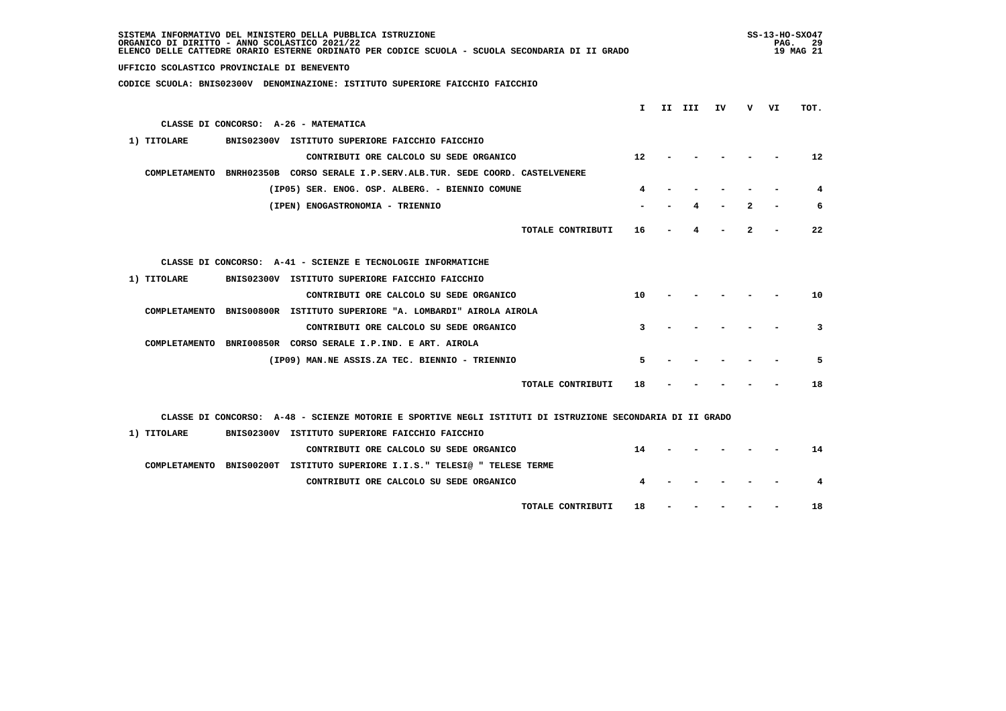| SISTEMA INFORMATIVO DEL MINISTERO DELLA PUBBLICA ISTRUZIONE<br>ORGANICO DI DIRITTO - ANNO SCOLASTICO 2021/22<br>ELENCO DELLE CATTEDRE ORARIO ESTERNE ORDINATO PER CODICE SCUOLA - SCUOLA SECONDARIA DI II GRADO |                   |        |     |     | PAG. | $SS-13-HO-SXO47$<br>- 29<br>19 MAG 21 |
|-----------------------------------------------------------------------------------------------------------------------------------------------------------------------------------------------------------------|-------------------|--------|-----|-----|------|---------------------------------------|
| UFFICIO SCOLASTICO PROVINCIALE DI BENEVENTO                                                                                                                                                                     |                   |        |     |     |      |                                       |
| CODICE SCUOLA: BNIS02300V DENOMINAZIONE: ISTITUTO SUPERIORE FAICCHIO FAICCHIO                                                                                                                                   |                   |        |     |     |      |                                       |
|                                                                                                                                                                                                                 | T                 | II III |     | v — | VI   | TOT.                                  |
|                                                                                                                                                                                                                 |                   |        | IV. |     |      |                                       |
| CLASSE DI CONCORSO: A-26 - MATEMATICA                                                                                                                                                                           |                   |        |     |     |      |                                       |
| 1) TITOLARE<br>BNIS02300V ISTITUTO SUPERIORE FAICCHIO FAICCHIO                                                                                                                                                  |                   |        |     |     |      |                                       |
| CONTRIBUTI ORE CALCOLO SU SEDE ORGANICO                                                                                                                                                                         | $12 \overline{ }$ |        |     |     |      | 12                                    |
| COMPLETAMENTO BNRH02350B CORSO SERALE I.P.SERV.ALB.TUR. SEDE COORD. CASTELVENERE                                                                                                                                |                   |        |     |     |      |                                       |
| (IP05) SER. ENOG. OSP. ALBERG. - BIENNIO COMUNE                                                                                                                                                                 | 4                 |        |     |     |      | 4                                     |
| (IPEN) ENOGASTRONOMIA - TRIENNIO                                                                                                                                                                                |                   |        |     |     |      | 6                                     |
| TOTALE CONTRIBUTI                                                                                                                                                                                               | 16                |        |     |     |      | 22                                    |
| CLASSE DI CONCORSO: A-41 - SCIENZE E TECNOLOGIE INFORMATICHE                                                                                                                                                    |                   |        |     |     |      |                                       |
| 1) TITOLARE<br>BNIS02300V ISTITUTO SUPERIORE FAICCHIO FAICCHIO                                                                                                                                                  |                   |        |     |     |      |                                       |
| CONTRIBUTI ORE CALCOLO SU SEDE ORGANICO                                                                                                                                                                         | 10                |        |     |     |      | 10                                    |
| COMPLETAMENTO BNIS00800R ISTITUTO SUPERIORE "A. LOMBARDI" AIROLA AIROLA                                                                                                                                         |                   |        |     |     |      |                                       |
| CONTRIBUTI ORE CALCOLO SU SEDE ORGANICO                                                                                                                                                                         | 3                 |        |     |     |      | 3                                     |
| COMPLETAMENTO BNRI00850R CORSO SERALE I.P.IND. E ART. AIROLA                                                                                                                                                    |                   |        |     |     |      |                                       |
| (IP09) MAN.NE ASSIS.ZA TEC. BIENNIO - TRIENNIO                                                                                                                                                                  | 5                 |        |     |     |      | 5                                     |
| TOTALE CONTRIBUTI                                                                                                                                                                                               | 18                |        |     |     |      | 18                                    |
| CLASSE DI CONCORSO: A-48 - SCIENZE MOTORIE E SPORTIVE NEGLI ISTITUTI DI ISTRUZIONE SECONDARIA DI II GRADO                                                                                                       |                   |        |     |     |      |                                       |
| BNIS02300V ISTITUTO SUPERIORE FAICCHIO FAICCHIO<br>1) TITOLARE                                                                                                                                                  |                   |        |     |     |      |                                       |
| CONTRIBUTI ORE CALCOLO SU SEDE ORGANICO                                                                                                                                                                         | 14                |        |     |     |      | 14                                    |
| COMPLETAMENTO BNIS00200T ISTITUTO SUPERIORE I.I.S." TELESI@ " TELESE TERME                                                                                                                                      |                   |        |     |     |      |                                       |
| CONTRIBUTI ORE CALCOLO SU SEDE ORGANICO                                                                                                                                                                         | 4                 |        |     |     |      | 4                                     |
|                                                                                                                                                                                                                 |                   |        |     |     |      |                                       |
| TOTALE CONTRIBUTI                                                                                                                                                                                               | 18                |        |     |     |      | 18                                    |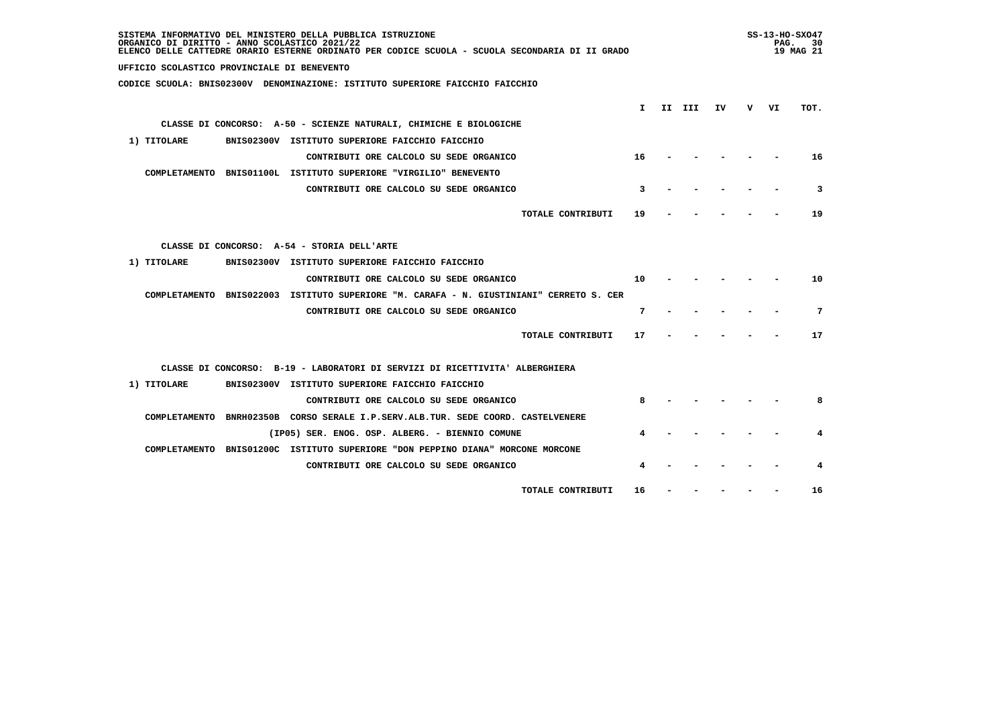| SISTEMA INFORMATIVO DEL MINISTERO DELLA PUBBLICA ISTRUZIONE<br>ORGANICO DI DIRITTO - ANNO SCOLASTICO 2021/22<br>ELENCO DELLE CATTEDRE ORARIO ESTERNE ORDINATO PER CODICE SCUOLA - SCUOLA SECONDARIA DI II GRADO |        |    |   | $SS-13-HO-SXO47$<br>PAG. | 30<br>19 MAG 21 |
|-----------------------------------------------------------------------------------------------------------------------------------------------------------------------------------------------------------------|--------|----|---|--------------------------|-----------------|
| UFFICIO SCOLASTICO PROVINCIALE DI BENEVENTO                                                                                                                                                                     |        |    |   |                          |                 |
| CODICE SCUOLA: BNIS02300V DENOMINAZIONE: ISTITUTO SUPERIORE FAICCHIO FAICCHIO                                                                                                                                   |        |    |   |                          |                 |
|                                                                                                                                                                                                                 |        |    |   |                          |                 |
| T.                                                                                                                                                                                                              | II III | IV | v | VI                       | TOT.            |
| CLASSE DI CONCORSO: A-50 - SCIENZE NATURALI, CHIMICHE E BIOLOGICHE                                                                                                                                              |        |    |   |                          |                 |
| 1) TITOLARE<br>BNIS02300V ISTITUTO SUPERIORE FAICCHIO FAICCHIO                                                                                                                                                  |        |    |   |                          |                 |
| CONTRIBUTI ORE CALCOLO SU SEDE ORGANICO<br>16                                                                                                                                                                   |        |    |   |                          | 16              |
| COMPLETAMENTO BNIS01100L ISTITUTO SUPERIORE "VIRGILIO" BENEVENTO                                                                                                                                                |        |    |   |                          |                 |
| CONTRIBUTI ORE CALCOLO SU SEDE ORGANICO<br>3                                                                                                                                                                    |        |    |   |                          | 3               |
| TOTALE CONTRIBUTI<br>19                                                                                                                                                                                         |        |    |   |                          | 19              |
| CLASSE DI CONCORSO: A-54 - STORIA DELL'ARTE                                                                                                                                                                     |        |    |   |                          |                 |
| 1) TITOLARE<br>BNIS02300V ISTITUTO SUPERIORE FAICCHIO FAICCHIO                                                                                                                                                  |        |    |   |                          |                 |
| 10<br>CONTRIBUTI ORE CALCOLO SU SEDE ORGANICO                                                                                                                                                                   |        |    |   |                          | 10              |
| COMPLETAMENTO BNIS022003 ISTITUTO SUPERIORE "M. CARAFA - N. GIUSTINIANI" CERRETO S. CER                                                                                                                         |        |    |   |                          |                 |
| CONTRIBUTI ORE CALCOLO SU SEDE ORGANICO<br>7                                                                                                                                                                    |        |    |   |                          | 7               |
| TOTALE CONTRIBUTI<br>17                                                                                                                                                                                         |        |    |   |                          | 17              |
|                                                                                                                                                                                                                 |        |    |   |                          |                 |
| CLASSE DI CONCORSO: B-19 - LABORATORI DI SERVIZI DI RICETTIVITA' ALBERGHIERA                                                                                                                                    |        |    |   |                          |                 |
| 1) TITOLARE<br>BNIS02300V ISTITUTO SUPERIORE FAICCHIO FAICCHIO                                                                                                                                                  |        |    |   |                          |                 |
| CONTRIBUTI ORE CALCOLO SU SEDE ORGANICO                                                                                                                                                                         |        |    |   |                          | 8               |
| COMPLETAMENTO BNRH02350B CORSO SERALE I.P.SERV.ALB.TUR. SEDE COORD. CASTELVENERE                                                                                                                                |        |    |   |                          |                 |
| (IP05) SER. ENOG. OSP. ALBERG. - BIENNIO COMUNE                                                                                                                                                                 |        |    |   |                          | 4               |
| COMPLETAMENTO BNIS01200C ISTITUTO SUPERIORE "DON PEPPINO DIANA" MORCONE MORCONE                                                                                                                                 |        |    |   |                          |                 |
| CONTRIBUTI ORE CALCOLO SU SEDE ORGANICO                                                                                                                                                                         |        |    |   |                          | 4               |
| TOTALE CONTRIBUTI<br>16                                                                                                                                                                                         |        |    |   |                          | 16              |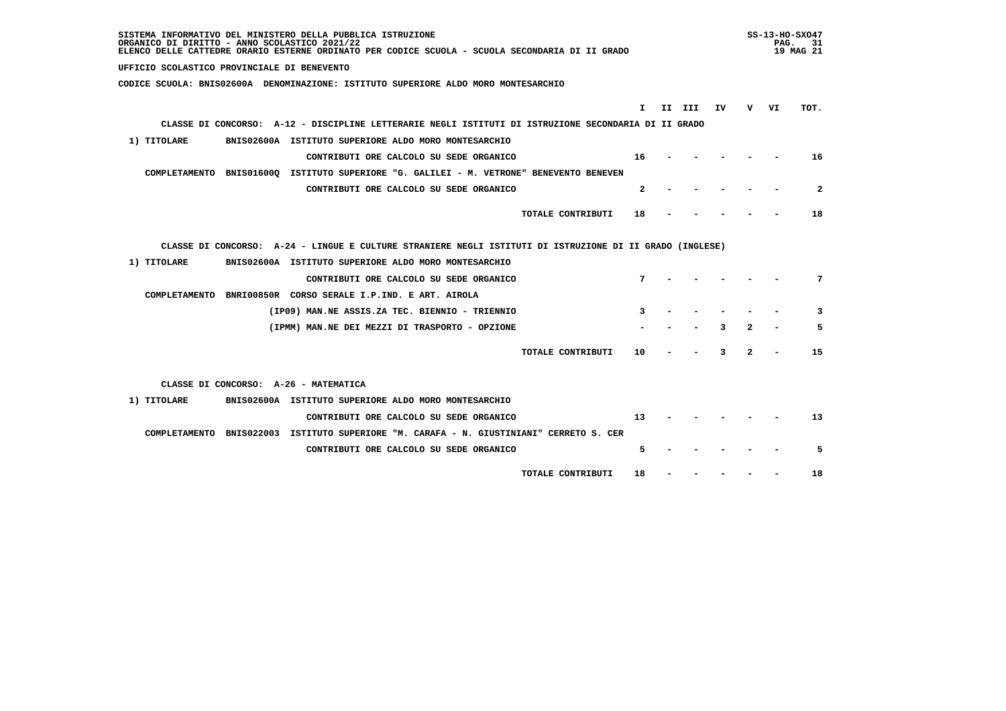| SISTEMA INFORMATIVO DEL MINISTERO DELLA PUBBLICA ISTRUZIONE<br>ORGANICO DI DIRITTO - ANNO SCOLASTICO 2021/22<br>ELENCO DELLE CATTEDRE ORARIO ESTERNE ORDINATO PER CODICE SCUOLA - SCUOLA SECONDARIA DI II GRADO |                | $SS-13-HO-SXO47$<br>PAG.<br>- 31<br>19 MAG 21 |
|-----------------------------------------------------------------------------------------------------------------------------------------------------------------------------------------------------------------|----------------|-----------------------------------------------|
| UFFICIO SCOLASTICO PROVINCIALE DI BENEVENTO                                                                                                                                                                     |                |                                               |
| CODICE SCUOLA: BNIS02600A DENOMINAZIONE: ISTITUTO SUPERIORE ALDO MORO MONTESARCHIO                                                                                                                              |                |                                               |
|                                                                                                                                                                                                                 |                |                                               |
| I.<br>II III<br>IV<br>CLASSE DI CONCORSO: A-12 - DISCIPLINE LETTERARIE NEGLI ISTITUTI DI ISTRUZIONE SECONDARIA DI II GRADO                                                                                      | v.             | VI<br>TOT.                                    |
|                                                                                                                                                                                                                 |                |                                               |
| 1) TITOLARE<br>BNIS02600A ISTITUTO SUPERIORE ALDO MORO MONTESARCHIO                                                                                                                                             |                |                                               |
| CONTRIBUTI ORE CALCOLO SU SEDE ORGANICO<br>16                                                                                                                                                                   |                | 16                                            |
| COMPLETAMENTO BNIS01600Q ISTITUTO SUPERIORE "G. GALILEI - M. VETRONE" BENEVENTO BENEVEN                                                                                                                         |                |                                               |
| CONTRIBUTI ORE CALCOLO SU SEDE ORGANICO<br>$\mathbf{2}$                                                                                                                                                         |                | $\overline{2}$                                |
| TOTALE CONTRIBUTI<br>18                                                                                                                                                                                         |                | 18                                            |
|                                                                                                                                                                                                                 |                |                                               |
| CLASSE DI CONCORSO: A-24 - LINGUE E CULTURE STRANIERE NEGLI ISTITUTI DI ISTRUZIONE DI II GRADO (INGLESE)                                                                                                        |                |                                               |
| 1) TITOLARE<br>BNIS02600A ISTITUTO SUPERIORE ALDO MORO MONTESARCHIO                                                                                                                                             |                |                                               |
| CONTRIBUTI ORE CALCOLO SU SEDE ORGANICO<br>7                                                                                                                                                                    |                | 7                                             |
| COMPLETAMENTO BNRI00850R CORSO SERALE I.P.IND. E ART. AIROLA                                                                                                                                                    |                |                                               |
| (IP09) MAN.NE ASSIS.ZA TEC. BIENNIO - TRIENNIO<br>3                                                                                                                                                             |                | 3                                             |
| 3<br>(IPMM) MAN.NE DEI MEZZI DI TRASPORTO - OPZIONE                                                                                                                                                             | $\overline{2}$ | 5                                             |
|                                                                                                                                                                                                                 |                |                                               |
| TOTALE CONTRIBUTI<br>10<br>3                                                                                                                                                                                    | $\overline{2}$ | 15                                            |
|                                                                                                                                                                                                                 |                |                                               |
| CLASSE DI CONCORSO: A-26 - MATEMATICA                                                                                                                                                                           |                |                                               |
| 1) TITOLARE<br>BNIS02600A ISTITUTO SUPERIORE ALDO MORO MONTESARCHIO                                                                                                                                             |                |                                               |
| CONTRIBUTI ORE CALCOLO SU SEDE ORGANICO<br>13                                                                                                                                                                   |                | 13                                            |
| COMPLETAMENTO BNIS022003 ISTITUTO SUPERIORE "M. CARAFA - N. GIUSTINIANI" CERRETO S. CER                                                                                                                         |                |                                               |
| 5<br>CONTRIBUTI ORE CALCOLO SU SEDE ORGANICO                                                                                                                                                                    |                | 5                                             |
| TOTALE CONTRIBUTI<br>18                                                                                                                                                                                         |                | 18                                            |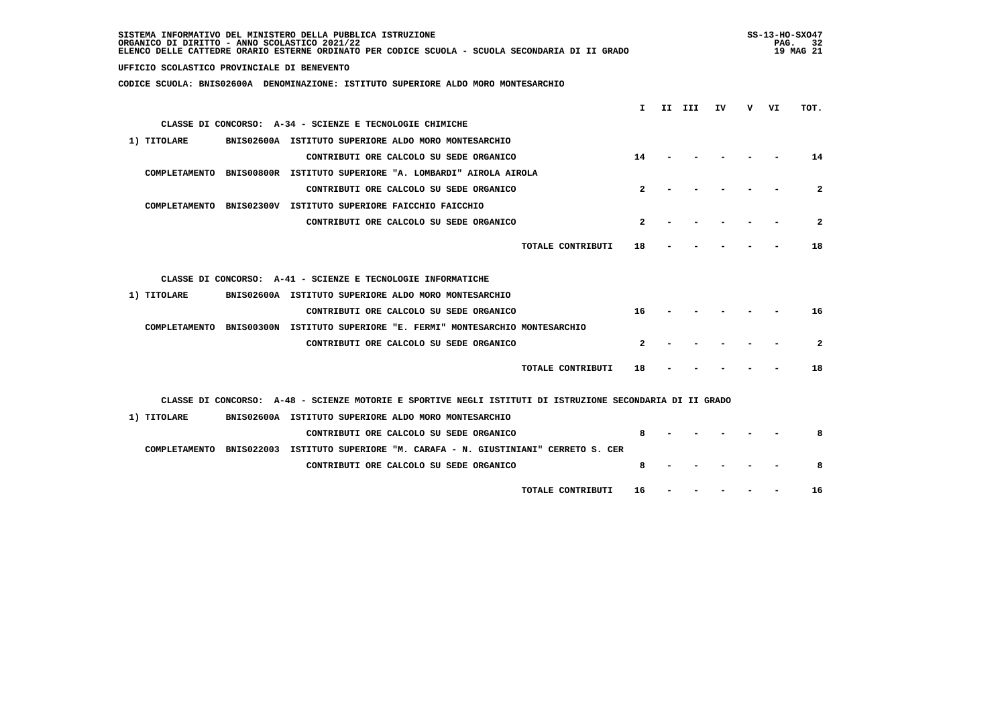| SISTEMA INFORMATIVO DEL MINISTERO DELLA PUBBLICA ISTRUZIONE<br>ORGANICO DI DIRITTO - ANNO SCOLASTICO 2021/22<br>ELENCO DELLE CATTEDRE ORARIO ESTERNE ORDINATO PER CODICE SCUOLA - SCUOLA SECONDARIA DI II GRADO |              |        |    |   | PAG. | SS-13-HO-SX047<br>32<br>19 MAG 21 |
|-----------------------------------------------------------------------------------------------------------------------------------------------------------------------------------------------------------------|--------------|--------|----|---|------|-----------------------------------|
| UFFICIO SCOLASTICO PROVINCIALE DI BENEVENTO                                                                                                                                                                     |              |        |    |   |      |                                   |
| CODICE SCUOLA: BNIS02600A DENOMINAZIONE: ISTITUTO SUPERIORE ALDO MORO MONTESARCHIO                                                                                                                              |              |        |    |   |      |                                   |
|                                                                                                                                                                                                                 | I.           |        | ΙV | v | VI   | TOT.                              |
| CLASSE DI CONCORSO: A-34 - SCIENZE E TECNOLOGIE CHIMICHE                                                                                                                                                        |              | II III |    |   |      |                                   |
|                                                                                                                                                                                                                 |              |        |    |   |      |                                   |
| 1) TITOLARE<br>BNIS02600A ISTITUTO SUPERIORE ALDO MORO MONTESARCHIO                                                                                                                                             |              |        |    |   |      |                                   |
| CONTRIBUTI ORE CALCOLO SU SEDE ORGANICO                                                                                                                                                                         | 14           |        |    |   |      | 14                                |
| COMPLETAMENTO BNIS00800R ISTITUTO SUPERIORE "A. LOMBARDI" AIROLA AIROLA                                                                                                                                         |              |        |    |   |      |                                   |
| CONTRIBUTI ORE CALCOLO SU SEDE ORGANICO                                                                                                                                                                         | 2            |        |    |   |      | $\mathbf{2}$                      |
| COMPLETAMENTO BNIS02300V ISTITUTO SUPERIORE FAICCHIO FAICCHIO                                                                                                                                                   |              |        |    |   |      |                                   |
| CONTRIBUTI ORE CALCOLO SU SEDE ORGANICO                                                                                                                                                                         | $\mathbf{2}$ |        |    |   |      | $\mathbf{2}$                      |
| TOTALE CONTRIBUTI                                                                                                                                                                                               | 18           |        |    |   |      | 18                                |
|                                                                                                                                                                                                                 |              |        |    |   |      |                                   |
| CLASSE DI CONCORSO: A-41 - SCIENZE E TECNOLOGIE INFORMATICHE                                                                                                                                                    |              |        |    |   |      |                                   |
| 1) TITOLARE<br>BNIS02600A ISTITUTO SUPERIORE ALDO MORO MONTESARCHIO                                                                                                                                             |              |        |    |   |      |                                   |
| CONTRIBUTI ORE CALCOLO SU SEDE ORGANICO                                                                                                                                                                         | 16           |        |    |   |      | 16                                |
| COMPLETAMENTO BNIS00300N ISTITUTO SUPERIORE "E. FERMI" MONTESARCHIO MONTESARCHIO                                                                                                                                |              |        |    |   |      |                                   |
| CONTRIBUTI ORE CALCOLO SU SEDE ORGANICO                                                                                                                                                                         | $\mathbf{2}$ |        |    |   |      | $\mathbf{2}$                      |
| TOTALE CONTRIBUTI                                                                                                                                                                                               | 18           |        |    |   |      | 18                                |
| CLASSE DI CONCORSO: A-48 - SCIENZE MOTORIE E SPORTIVE NEGLI ISTITUTI DI ISTRUZIONE SECONDARIA DI II GRADO                                                                                                       |              |        |    |   |      |                                   |
| 1) TITOLARE<br>BNIS02600A ISTITUTO SUPERIORE ALDO MORO MONTESARCHIO                                                                                                                                             |              |        |    |   |      |                                   |
| CONTRIBUTI ORE CALCOLO SU SEDE ORGANICO                                                                                                                                                                         | 8            |        |    |   |      | 8                                 |
| COMPLETAMENTO BNIS022003 ISTITUTO SUPERIORE "M. CARAFA - N. GIUSTINIANI" CERRETO S. CER                                                                                                                         |              |        |    |   |      |                                   |
| CONTRIBUTI ORE CALCOLO SU SEDE ORGANICO                                                                                                                                                                         | 8            |        |    |   |      | 8                                 |
|                                                                                                                                                                                                                 |              |        |    |   |      |                                   |
| TOTALE CONTRIBUTI                                                                                                                                                                                               | 16           |        |    |   |      | 16                                |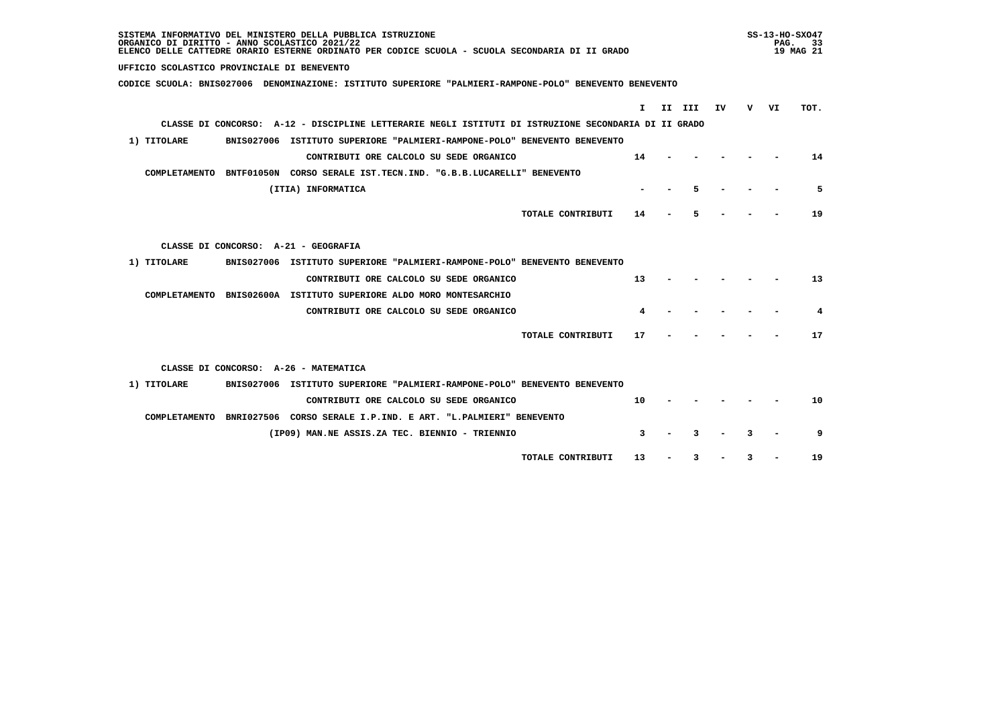| SISTEMA INFORMATIVO DEL MINISTERO DELLA PUBBLICA ISTRUZIONE<br>ORGANICO DI DIRITTO - ANNO SCOLASTICO 2021/22<br>ELENCO DELLE CATTEDRE ORARIO ESTERNE ORDINATO PER CODICE SCUOLA - SCUOLA SECONDARIA DI II GRADO |    |        |    |   | PAG. | $SS-13-HO-SXO47$<br>- 33<br>19 MAG 21 |
|-----------------------------------------------------------------------------------------------------------------------------------------------------------------------------------------------------------------|----|--------|----|---|------|---------------------------------------|
| UFFICIO SCOLASTICO PROVINCIALE DI BENEVENTO                                                                                                                                                                     |    |        |    |   |      |                                       |
| CODICE SCUOLA: BNIS027006 DENOMINAZIONE: ISTITUTO SUPERIORE "PALMIERI-RAMPONE-POLO" BENEVENTO BENEVENTO                                                                                                         |    |        |    |   |      |                                       |
|                                                                                                                                                                                                                 | T. | II III | IV |   | v vı | TOT.                                  |
| CLASSE DI CONCORSO: A-12 - DISCIPLINE LETTERARIE NEGLI ISTITUTI DI ISTRUZIONE SECONDARIA DI II GRADO                                                                                                            |    |        |    |   |      |                                       |
| 1) TITOLARE<br>BNIS027006 ISTITUTO SUPERIORE "PALMIERI-RAMPONE-POLO" BENEVENTO BENEVENTO                                                                                                                        |    |        |    |   |      |                                       |
| CONTRIBUTI ORE CALCOLO SU SEDE ORGANICO                                                                                                                                                                         | 14 |        |    |   |      | 14                                    |
| COMPLETAMENTO BNTF01050N CORSO SERALE IST.TECN.IND. "G.B.B.LUCARELLI" BENEVENTO                                                                                                                                 |    |        |    |   |      |                                       |
| (ITIA) INFORMATICA                                                                                                                                                                                              |    | 5      |    |   |      | 5                                     |
|                                                                                                                                                                                                                 |    |        |    |   |      |                                       |
| TOTALE CONTRIBUTI                                                                                                                                                                                               | 14 |        |    |   |      | 19                                    |
|                                                                                                                                                                                                                 |    |        |    |   |      |                                       |
| CLASSE DI CONCORSO: A-21 - GEOGRAFIA                                                                                                                                                                            |    |        |    |   |      |                                       |
| 1) TITOLARE<br>BNIS027006 ISTITUTO SUPERIORE "PALMIERI-RAMPONE-POLO" BENEVENTO BENEVENTO                                                                                                                        |    |        |    |   |      |                                       |
| CONTRIBUTI ORE CALCOLO SU SEDE ORGANICO                                                                                                                                                                         | 13 |        |    |   |      | 13                                    |
| COMPLETAMENTO BNIS02600A ISTITUTO SUPERIORE ALDO MORO MONTESARCHIO                                                                                                                                              |    |        |    |   |      |                                       |
| CONTRIBUTI ORE CALCOLO SU SEDE ORGANICO                                                                                                                                                                         | 4  |        |    |   |      | 4                                     |
| TOTALE CONTRIBUTI                                                                                                                                                                                               | 17 |        |    |   |      | 17                                    |
|                                                                                                                                                                                                                 |    |        |    |   |      |                                       |
| CLASSE DI CONCORSO: A-26 - MATEMATICA                                                                                                                                                                           |    |        |    |   |      |                                       |
| BNIS027006 ISTITUTO SUPERIORE "PALMIERI-RAMPONE-POLO" BENEVENTO BENEVENTO<br>1) TITOLARE                                                                                                                        |    |        |    |   |      |                                       |
| CONTRIBUTI ORE CALCOLO SU SEDE ORGANICO                                                                                                                                                                         | 10 |        |    |   |      | 10                                    |
| COMPLETAMENTO BNRI027506 CORSO SERALE I.P.IND. E ART. "L.PALMIERI" BENEVENTO                                                                                                                                    |    |        |    |   |      |                                       |
| (IP09) MAN.NE ASSIS.ZA TEC. BIENNIO - TRIENNIO                                                                                                                                                                  | 3  |        |    |   |      | 9                                     |
|                                                                                                                                                                                                                 |    |        |    |   |      |                                       |
| TOTALE CONTRIBUTI                                                                                                                                                                                               | 13 | 3      |    | З |      | 19                                    |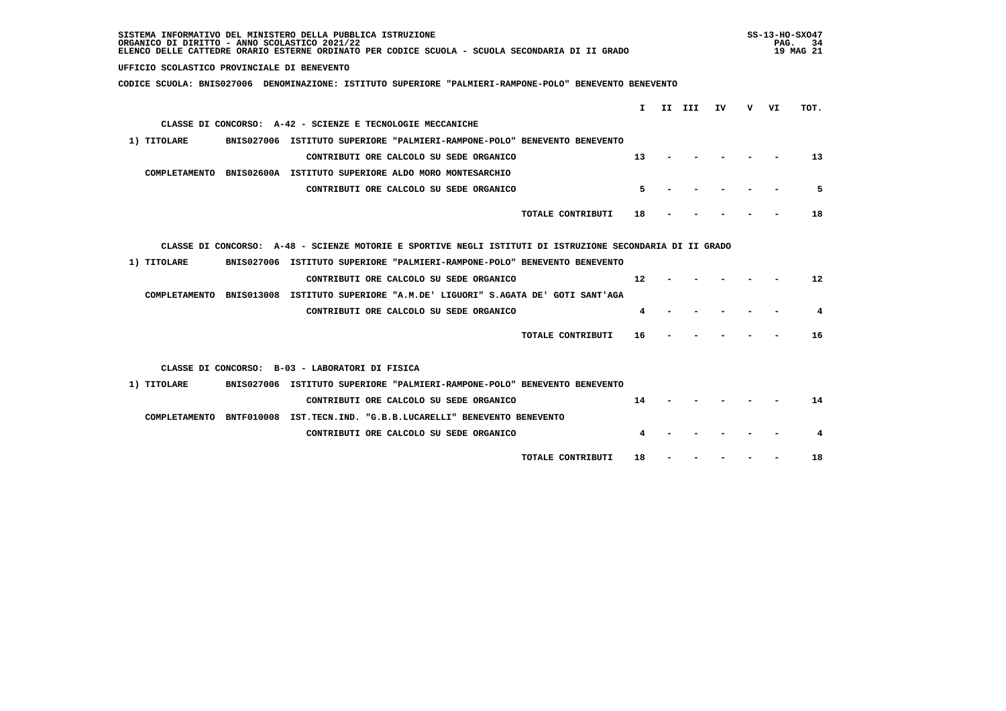| SISTEMA INFORMATIVO DEL MINISTERO DELLA PUBBLICA ISTRUZIONE<br>ORGANICO DI DIRITTO - ANNO SCOLASTICO 2021/22<br>ELENCO DELLE CATTEDRE ORARIO ESTERNE ORDINATO PER CODICE SCUOLA - SCUOLA SECONDARIA DI II GRADO |        |    |   | PAG. | $SS-13-HO-SXO47$<br>34<br>19 MAG 21 |
|-----------------------------------------------------------------------------------------------------------------------------------------------------------------------------------------------------------------|--------|----|---|------|-------------------------------------|
| UFFICIO SCOLASTICO PROVINCIALE DI BENEVENTO                                                                                                                                                                     |        |    |   |      |                                     |
| CODICE SCUOLA: BNIS027006 DENOMINAZIONE: ISTITUTO SUPERIORE "PALMIERI-RAMPONE-POLO" BENEVENTO BENEVENTO                                                                                                         |        |    |   |      |                                     |
|                                                                                                                                                                                                                 |        |    |   |      |                                     |
| T.                                                                                                                                                                                                              | II III | IV | v | VI   | TOT.                                |
| CLASSE DI CONCORSO: A-42 - SCIENZE E TECNOLOGIE MECCANICHE                                                                                                                                                      |        |    |   |      |                                     |
| BNIS027006 ISTITUTO SUPERIORE "PALMIERI-RAMPONE-POLO" BENEVENTO BENEVENTO<br>1) TITOLARE                                                                                                                        |        |    |   |      |                                     |
| CONTRIBUTI ORE CALCOLO SU SEDE ORGANICO<br>13                                                                                                                                                                   |        |    |   |      | 13                                  |
| COMPLETAMENTO BNIS02600A ISTITUTO SUPERIORE ALDO MORO MONTESARCHIO                                                                                                                                              |        |    |   |      |                                     |
| 5<br>CONTRIBUTI ORE CALCOLO SU SEDE ORGANICO                                                                                                                                                                    |        |    |   |      | 5                                   |
| TOTALE CONTRIBUTI<br>18                                                                                                                                                                                         |        |    |   |      | 18                                  |
|                                                                                                                                                                                                                 |        |    |   |      |                                     |
| CLASSE DI CONCORSO: A-48 - SCIENZE MOTORIE E SPORTIVE NEGLI ISTITUTI DI ISTRUZIONE SECONDARIA DI II GRADO                                                                                                       |        |    |   |      |                                     |
|                                                                                                                                                                                                                 |        |    |   |      |                                     |
| 1) TITOLARE<br>BNIS027006 ISTITUTO SUPERIORE "PALMIERI-RAMPONE-POLO" BENEVENTO BENEVENTO                                                                                                                        |        |    |   |      |                                     |
| 12<br>CONTRIBUTI ORE CALCOLO SU SEDE ORGANICO                                                                                                                                                                   |        |    |   |      | $12 \overline{ }$                   |
| COMPLETAMENTO BNIS013008 ISTITUTO SUPERIORE "A.M.DE' LIGUORI" S.AGATA DE' GOTI SANT'AGA                                                                                                                         |        |    |   |      |                                     |
| CONTRIBUTI ORE CALCOLO SU SEDE ORGANICO<br>4                                                                                                                                                                    |        |    |   |      | 4                                   |
| TOTALE CONTRIBUTI<br>16                                                                                                                                                                                         |        |    |   |      | 16                                  |
|                                                                                                                                                                                                                 |        |    |   |      |                                     |
| CLASSE DI CONCORSO: B-03 - LABORATORI DI FISICA                                                                                                                                                                 |        |    |   |      |                                     |
| 1) TITOLARE<br>BNIS027006 ISTITUTO SUPERIORE "PALMIERI-RAMPONE-POLO" BENEVENTO BENEVENTO                                                                                                                        |        |    |   |      |                                     |
| CONTRIBUTI ORE CALCOLO SU SEDE ORGANICO<br>14                                                                                                                                                                   |        |    |   |      | 14                                  |
| COMPLETAMENTO BNTF010008 IST.TECN.IND. "G.B.B.LUCARELLI" BENEVENTO BENEVENTO                                                                                                                                    |        |    |   |      |                                     |
| CONTRIBUTI ORE CALCOLO SU SEDE ORGANICO                                                                                                                                                                         |        |    |   |      | 4                                   |
|                                                                                                                                                                                                                 |        |    |   |      |                                     |
| TOTALE CONTRIBUTI<br>18                                                                                                                                                                                         |        |    |   |      | 18                                  |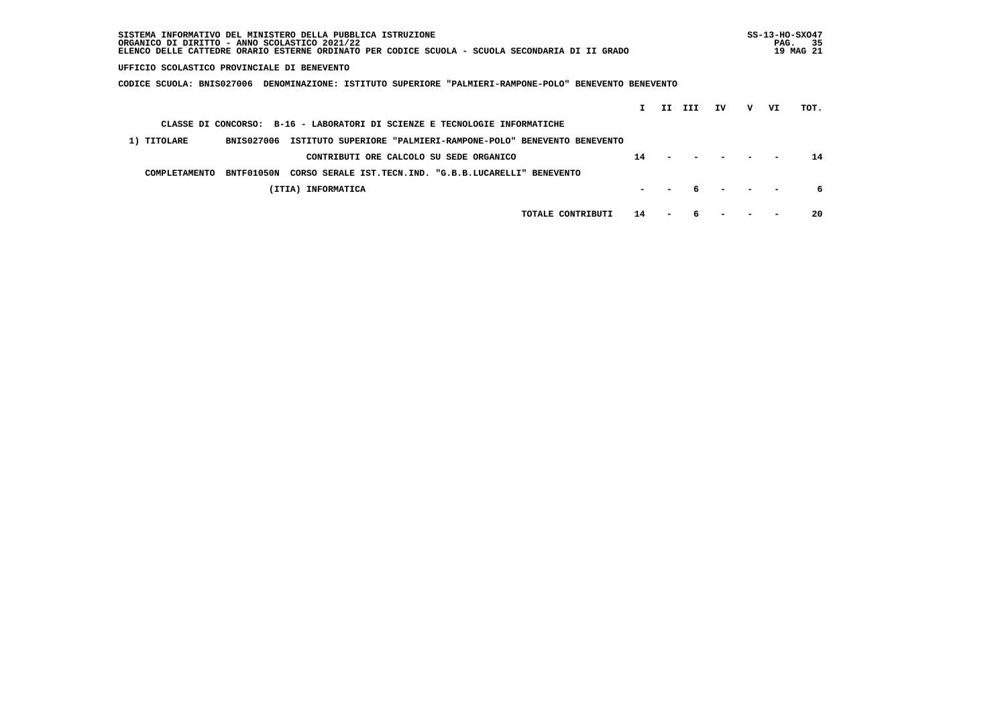| SISTEMA INFORMATIVO DEL MINISTERO DELLA PUBBLICA ISTRUZIONE<br>ORGANICO DI DIRITTO - ANNO SCOLASTICO 2021/22<br>ELENCO DELLE CATTEDRE ORARIO ESTERNE ORDINATO PER CODICE SCUOLA - SCUOLA SECONDARIA DI II GRADO |    |     |     |    |   | PAG. | $SS-13-HO-SXO47$<br>-35<br>19 MAG 21 |  |
|-----------------------------------------------------------------------------------------------------------------------------------------------------------------------------------------------------------------|----|-----|-----|----|---|------|--------------------------------------|--|
| UFFICIO SCOLASTICO PROVINCIALE DI BENEVENTO                                                                                                                                                                     |    |     |     |    |   |      |                                      |  |
| CODICE SCUOLA: BNIS027006<br>DENOMINAZIONE: ISTITUTO SUPERIORE "PALMIERI-RAMPONE-POLO" BENEVENTO BENEVENTO                                                                                                      |    |     |     |    |   |      |                                      |  |
|                                                                                                                                                                                                                 |    | II. | III | IV | v | VI   | TOT.                                 |  |
| CLASSE DI CONCORSO: B-16 - LABORATORI DI SCIENZE E TECNOLOGIE INFORMATICHE                                                                                                                                      |    |     |     |    |   |      |                                      |  |
| 1) TITOLARE<br>ISTITUTO SUPERIORE "PALMIERI-RAMPONE-POLO" BENEVENTO BENEVENTO<br><b>BNIS027006</b>                                                                                                              |    |     |     |    |   |      |                                      |  |
| CONTRIBUTI ORE CALCOLO SU SEDE ORGANICO                                                                                                                                                                         | 14 |     |     |    |   |      | 14                                   |  |
| BNTF01050N<br>CORSO SERALE IST.TECN.IND. "G.B.B.LUCARELLI" BENEVENTO<br>COMPLETAMENTO                                                                                                                           |    |     |     |    |   |      |                                      |  |
| (ITIA) INFORMATICA                                                                                                                                                                                              |    |     |     |    |   |      | 6                                    |  |
| TOTALE CONTRIBUTI                                                                                                                                                                                               | 14 |     |     |    |   |      | 20                                   |  |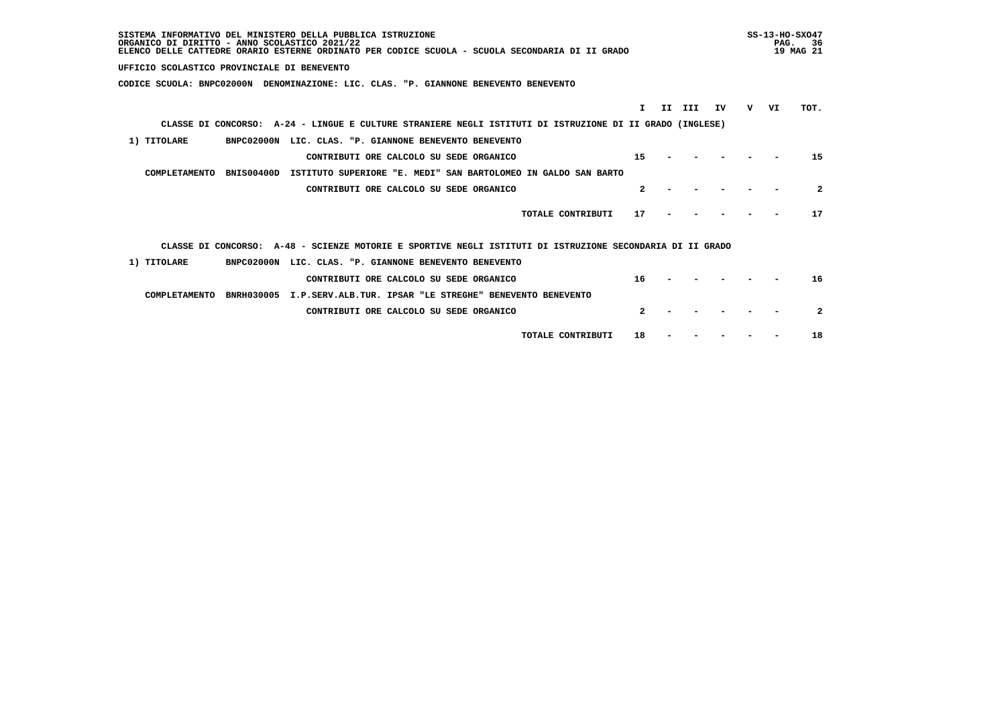| SISTEMA INFORMATIVO DEL MINISTERO DELLA PUBBLICA ISTRUZIONE<br>ORGANICO DI DIRITTO - ANNO SCOLASTICO 2021/22<br>ELENCO DELLE CATTEDRE ORARIO ESTERNE ORDINATO PER CODICE SCUOLA - SCUOLA SECONDARIA DI II GRADO |   | $SS-13-HO-SXO47$<br>PAG. | -36<br>19 MAG 21 |
|-----------------------------------------------------------------------------------------------------------------------------------------------------------------------------------------------------------------|---|--------------------------|------------------|
| UFFICIO SCOLASTICO PROVINCIALE DI BENEVENTO                                                                                                                                                                     |   |                          |                  |
| CODICE SCUOLA: BNPC02000N DENOMINAZIONE: LIC. CLAS. "P. GIANNONE BENEVENTO BENEVENTO                                                                                                                            |   |                          |                  |
| T.<br>II.<br>III<br>IV                                                                                                                                                                                          | v | VI                       | TOT.             |
| CLASSE DI CONCORSO: A-24 - LINGUE E CULTURE STRANIERE NEGLI ISTITUTI DI ISTRUZIONE DI II GRADO (INGLESE)                                                                                                        |   |                          |                  |
| 1) TITOLARE<br>BNPC02000N LIC. CLAS. "P. GIANNONE BENEVENTO BENEVENTO                                                                                                                                           |   |                          |                  |
| 15<br>CONTRIBUTI ORE CALCOLO SU SEDE ORGANICO                                                                                                                                                                   |   |                          | 15               |
| COMPLETAMENTO<br><b>BNIS00400D</b><br>ISTITUTO SUPERIORE "E. MEDI" SAN BARTOLOMEO IN GALDO SAN BARTO                                                                                                            |   |                          |                  |
| $\mathbf{2}$<br>CONTRIBUTI ORE CALCOLO SU SEDE ORGANICO                                                                                                                                                         |   |                          | $\boldsymbol{c}$ |
| TOTALE CONTRIBUTI<br>17                                                                                                                                                                                         |   |                          | 17               |
| CLASSE DI CONCORSO: A-48 - SCIENZE MOTORIE E SPORTIVE NEGLI ISTITUTI DI ISTRUZIONE SECONDARIA DI II GRADO                                                                                                       |   |                          |                  |
| 1) TITOLARE<br>BNPC02000N LIC. CLAS. "P. GIANNONE BENEVENTO BENEVENTO                                                                                                                                           |   |                          |                  |
| CONTRIBUTI ORE CALCOLO SU SEDE ORGANICO<br>16                                                                                                                                                                   |   |                          | 16               |
| COMPLETAMENTO<br>BNRH030005 I.P.SERV.ALB.TUR. IPSAR "LE STREGHE" BENEVENTO BENEVENTO                                                                                                                            |   |                          |                  |
| $\mathbf{2}$<br>CONTRIBUTI ORE CALCOLO SU SEDE ORGANICO                                                                                                                                                         |   |                          | $\mathbf{2}$     |
| TOTALE CONTRIBUTI<br>18                                                                                                                                                                                         |   |                          | 18               |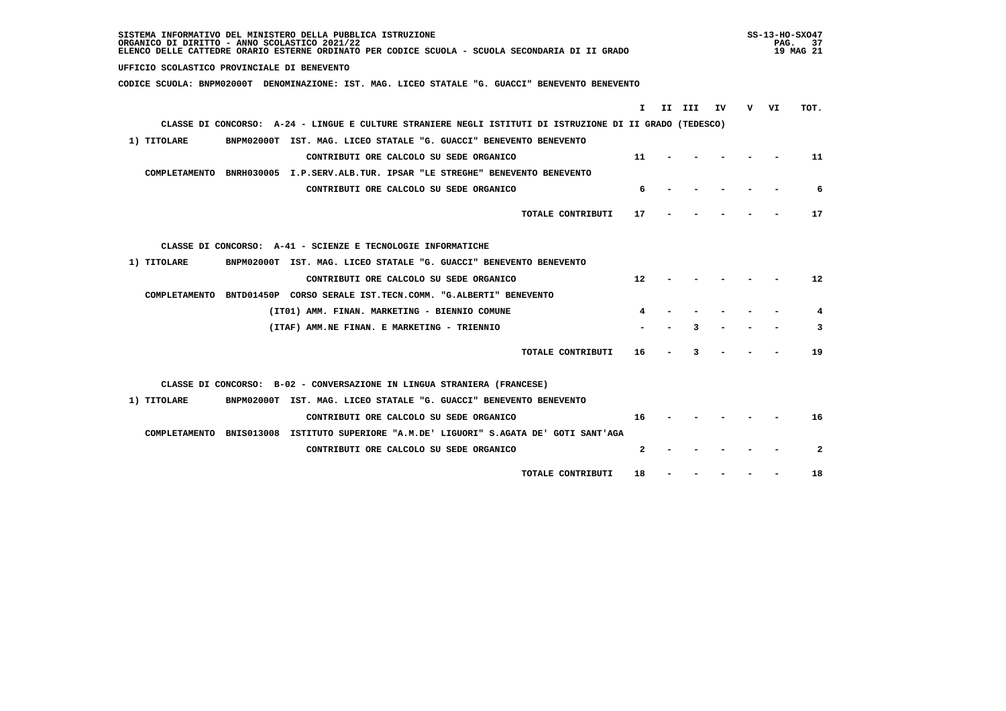| SISTEMA INFORMATIVO DEL MINISTERO DELLA PUBBLICA ISTRUZIONE<br>ORGANICO DI DIRITTO - ANNO SCOLASTICO 2021/22<br>ELENCO DELLE CATTEDRE ORARIO ESTERNE ORDINATO PER CODICE SCUOLA - SCUOLA SECONDARIA DI II GRADO |    | $SS-13-HO-SXO47$ | PAG. 37<br>19 MAG 21 |
|-----------------------------------------------------------------------------------------------------------------------------------------------------------------------------------------------------------------|----|------------------|----------------------|
| UFFICIO SCOLASTICO PROVINCIALE DI BENEVENTO                                                                                                                                                                     |    |                  |                      |
| CODICE SCUOLA: BNPM02000T DENOMINAZIONE: IST. MAG. LICEO STATALE "G. GUACCI" BENEVENTO BENEVENTO                                                                                                                |    |                  |                      |
|                                                                                                                                                                                                                 |    |                  |                      |
| I.<br>II III<br>IV                                                                                                                                                                                              | v. | VI               | TOT.                 |
| CLASSE DI CONCORSO: A-24 - LINGUE E CULTURE STRANIERE NEGLI ISTITUTI DI ISTRUZIONE DI II GRADO (TEDESCO)                                                                                                        |    |                  |                      |
| 1) TITOLARE<br>BNPM02000T IST. MAG. LICEO STATALE "G. GUACCI" BENEVENTO BENEVENTO                                                                                                                               |    |                  |                      |
| 11<br>CONTRIBUTI ORE CALCOLO SU SEDE ORGANICO                                                                                                                                                                   |    |                  | 11                   |
| COMPLETAMENTO BNRH030005 I.P.SERV.ALB.TUR. IPSAR "LE STREGHE" BENEVENTO BENEVENTO                                                                                                                               |    |                  |                      |
| CONTRIBUTI ORE CALCOLO SU SEDE ORGANICO<br>6                                                                                                                                                                    |    |                  | 6                    |
| TOTALE CONTRIBUTI<br>17                                                                                                                                                                                         |    |                  | 17                   |
| CLASSE DI CONCORSO: A-41 - SCIENZE E TECNOLOGIE INFORMATICHE                                                                                                                                                    |    |                  |                      |
| 1) TITOLARE<br>BNPM02000T IST. MAG. LICEO STATALE "G. GUACCI" BENEVENTO BENEVENTO                                                                                                                               |    |                  |                      |
| $12 \overline{ }$<br>CONTRIBUTI ORE CALCOLO SU SEDE ORGANICO                                                                                                                                                    |    |                  | 12                   |
| COMPLETAMENTO BNTD01450P CORSO SERALE IST.TECN.COMM. "G.ALBERTI" BENEVENTO                                                                                                                                      |    |                  |                      |
| (IT01) AMM. FINAN. MARKETING - BIENNIO COMUNE                                                                                                                                                                   |    |                  | 4                    |
| (ITAF) AMM.NE FINAN. E MARKETING - TRIENNIO                                                                                                                                                                     |    |                  | 3                    |
| TOTALE CONTRIBUTI<br>16                                                                                                                                                                                         |    |                  | 19                   |
| CLASSE DI CONCORSO: B-02 - CONVERSAZIONE IN LINGUA STRANIERA (FRANCESE)                                                                                                                                         |    |                  |                      |
| 1) TITOLARE<br>BNPM02000T IST. MAG. LICEO STATALE "G. GUACCI" BENEVENTO BENEVENTO                                                                                                                               |    |                  |                      |
| CONTRIBUTI ORE CALCOLO SU SEDE ORGANICO<br>16                                                                                                                                                                   |    |                  | 16                   |
| COMPLETAMENTO BNIS013008 ISTITUTO SUPERIORE "A.M.DE' LIGUORI" S.AGATA DE' GOTI SANT'AGA                                                                                                                         |    |                  |                      |
| $\mathbf{2}$<br>CONTRIBUTI ORE CALCOLO SU SEDE ORGANICO                                                                                                                                                         |    |                  | $\mathbf{2}$         |
| 18<br>TOTALE CONTRIBUTI                                                                                                                                                                                         |    |                  | 18                   |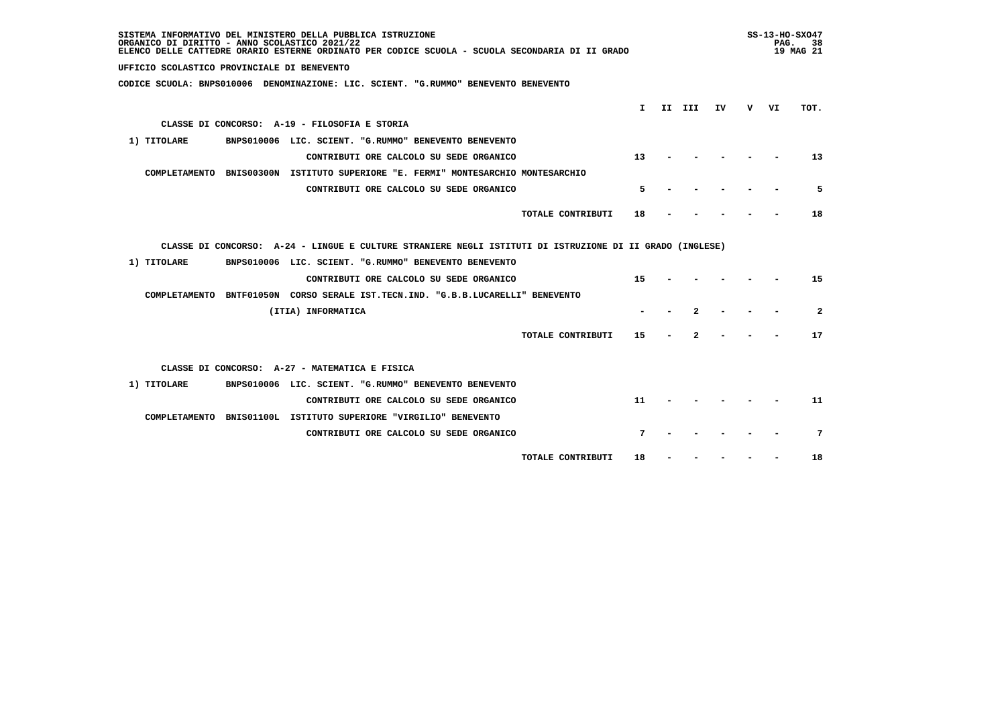| SISTEMA INFORMATIVO DEL MINISTERO DELLA PUBBLICA ISTRUZIONE<br>ORGANICO DI DIRITTO - ANNO SCOLASTICO 2021/22<br>ELENCO DELLE CATTEDRE ORARIO ESTERNE ORDINATO PER CODICE SCUOLA - SCUOLA SECONDARIA DI II GRADO |              |        |    |   | PAG. | $SS-13-HO-SXO47$<br>- 38<br>19 MAG 21 |
|-----------------------------------------------------------------------------------------------------------------------------------------------------------------------------------------------------------------|--------------|--------|----|---|------|---------------------------------------|
| UFFICIO SCOLASTICO PROVINCIALE DI BENEVENTO                                                                                                                                                                     |              |        |    |   |      |                                       |
| CODICE SCUOLA: BNPS010006 DENOMINAZIONE: LIC. SCIENT. "G.RUMMO" BENEVENTO BENEVENTO                                                                                                                             |              |        |    |   |      |                                       |
|                                                                                                                                                                                                                 | $\mathbf{I}$ | II III | IV | v | VI   | TOT.                                  |
| CLASSE DI CONCORSO: A-19 - FILOSOFIA E STORIA                                                                                                                                                                   |              |        |    |   |      |                                       |
| 1) TITOLARE<br>BNPS010006 LIC. SCIENT. "G.RUMMO" BENEVENTO BENEVENTO                                                                                                                                            |              |        |    |   |      |                                       |
| CONTRIBUTI ORE CALCOLO SU SEDE ORGANICO                                                                                                                                                                         | 13           |        |    |   |      | 13                                    |
| COMPLETAMENTO BNIS00300N ISTITUTO SUPERIORE "E. FERMI" MONTESARCHIO MONTESARCHIO                                                                                                                                |              |        |    |   |      |                                       |
| CONTRIBUTI ORE CALCOLO SU SEDE ORGANICO                                                                                                                                                                         | 5            |        |    |   |      | 5                                     |
|                                                                                                                                                                                                                 |              |        |    |   |      |                                       |
| TOTALE CONTRIBUTI                                                                                                                                                                                               | 18           |        |    |   |      | 18                                    |
|                                                                                                                                                                                                                 |              |        |    |   |      |                                       |
| CLASSE DI CONCORSO: A-24 - LINGUE E CULTURE STRANIERE NEGLI ISTITUTI DI ISTRUZIONE DI II GRADO (INGLESE)                                                                                                        |              |        |    |   |      |                                       |
| 1) TITOLARE<br>BNPS010006 LIC. SCIENT. "G.RUMMO" BENEVENTO BENEVENTO                                                                                                                                            |              |        |    |   |      |                                       |
| CONTRIBUTI ORE CALCOLO SU SEDE ORGANICO                                                                                                                                                                         | 15           |        |    |   |      | 15                                    |
| COMPLETAMENTO BNTF01050N CORSO SERALE IST.TECN.IND. "G.B.B.LUCARELLI" BENEVENTO                                                                                                                                 |              |        |    |   |      |                                       |
| (ITIA) INFORMATICA                                                                                                                                                                                              |              | 2      |    |   |      | $\overline{a}$                        |
| TOTALE CONTRIBUTI                                                                                                                                                                                               | 15           | 2      |    |   |      | 17                                    |
|                                                                                                                                                                                                                 |              |        |    |   |      |                                       |
| CLASSE DI CONCORSO: A-27 - MATEMATICA E FISICA                                                                                                                                                                  |              |        |    |   |      |                                       |
| 1) TITOLARE<br>BNPS010006 LIC. SCIENT. "G.RUMMO" BENEVENTO BENEVENTO                                                                                                                                            |              |        |    |   |      |                                       |
| CONTRIBUTI ORE CALCOLO SU SEDE ORGANICO                                                                                                                                                                         | 11           |        |    |   |      | 11                                    |
| COMPLETAMENTO BNIS01100L ISTITUTO SUPERIORE "VIRGILIO" BENEVENTO                                                                                                                                                |              |        |    |   |      |                                       |
| CONTRIBUTI ORE CALCOLO SU SEDE ORGANICO                                                                                                                                                                         | 7            |        |    |   |      | 7                                     |
|                                                                                                                                                                                                                 |              |        |    |   |      |                                       |
| TOTALE CONTRIBUTI                                                                                                                                                                                               | 18           |        |    |   |      | 18                                    |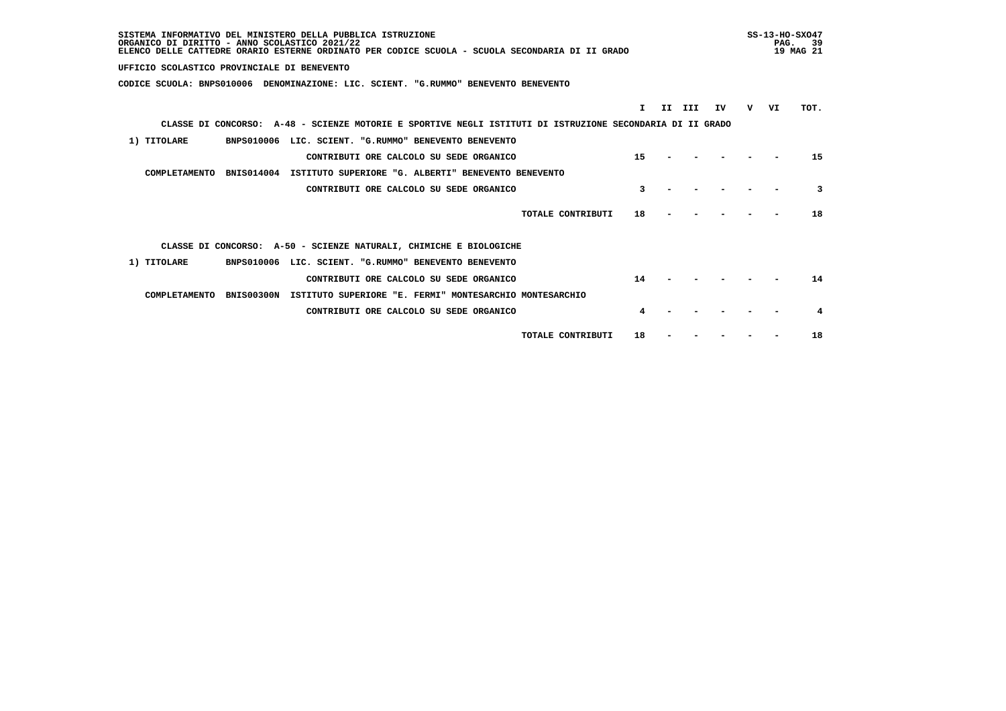| SISTEMA INFORMATIVO DEL MINISTERO DELLA PUBBLICA ISTRUZIONE<br>ORGANICO DI DIRITTO - ANNO SCOLASTICO 2021/22<br>ELENCO DELLE CATTEDRE ORARIO ESTERNE ORDINATO PER CODICE SCUOLA - SCUOLA SECONDARIA DI II GRADO |    |     |     |    |   | PAG. | $SS-13-HO-SXO47$<br>-39<br>19 MAG 21 |
|-----------------------------------------------------------------------------------------------------------------------------------------------------------------------------------------------------------------|----|-----|-----|----|---|------|--------------------------------------|
| UFFICIO SCOLASTICO PROVINCIALE DI BENEVENTO                                                                                                                                                                     |    |     |     |    |   |      |                                      |
| CODICE SCUOLA: BNPS010006 DENOMINAZIONE: LIC. SCIENT. "G.RUMMO" BENEVENTO BENEVENTO                                                                                                                             |    |     |     |    |   |      |                                      |
|                                                                                                                                                                                                                 | T. | II. | III | IV | v | VI   | TOT.                                 |
| CLASSE DI CONCORSO: A-48 - SCIENZE MOTORIE E SPORTIVE NEGLI ISTITUTI DI ISTRUZIONE SECONDARIA DI II GRADO                                                                                                       |    |     |     |    |   |      |                                      |
| 1) TITOLARE<br>BNPS010006 LIC. SCIENT. "G.RUMMO" BENEVENTO BENEVENTO                                                                                                                                            |    |     |     |    |   |      |                                      |
| CONTRIBUTI ORE CALCOLO SU SEDE ORGANICO                                                                                                                                                                         | 15 |     |     |    |   |      | 15                                   |
| COMPLETAMENTO<br>BNIS014004<br>ISTITUTO SUPERIORE "G. ALBERTI" BENEVENTO BENEVENTO                                                                                                                              |    |     |     |    |   |      |                                      |
| CONTRIBUTI ORE CALCOLO SU SEDE ORGANICO                                                                                                                                                                         | 3  |     |     |    |   |      | 3                                    |
| TOTALE CONTRIBUTI                                                                                                                                                                                               | 18 |     |     |    |   |      | 18                                   |
| CLASSE DI CONCORSO: A-50 - SCIENZE NATURALI, CHIMICHE E BIOLOGICHE                                                                                                                                              |    |     |     |    |   |      |                                      |
| 1) TITOLARE<br>BNPS010006 LIC. SCIENT. "G.RUMMO" BENEVENTO BENEVENTO                                                                                                                                            |    |     |     |    |   |      |                                      |
| CONTRIBUTI ORE CALCOLO SU SEDE ORGANICO                                                                                                                                                                         | 14 |     |     |    |   |      | 14                                   |
| COMPLETAMENTO<br><b>BNIS00300N</b><br>ISTITUTO SUPERIORE "E. FERMI" MONTESARCHIO MONTESARCHIO                                                                                                                   |    |     |     |    |   |      |                                      |
| CONTRIBUTI ORE CALCOLO SU SEDE ORGANICO                                                                                                                                                                         |    |     |     |    |   |      | 4                                    |
| TOTALE CONTRIBUTI                                                                                                                                                                                               | 18 |     |     |    |   |      | 18                                   |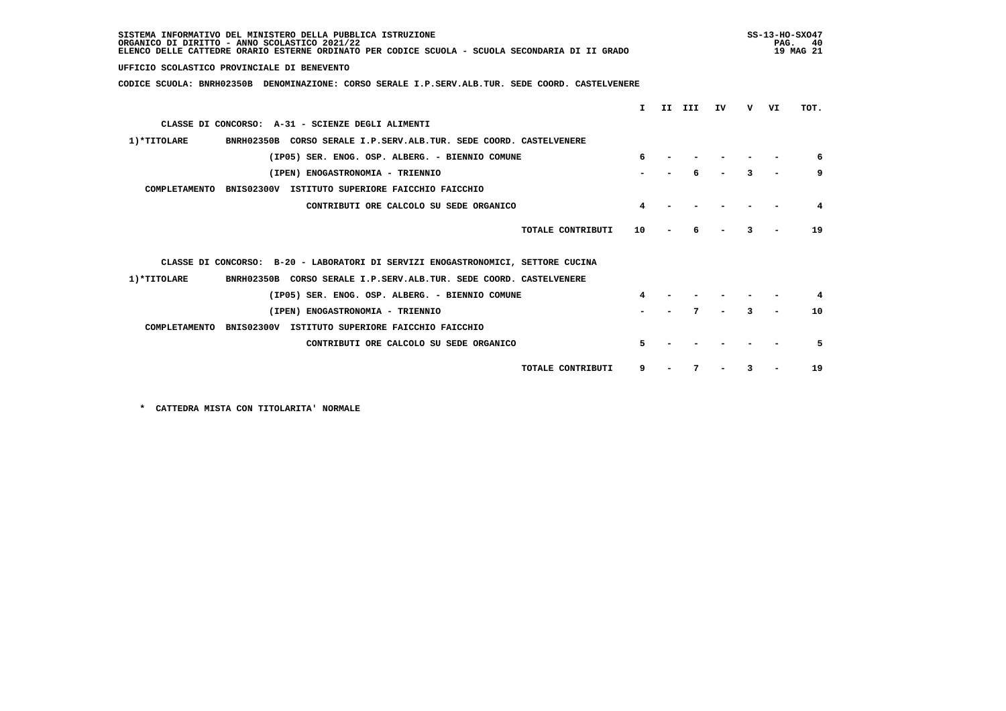| SISTEMA INFORMATIVO DEL MINISTERO DELLA PUBBLICA ISTRUZIONE<br>ORGANICO DI DIRITTO - ANNO SCOLASTICO 2021/22<br>ELENCO DELLE CATTEDRE ORARIO ESTERNE ORDINATO PER CODICE SCUOLA - SCUOLA SECONDARIA DI II GRADO |    |     |     |    |   |    |      |
|-----------------------------------------------------------------------------------------------------------------------------------------------------------------------------------------------------------------|----|-----|-----|----|---|----|------|
| UFFICIO SCOLASTICO PROVINCIALE DI BENEVENTO                                                                                                                                                                     |    |     |     |    |   |    |      |
| CODICE SCUOLA: BNRH02350B DENOMINAZIONE: CORSO SERALE I.P.SERV.ALB.TUR. SEDE COORD. CASTELVENERE                                                                                                                |    |     |     |    |   |    |      |
|                                                                                                                                                                                                                 | T. | II. | III | IV | v | VI | TOT. |
| CLASSE DI CONCORSO: A-31 - SCIENZE DEGLI ALIMENTI                                                                                                                                                               |    |     |     |    |   |    |      |
|                                                                                                                                                                                                                 |    |     |     |    |   |    |      |
| 1) *TITOLARE<br>BNRH02350B CORSO SERALE I.P.SERV.ALB.TUR. SEDE COORD. CASTELVENERE                                                                                                                              |    |     |     |    |   |    |      |
| (IP05) SER. ENOG. OSP. ALBERG. - BIENNIO COMUNE                                                                                                                                                                 |    |     |     |    |   |    | 6    |
| (IPEN) ENOGASTRONOMIA - TRIENNIO                                                                                                                                                                                |    |     |     |    |   |    | 9    |
| COMPLETAMENTO BNIS02300V ISTITUTO SUPERIORE FAICCHIO FAICCHIO                                                                                                                                                   |    |     |     |    |   |    |      |
| CONTRIBUTI ORE CALCOLO SU SEDE ORGANICO                                                                                                                                                                         | 4  |     |     |    |   |    | 4    |
| TOTALE CONTRIBUTI                                                                                                                                                                                               | 10 |     |     |    |   |    | 19   |
|                                                                                                                                                                                                                 |    |     |     |    |   |    |      |
| CLASSE DI CONCORSO: B-20 - LABORATORI DI SERVIZI ENOGASTRONOMICI, SETTORE CUCINA                                                                                                                                |    |     |     |    |   |    |      |
| 1) *TITOLARE<br>BNRH02350B CORSO SERALE I.P.SERV.ALB.TUR. SEDE COORD. CASTELVENERE                                                                                                                              |    |     |     |    |   |    |      |
| (IP05) SER. ENOG. OSP. ALBERG. - BIENNIO COMUNE                                                                                                                                                                 |    |     |     |    |   |    |      |
| (IPEN) ENOGASTRONOMIA - TRIENNIO                                                                                                                                                                                |    |     |     |    | 3 |    | 10   |
| COMPLETAMENTO<br>BNIS02300V ISTITUTO SUPERIORE FAICCHIO FAICCHIO                                                                                                                                                |    |     |     |    |   |    |      |
| CONTRIBUTI ORE CALCOLO SU SEDE ORGANICO                                                                                                                                                                         | 5  |     |     |    |   |    | 5    |
|                                                                                                                                                                                                                 |    |     |     |    |   |    |      |
| TOTALE CONTRIBUTI                                                                                                                                                                                               | 9  |     |     |    | 3 |    | 19   |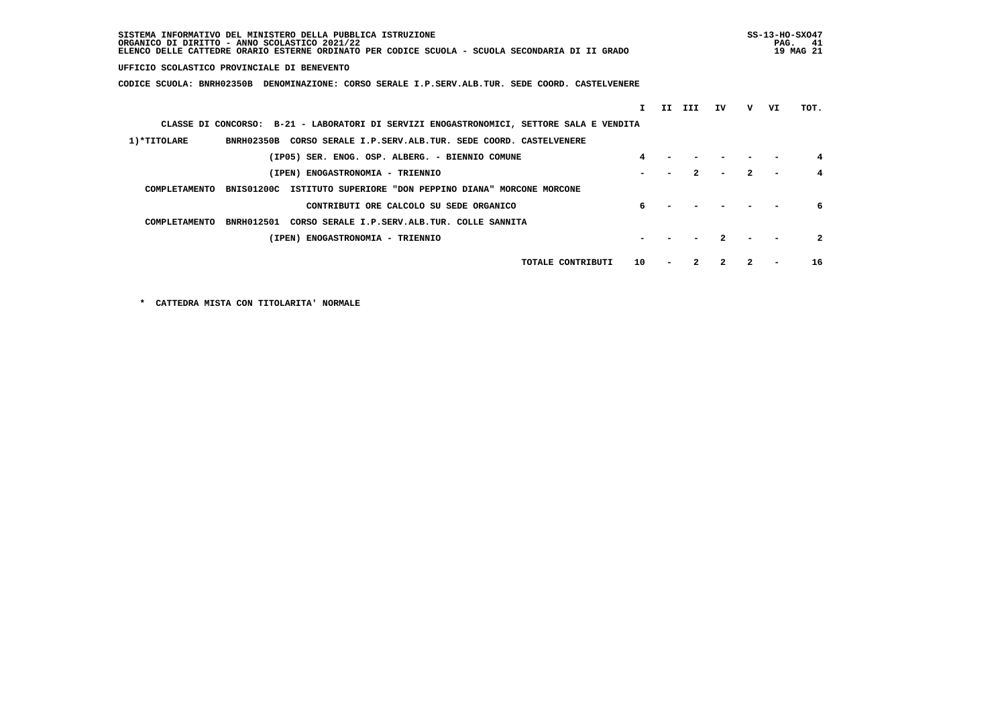| SISTEMA INFORMATIVO DEL MINISTERO DELLA PUBBLICA ISTRUZIONE<br>ORGANICO DI DIRITTO - ANNO SCOLASTICO 2021/22<br>ELENCO DELLE CATTEDRE ORARIO ESTERNE ORDINATO PER CODICE SCUOLA - SCUOLA SECONDARIA DI II GRADO |    |     |              |    |              | PAG. | $SS-13-HO-SXO47$<br>-41<br>19 MAG 21 |
|-----------------------------------------------------------------------------------------------------------------------------------------------------------------------------------------------------------------|----|-----|--------------|----|--------------|------|--------------------------------------|
| UFFICIO SCOLASTICO PROVINCIALE DI BENEVENTO                                                                                                                                                                     |    |     |              |    |              |      |                                      |
| CODICE SCUOLA: BNRH02350B<br>DENOMINAZIONE: CORSO SERALE I.P.SERV.ALB.TUR. SEDE COORD. CASTELVENERE                                                                                                             |    |     |              |    |              |      |                                      |
|                                                                                                                                                                                                                 | т. | II. | III          | ΙV | v            | VI   | TOT.                                 |
| CLASSE DI CONCORSO: B-21 - LABORATORI DI SERVIZI ENOGASTRONOMICI, SETTORE SALA E VENDITA                                                                                                                        |    |     |              |    |              |      |                                      |
| 1) *TITOLARE<br>BNRH02350B CORSO SERALE I.P.SERV.ALB.TUR. SEDE COORD. CASTELVENERE                                                                                                                              |    |     |              |    |              |      |                                      |
| (IP05) SER. ENOG. OSP. ALBERG. - BIENNIO COMUNE                                                                                                                                                                 |    |     |              |    |              |      | 4                                    |
| (IPEN) ENOGASTRONOMIA - TRIENNIO                                                                                                                                                                                |    |     | $\mathbf{2}$ |    | $\mathbf{2}$ |      |                                      |
| BNIS01200C ISTITUTO SUPERIORE "DON PEPPINO DIANA" MORCONE MORCONE<br>COMPLETAMENTO                                                                                                                              |    |     |              |    |              |      |                                      |
| CONTRIBUTI ORE CALCOLO SU SEDE ORGANICO                                                                                                                                                                         |    |     |              |    |              |      | 6                                    |
| CORSO SERALE I.P.SERV.ALB.TUR. COLLE SANNITA<br>COMPLETAMENTO<br><b>BNRH012501</b>                                                                                                                              |    |     |              |    |              |      |                                      |
| (IPEN) ENOGASTRONOMIA - TRIENNIO                                                                                                                                                                                |    |     |              |    |              |      | $\mathbf{2}$                         |
| TOTALE CONTRIBUTI                                                                                                                                                                                               | 10 |     | 2            |    | 2            |      | 16                                   |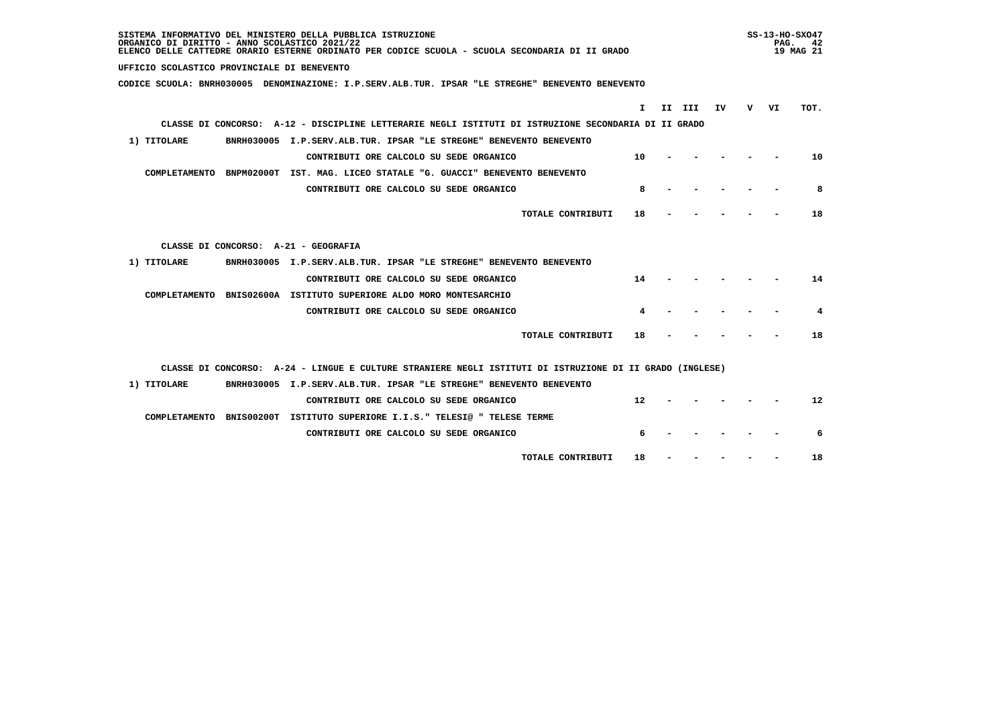| SISTEMA INFORMATIVO DEL MINISTERO DELLA PUBBLICA ISTRUZIONE<br>ORGANICO DI DIRITTO - ANNO SCOLASTICO 2021/22<br>ELENCO DELLE CATTEDRE ORARIO ESTERNE ORDINATO PER CODICE SCUOLA - SCUOLA SECONDARIA DI II GRADO |    |        |     |   | PAG. | SS-13-HO-SX047<br>- 42<br>19 MAG 21 |
|-----------------------------------------------------------------------------------------------------------------------------------------------------------------------------------------------------------------|----|--------|-----|---|------|-------------------------------------|
| UFFICIO SCOLASTICO PROVINCIALE DI BENEVENTO                                                                                                                                                                     |    |        |     |   |      |                                     |
| CODICE SCUOLA: BNRH030005 DENOMINAZIONE: I.P.SERV.ALB.TUR. IPSAR "LE STREGHE" BENEVENTO BENEVENTO                                                                                                               |    |        |     |   |      |                                     |
|                                                                                                                                                                                                                 | I. | II III | IV. | v | VI   | TOT.                                |
| CLASSE DI CONCORSO: A-12 - DISCIPLINE LETTERARIE NEGLI ISTITUTI DI ISTRUZIONE SECONDARIA DI II GRADO                                                                                                            |    |        |     |   |      |                                     |
| 1) TITOLARE<br>BNRH030005 I.P.SERV.ALB.TUR. IPSAR "LE STREGHE" BENEVENTO BENEVENTO                                                                                                                              |    |        |     |   |      |                                     |
| CONTRIBUTI ORE CALCOLO SU SEDE ORGANICO                                                                                                                                                                         | 10 |        |     |   |      | 10                                  |
| COMPLETAMENTO BNPM02000T IST. MAG. LICEO STATALE "G. GUACCI" BENEVENTO BENEVENTO                                                                                                                                |    |        |     |   |      |                                     |
| CONTRIBUTI ORE CALCOLO SU SEDE ORGANICO                                                                                                                                                                         | 8  |        |     |   |      | 8                                   |
|                                                                                                                                                                                                                 |    |        |     |   |      |                                     |
| TOTALE CONTRIBUTI                                                                                                                                                                                               | 18 |        |     |   |      | 18                                  |
|                                                                                                                                                                                                                 |    |        |     |   |      |                                     |
| CLASSE DI CONCORSO: A-21 - GEOGRAFIA                                                                                                                                                                            |    |        |     |   |      |                                     |
| 1) TITOLARE<br>BNRH030005 I.P.SERV.ALB.TUR. IPSAR "LE STREGHE" BENEVENTO BENEVENTO                                                                                                                              |    |        |     |   |      |                                     |
| CONTRIBUTI ORE CALCOLO SU SEDE ORGANICO                                                                                                                                                                         | 14 |        |     |   |      | 14                                  |
| COMPLETAMENTO BNIS02600A ISTITUTO SUPERIORE ALDO MORO MONTESARCHIO                                                                                                                                              |    |        |     |   |      |                                     |
| CONTRIBUTI ORE CALCOLO SU SEDE ORGANICO                                                                                                                                                                         | 4  |        |     |   |      | 4                                   |
| TOTALE CONTRIBUTI                                                                                                                                                                                               | 18 |        |     |   |      | 18                                  |
|                                                                                                                                                                                                                 |    |        |     |   |      |                                     |
| CLASSE DI CONCORSO: A-24 - LINGUE E CULTURE STRANIERE NEGLI ISTITUTI DI ISTRUZIONE DI II GRADO (INGLESE)                                                                                                        |    |        |     |   |      |                                     |
| 1) TITOLARE<br>BNRH030005 I.P.SERV.ALB.TUR. IPSAR "LE STREGHE" BENEVENTO BENEVENTO                                                                                                                              |    |        |     |   |      |                                     |
| CONTRIBUTI ORE CALCOLO SU SEDE ORGANICO                                                                                                                                                                         | 12 |        |     |   |      | 12                                  |
| COMPLETAMENTO BNIS00200T ISTITUTO SUPERIORE I.I.S." TELESI@ " TELESE TERME                                                                                                                                      |    |        |     |   |      |                                     |
| CONTRIBUTI ORE CALCOLO SU SEDE ORGANICO                                                                                                                                                                         | 6  |        |     |   |      | 6                                   |
|                                                                                                                                                                                                                 |    |        |     |   |      |                                     |
| TOTALE CONTRIBUTI                                                                                                                                                                                               | 18 |        |     |   |      | 18                                  |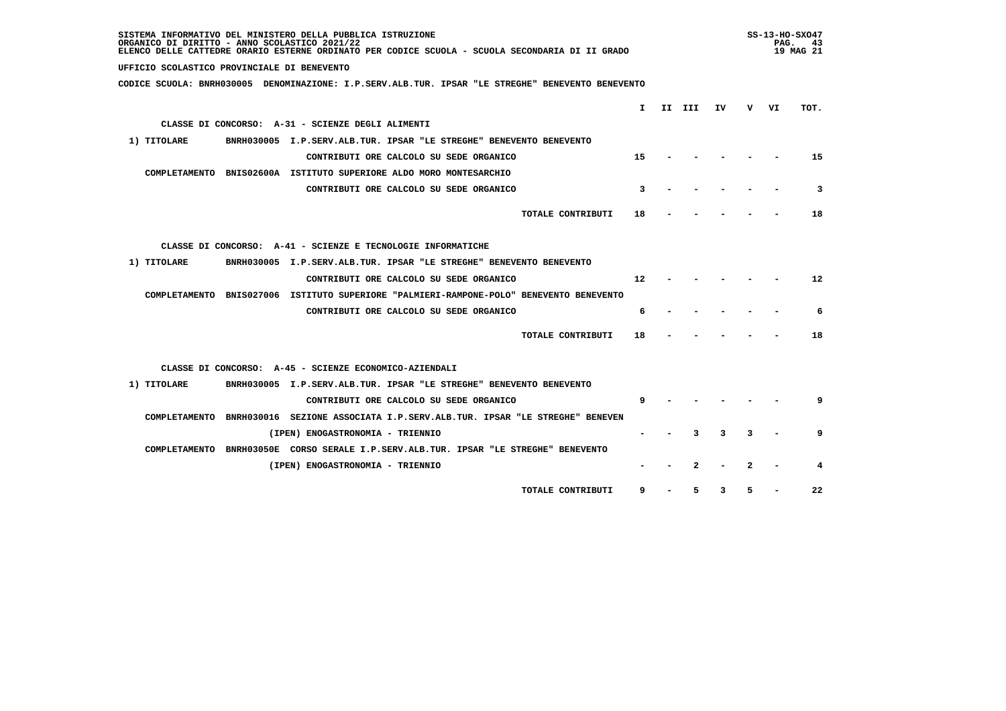| SISTEMA INFORMATIVO DEL MINISTERO DELLA PUBBLICA ISTRUZIONE<br>ORGANICO DI DIRITTO - ANNO SCOLASTICO 2021/22<br>ELENCO DELLE CATTEDRE ORARIO ESTERNE ORDINATO PER CODICE SCUOLA - SCUOLA SECONDARIA DI II GRADO |   | $SS-13-HO-SXO47$<br>PAG. 43<br>19 MAG 21 |      |
|-----------------------------------------------------------------------------------------------------------------------------------------------------------------------------------------------------------------|---|------------------------------------------|------|
| UFFICIO SCOLASTICO PROVINCIALE DI BENEVENTO                                                                                                                                                                     |   |                                          |      |
| CODICE SCUOLA: BNRH030005 DENOMINAZIONE: I.P.SERV.ALB.TUR. IPSAR "LE STREGHE" BENEVENTO BENEVENTO                                                                                                               |   |                                          |      |
| $\mathbf{I}$                                                                                                                                                                                                    | v |                                          | TOT. |
| II III<br>IV<br>CLASSE DI CONCORSO: A-31 - SCIENZE DEGLI ALIMENTI                                                                                                                                               |   | VI                                       |      |
|                                                                                                                                                                                                                 |   |                                          |      |
| 1) TITOLARE<br>BNRH030005 I.P.SERV.ALB.TUR. IPSAR "LE STREGHE" BENEVENTO BENEVENTO                                                                                                                              |   |                                          |      |
| 15<br>CONTRIBUTI ORE CALCOLO SU SEDE ORGANICO                                                                                                                                                                   |   |                                          | 15   |
| COMPLETAMENTO BNIS02600A ISTITUTO SUPERIORE ALDO MORO MONTESARCHIO                                                                                                                                              |   |                                          |      |
| CONTRIBUTI ORE CALCOLO SU SEDE ORGANICO<br>3                                                                                                                                                                    |   |                                          | 3    |
| TOTALE CONTRIBUTI<br>18                                                                                                                                                                                         |   |                                          | 18   |
|                                                                                                                                                                                                                 |   |                                          |      |
| CLASSE DI CONCORSO: A-41 - SCIENZE E TECNOLOGIE INFORMATICHE                                                                                                                                                    |   |                                          |      |
| 1) TITOLARE<br>BNRH030005 I.P.SERV.ALB.TUR. IPSAR "LE STREGHE" BENEVENTO BENEVENTO                                                                                                                              |   |                                          |      |
| CONTRIBUTI ORE CALCOLO SU SEDE ORGANICO<br>12                                                                                                                                                                   |   |                                          | 12   |
| COMPLETAMENTO BNIS027006 ISTITUTO SUPERIORE "PALMIERI-RAMPONE-POLO" BENEVENTO BENEVENTO                                                                                                                         |   |                                          |      |
| CONTRIBUTI ORE CALCOLO SU SEDE ORGANICO<br>6                                                                                                                                                                    |   |                                          | 6    |
|                                                                                                                                                                                                                 |   |                                          |      |
| TOTALE CONTRIBUTI<br>18                                                                                                                                                                                         |   |                                          | 18   |
|                                                                                                                                                                                                                 |   |                                          |      |
| CLASSE DI CONCORSO: A-45 - SCIENZE ECONOMICO-AZIENDALI                                                                                                                                                          |   |                                          |      |
| BNRH030005 I.P.SERV.ALB.TUR. IPSAR "LE STREGHE" BENEVENTO BENEVENTO<br>1) TITOLARE                                                                                                                              |   |                                          |      |
| CONTRIBUTI ORE CALCOLO SU SEDE ORGANICO<br>9                                                                                                                                                                    |   |                                          | 9    |
| COMPLETAMENTO BNRH030016 SEZIONE ASSOCIATA I.P.SERV.ALB.TUR. IPSAR "LE STREGHE" BENEVEN                                                                                                                         |   |                                          |      |
| 3<br>3<br>(IPEN) ENOGASTRONOMIA - TRIENNIO                                                                                                                                                                      | 3 |                                          | 9    |
| COMPLETAMENTO BNRH03050E CORSO SERALE I.P.SERV.ALB.TUR. IPSAR "LE STREGHE" BENEVENTO                                                                                                                            |   |                                          |      |
| $\mathbf{2}$<br>(IPEN) ENOGASTRONOMIA - TRIENNIO                                                                                                                                                                |   |                                          | 4    |
| 5<br>3<br>TOTALE CONTRIBUTI<br>9                                                                                                                                                                                | 5 |                                          | 22   |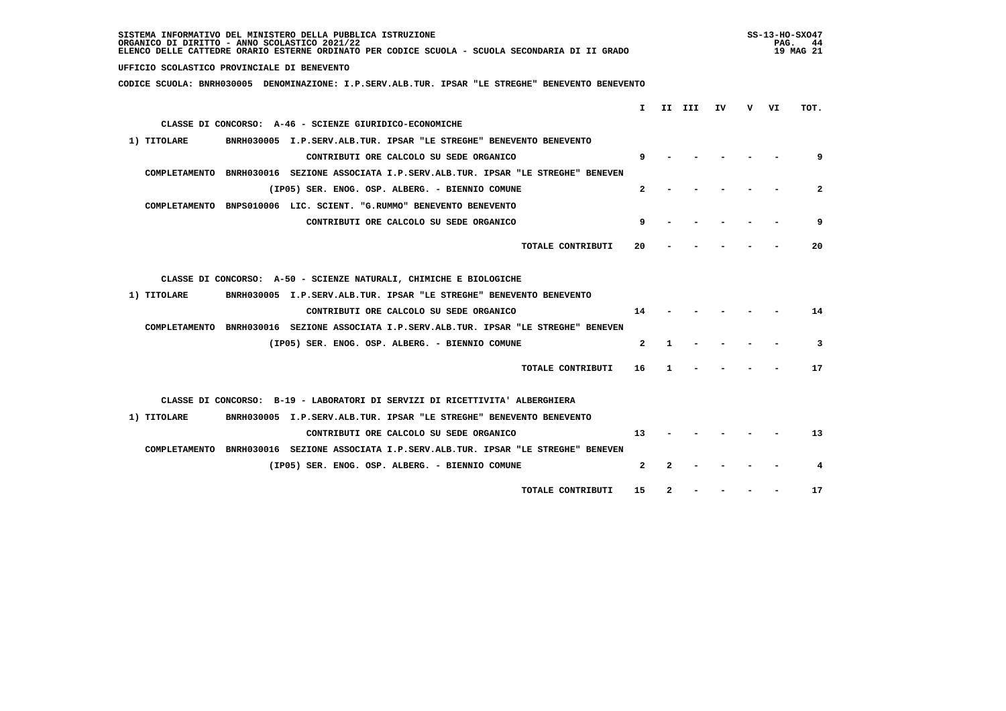| UFFICIO SCOLASTICO PROVINCIALE DI BENEVENTO<br>CODICE SCUOLA: BNRH030005 DENOMINAZIONE: I.P.SERV.ALB.TUR. IPSAR "LE STREGHE" BENEVENTO BENEVENTO<br>T.<br>II III<br>IV<br>v v1<br>TOT.<br>CLASSE DI CONCORSO: A-46 - SCIENZE GIURIDICO-ECONOMICHE<br>1) TITOLARE<br>BNRH030005 I.P.SERV.ALB.TUR. IPSAR "LE STREGHE" BENEVENTO BENEVENTO<br>CONTRIBUTI ORE CALCOLO SU SEDE ORGANICO<br>9<br>9<br>COMPLETAMENTO BNRH030016 SEZIONE ASSOCIATA I.P.SERV.ALB.TUR. IPSAR "LE STREGHE" BENEVEN<br>$\mathbf{2}$<br>$\mathbf{2}$<br>(IP05) SER. ENOG. OSP. ALBERG. - BIENNIO COMUNE<br>COMPLETAMENTO BNPS010006 LIC. SCIENT. "G.RUMMO" BENEVENTO BENEVENTO<br>9<br>9<br>CONTRIBUTI ORE CALCOLO SU SEDE ORGANICO<br>20<br>TOTALE CONTRIBUTI<br>20<br>CLASSE DI CONCORSO: A-50 - SCIENZE NATURALI, CHIMICHE E BIOLOGICHE<br>1) TITOLARE<br>BNRH030005 I.P.SERV.ALB.TUR. IPSAR "LE STREGHE" BENEVENTO BENEVENTO<br>CONTRIBUTI ORE CALCOLO SU SEDE ORGANICO<br>14<br>14<br>COMPLETAMENTO BNRH030016 SEZIONE ASSOCIATA I.P.SERV.ALB.TUR. IPSAR "LE STREGHE" BENEVEN<br>$\mathbf{2}$<br>3<br>(IP05) SER. ENOG. OSP. ALBERG. - BIENNIO COMUNE<br>1<br>17<br>TOTALE CONTRIBUTI<br>16<br>1<br>CLASSE DI CONCORSO: B-19 - LABORATORI DI SERVIZI DI RICETTIVITA' ALBERGHIERA<br>BNRH030005 I.P.SERV.ALB.TUR. IPSAR "LE STREGHE" BENEVENTO BENEVENTO<br>1) TITOLARE<br>CONTRIBUTI ORE CALCOLO SU SEDE ORGANICO<br>13<br>13<br>COMPLETAMENTO BNRH030016 SEZIONE ASSOCIATA I.P.SERV.ALB.TUR. IPSAR "LE STREGHE" BENEVEN<br>$\mathbf{2}$<br>(IP05) SER. ENOG. OSP. ALBERG. - BIENNIO COMUNE<br>2<br>4 | SISTEMA INFORMATIVO DEL MINISTERO DELLA PUBBLICA ISTRUZIONE<br>ORGANICO DI DIRITTO - ANNO SCOLASTICO 2021/22<br>ELENCO DELLE CATTEDRE ORARIO ESTERNE ORDINATO PER CODICE SCUOLA - SCUOLA SECONDARIA DI II GRADO |    |   |  | PAG. | $SS-13-HO-SXO47$<br>-44<br>19 MAG 21 |
|-------------------------------------------------------------------------------------------------------------------------------------------------------------------------------------------------------------------------------------------------------------------------------------------------------------------------------------------------------------------------------------------------------------------------------------------------------------------------------------------------------------------------------------------------------------------------------------------------------------------------------------------------------------------------------------------------------------------------------------------------------------------------------------------------------------------------------------------------------------------------------------------------------------------------------------------------------------------------------------------------------------------------------------------------------------------------------------------------------------------------------------------------------------------------------------------------------------------------------------------------------------------------------------------------------------------------------------------------------------------------------------------------------------------------------------------------------------------------------------------------------------------------------------------------------------------------------|-----------------------------------------------------------------------------------------------------------------------------------------------------------------------------------------------------------------|----|---|--|------|--------------------------------------|
|                                                                                                                                                                                                                                                                                                                                                                                                                                                                                                                                                                                                                                                                                                                                                                                                                                                                                                                                                                                                                                                                                                                                                                                                                                                                                                                                                                                                                                                                                                                                                                               |                                                                                                                                                                                                                 |    |   |  |      |                                      |
|                                                                                                                                                                                                                                                                                                                                                                                                                                                                                                                                                                                                                                                                                                                                                                                                                                                                                                                                                                                                                                                                                                                                                                                                                                                                                                                                                                                                                                                                                                                                                                               |                                                                                                                                                                                                                 |    |   |  |      |                                      |
|                                                                                                                                                                                                                                                                                                                                                                                                                                                                                                                                                                                                                                                                                                                                                                                                                                                                                                                                                                                                                                                                                                                                                                                                                                                                                                                                                                                                                                                                                                                                                                               |                                                                                                                                                                                                                 |    |   |  |      |                                      |
|                                                                                                                                                                                                                                                                                                                                                                                                                                                                                                                                                                                                                                                                                                                                                                                                                                                                                                                                                                                                                                                                                                                                                                                                                                                                                                                                                                                                                                                                                                                                                                               |                                                                                                                                                                                                                 |    |   |  |      |                                      |
|                                                                                                                                                                                                                                                                                                                                                                                                                                                                                                                                                                                                                                                                                                                                                                                                                                                                                                                                                                                                                                                                                                                                                                                                                                                                                                                                                                                                                                                                                                                                                                               |                                                                                                                                                                                                                 |    |   |  |      |                                      |
|                                                                                                                                                                                                                                                                                                                                                                                                                                                                                                                                                                                                                                                                                                                                                                                                                                                                                                                                                                                                                                                                                                                                                                                                                                                                                                                                                                                                                                                                                                                                                                               |                                                                                                                                                                                                                 |    |   |  |      |                                      |
|                                                                                                                                                                                                                                                                                                                                                                                                                                                                                                                                                                                                                                                                                                                                                                                                                                                                                                                                                                                                                                                                                                                                                                                                                                                                                                                                                                                                                                                                                                                                                                               |                                                                                                                                                                                                                 |    |   |  |      |                                      |
|                                                                                                                                                                                                                                                                                                                                                                                                                                                                                                                                                                                                                                                                                                                                                                                                                                                                                                                                                                                                                                                                                                                                                                                                                                                                                                                                                                                                                                                                                                                                                                               |                                                                                                                                                                                                                 |    |   |  |      |                                      |
|                                                                                                                                                                                                                                                                                                                                                                                                                                                                                                                                                                                                                                                                                                                                                                                                                                                                                                                                                                                                                                                                                                                                                                                                                                                                                                                                                                                                                                                                                                                                                                               |                                                                                                                                                                                                                 |    |   |  |      |                                      |
|                                                                                                                                                                                                                                                                                                                                                                                                                                                                                                                                                                                                                                                                                                                                                                                                                                                                                                                                                                                                                                                                                                                                                                                                                                                                                                                                                                                                                                                                                                                                                                               |                                                                                                                                                                                                                 |    |   |  |      |                                      |
|                                                                                                                                                                                                                                                                                                                                                                                                                                                                                                                                                                                                                                                                                                                                                                                                                                                                                                                                                                                                                                                                                                                                                                                                                                                                                                                                                                                                                                                                                                                                                                               |                                                                                                                                                                                                                 |    |   |  |      |                                      |
|                                                                                                                                                                                                                                                                                                                                                                                                                                                                                                                                                                                                                                                                                                                                                                                                                                                                                                                                                                                                                                                                                                                                                                                                                                                                                                                                                                                                                                                                                                                                                                               |                                                                                                                                                                                                                 |    |   |  |      |                                      |
|                                                                                                                                                                                                                                                                                                                                                                                                                                                                                                                                                                                                                                                                                                                                                                                                                                                                                                                                                                                                                                                                                                                                                                                                                                                                                                                                                                                                                                                                                                                                                                               |                                                                                                                                                                                                                 |    |   |  |      |                                      |
|                                                                                                                                                                                                                                                                                                                                                                                                                                                                                                                                                                                                                                                                                                                                                                                                                                                                                                                                                                                                                                                                                                                                                                                                                                                                                                                                                                                                                                                                                                                                                                               |                                                                                                                                                                                                                 |    |   |  |      |                                      |
|                                                                                                                                                                                                                                                                                                                                                                                                                                                                                                                                                                                                                                                                                                                                                                                                                                                                                                                                                                                                                                                                                                                                                                                                                                                                                                                                                                                                                                                                                                                                                                               |                                                                                                                                                                                                                 |    |   |  |      |                                      |
|                                                                                                                                                                                                                                                                                                                                                                                                                                                                                                                                                                                                                                                                                                                                                                                                                                                                                                                                                                                                                                                                                                                                                                                                                                                                                                                                                                                                                                                                                                                                                                               |                                                                                                                                                                                                                 |    |   |  |      |                                      |
|                                                                                                                                                                                                                                                                                                                                                                                                                                                                                                                                                                                                                                                                                                                                                                                                                                                                                                                                                                                                                                                                                                                                                                                                                                                                                                                                                                                                                                                                                                                                                                               |                                                                                                                                                                                                                 |    |   |  |      |                                      |
|                                                                                                                                                                                                                                                                                                                                                                                                                                                                                                                                                                                                                                                                                                                                                                                                                                                                                                                                                                                                                                                                                                                                                                                                                                                                                                                                                                                                                                                                                                                                                                               |                                                                                                                                                                                                                 |    |   |  |      |                                      |
|                                                                                                                                                                                                                                                                                                                                                                                                                                                                                                                                                                                                                                                                                                                                                                                                                                                                                                                                                                                                                                                                                                                                                                                                                                                                                                                                                                                                                                                                                                                                                                               |                                                                                                                                                                                                                 |    |   |  |      |                                      |
|                                                                                                                                                                                                                                                                                                                                                                                                                                                                                                                                                                                                                                                                                                                                                                                                                                                                                                                                                                                                                                                                                                                                                                                                                                                                                                                                                                                                                                                                                                                                                                               |                                                                                                                                                                                                                 |    |   |  |      |                                      |
|                                                                                                                                                                                                                                                                                                                                                                                                                                                                                                                                                                                                                                                                                                                                                                                                                                                                                                                                                                                                                                                                                                                                                                                                                                                                                                                                                                                                                                                                                                                                                                               |                                                                                                                                                                                                                 |    |   |  |      |                                      |
|                                                                                                                                                                                                                                                                                                                                                                                                                                                                                                                                                                                                                                                                                                                                                                                                                                                                                                                                                                                                                                                                                                                                                                                                                                                                                                                                                                                                                                                                                                                                                                               |                                                                                                                                                                                                                 |    |   |  |      |                                      |
|                                                                                                                                                                                                                                                                                                                                                                                                                                                                                                                                                                                                                                                                                                                                                                                                                                                                                                                                                                                                                                                                                                                                                                                                                                                                                                                                                                                                                                                                                                                                                                               |                                                                                                                                                                                                                 |    |   |  |      |                                      |
|                                                                                                                                                                                                                                                                                                                                                                                                                                                                                                                                                                                                                                                                                                                                                                                                                                                                                                                                                                                                                                                                                                                                                                                                                                                                                                                                                                                                                                                                                                                                                                               | TOTALE CONTRIBUTI                                                                                                                                                                                               | 15 | 2 |  |      | 17                                   |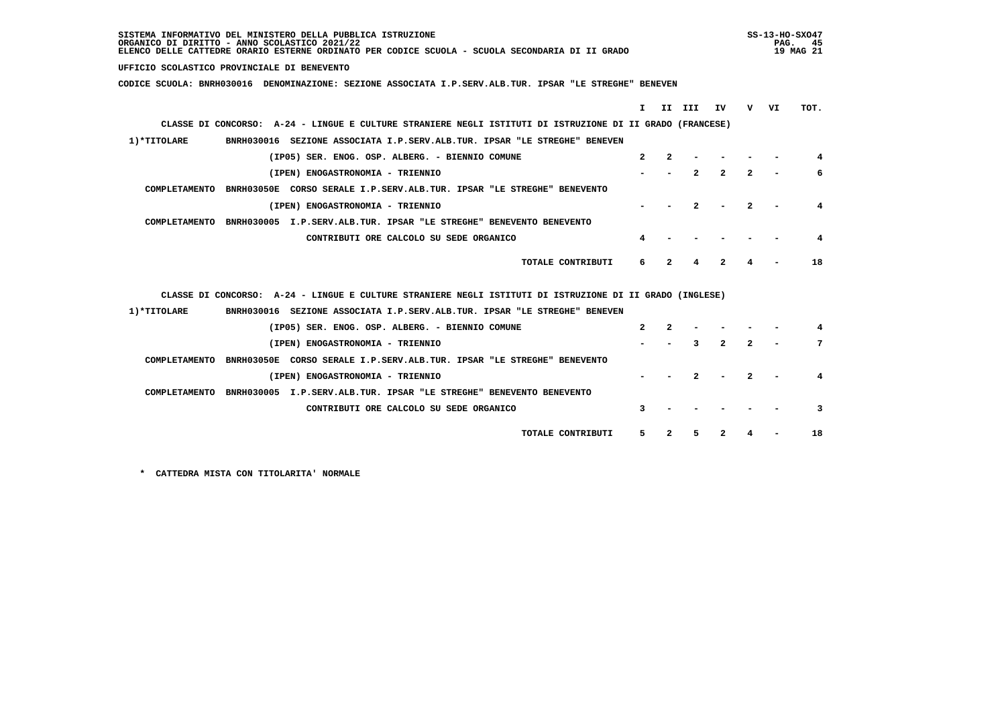| SISTEMA INFORMATIVO DEL MINISTERO DELLA PUBBLICA ISTRUZIONE<br>ORGANICO DI DIRITTO - ANNO SCOLASTICO 2021/22<br>ELENCO DELLE CATTEDRE ORARIO ESTERNE ORDINATO PER CODICE SCUOLA - SCUOLA SECONDARIA DI II GRADO |              |              |              |                  |              | PAG. | SS-13-HO-SX047<br>45<br>19 MAG 21 |
|-----------------------------------------------------------------------------------------------------------------------------------------------------------------------------------------------------------------|--------------|--------------|--------------|------------------|--------------|------|-----------------------------------|
| UFFICIO SCOLASTICO PROVINCIALE DI BENEVENTO                                                                                                                                                                     |              |              |              |                  |              |      |                                   |
| CODICE SCUOLA: BNRH030016 DENOMINAZIONE: SEZIONE ASSOCIATA I.P.SERV.ALB.TUR. IPSAR "LE STREGHE" BENEVEN                                                                                                         |              |              |              |                  |              |      |                                   |
|                                                                                                                                                                                                                 | т.           |              | II III       | IV               | v —          | VI   | TOT.                              |
| CLASSE DI CONCORSO: A-24 - LINGUE E CULTURE STRANIERE NEGLI ISTITUTI DI ISTRUZIONE DI II GRADO (FRANCESE)                                                                                                       |              |              |              |                  |              |      |                                   |
| 1)*TITOLARE<br>BNRH030016 SEZIONE ASSOCIATA I.P.SERV.ALB.TUR. IPSAR "LE STREGHE" BENEVEN                                                                                                                        |              |              |              |                  |              |      |                                   |
| (IP05) SER. ENOG. OSP. ALBERG. - BIENNIO COMUNE                                                                                                                                                                 | $\mathbf{2}$ | $\mathbf{2}$ |              |                  |              |      | 4                                 |
| (IPEN) ENOGASTRONOMIA - TRIENNIO                                                                                                                                                                                |              |              | $\mathbf{r}$ | $\boldsymbol{z}$ | $\mathbf{2}$ |      | 6                                 |
| COMPLETAMENTO BNRH03050E CORSO SERALE I.P.SERV.ALB.TUR. IPSAR "LE STREGHE" BENEVENTO                                                                                                                            |              |              |              |                  |              |      |                                   |
| (IPEN) ENOGASTRONOMIA - TRIENNIO                                                                                                                                                                                |              |              |              |                  |              |      | 4                                 |
| COMPLETAMENTO BNRH030005 I.P.SERV.ALB.TUR. IPSAR "LE STREGHE" BENEVENTO BENEVENTO                                                                                                                               |              |              |              |                  |              |      |                                   |
| CONTRIBUTI ORE CALCOLO SU SEDE ORGANICO                                                                                                                                                                         | 4            |              |              |                  |              |      | 4                                 |
| TOTALE CONTRIBUTI                                                                                                                                                                                               | 6            | $\mathbf{2}$ | 4            | $\overline{2}$   | 4            |      | 18                                |
|                                                                                                                                                                                                                 |              |              |              |                  |              |      |                                   |
| CLASSE DI CONCORSO: A-24 - LINGUE E CULTURE STRANIERE NEGLI ISTITUTI DI ISTRUZIONE DI II GRADO (INGLESE)                                                                                                        |              |              |              |                  |              |      |                                   |
| 1)*TITOLARE<br>BNRH030016 SEZIONE ASSOCIATA I.P.SERV.ALB.TUR. IPSAR "LE STREGHE" BENEVEN                                                                                                                        |              |              |              |                  |              |      |                                   |
| (IP05) SER. ENOG. OSP. ALBERG. - BIENNIO COMUNE                                                                                                                                                                 | $\mathbf{z}$ | $\mathbf{2}$ |              |                  |              |      | 4                                 |
| (IPEN) ENOGASTRONOMIA - TRIENNIO                                                                                                                                                                                |              |              | 3            | $\mathbf{2}$     | 2            |      | 7                                 |
| COMPLETAMENTO<br>BNRH03050E CORSO SERALE I.P.SERV.ALB.TUR. IPSAR "LE STREGHE" BENEVENTO                                                                                                                         |              |              |              |                  |              |      |                                   |
| (IPEN) ENOGASTRONOMIA - TRIENNIO                                                                                                                                                                                |              |              |              |                  |              |      | 4                                 |
| COMPLETAMENTO BNRH030005 I.P.SERV.ALB.TUR. IPSAR "LE STREGHE" BENEVENTO BENEVENTO                                                                                                                               |              |              |              |                  |              |      |                                   |
| CONTRIBUTI ORE CALCOLO SU SEDE ORGANICO                                                                                                                                                                         | 3            |              |              |                  |              |      | 3                                 |
| TOTALE CONTRIBUTI                                                                                                                                                                                               | 5.           | 2            | 5            | 2                |              |      | 18                                |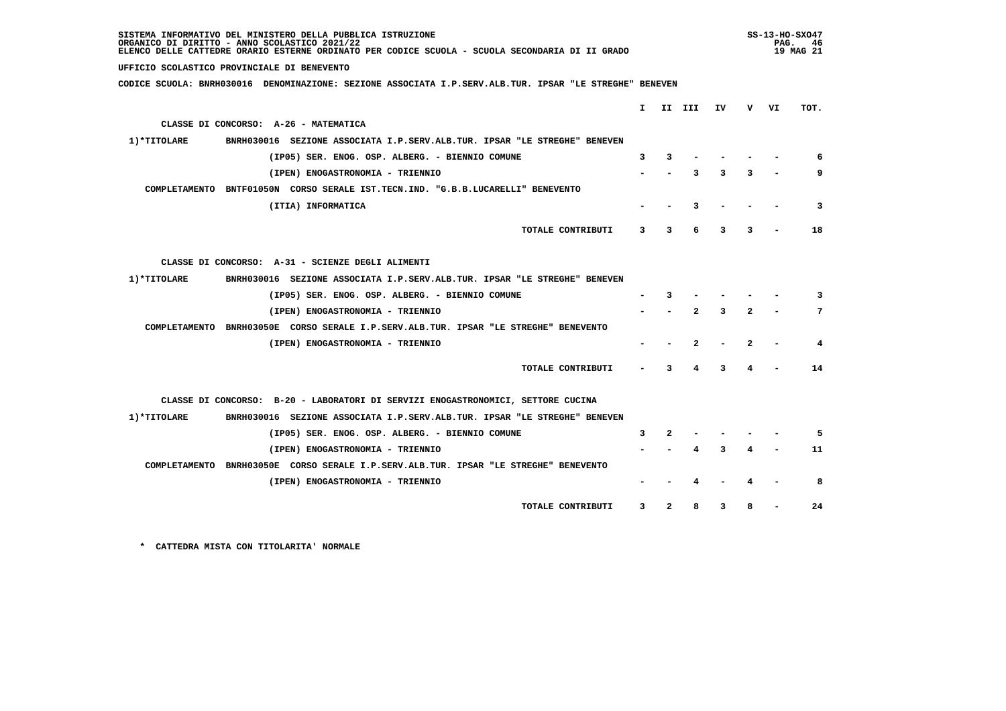| SISTEMA INFORMATIVO DEL MINISTERO DELLA PUBBLICA ISTRUZIONE<br>ORGANICO DI DIRITTO - ANNO SCOLASTICO 2021/22<br>ELENCO DELLE CATTEDRE ORARIO ESTERNE ORDINATO PER CODICE SCUOLA - SCUOLA SECONDARIA DI II GRADO |   |              |              |    | $SS-13-HO-SXO47$<br>PAG. 46<br>19 MAG 21 |    |      |
|-----------------------------------------------------------------------------------------------------------------------------------------------------------------------------------------------------------------|---|--------------|--------------|----|------------------------------------------|----|------|
| UFFICIO SCOLASTICO PROVINCIALE DI BENEVENTO                                                                                                                                                                     |   |              |              |    |                                          |    |      |
| CODICE SCUOLA: BNRH030016 DENOMINAZIONE: SEZIONE ASSOCIATA I.P.SERV.ALB.TUR. IPSAR "LE STREGHE" BENEVEN                                                                                                         |   |              |              |    |                                          |    |      |
|                                                                                                                                                                                                                 |   |              |              |    |                                          |    |      |
|                                                                                                                                                                                                                 |   | I II III     |              | IV | v —                                      | VI | TOT. |
| CLASSE DI CONCORSO: A-26 - MATEMATICA                                                                                                                                                                           |   |              |              |    |                                          |    |      |
| 1) *TITOLARE<br>BNRH030016 SEZIONE ASSOCIATA I.P.SERV.ALB.TUR. IPSAR "LE STREGHE" BENEVEN                                                                                                                       |   |              |              |    |                                          |    |      |
| (IP05) SER. ENOG. OSP. ALBERG. - BIENNIO COMUNE                                                                                                                                                                 | 3 | 3            |              |    |                                          |    | 6    |
| (IPEN) ENOGASTRONOMIA - TRIENNIO                                                                                                                                                                                |   |              | 3            | 3  | 3                                        |    | 9    |
| COMPLETAMENTO BNTF01050N CORSO SERALE IST.TECN.IND. "G.B.B.LUCARELLI" BENEVENTO                                                                                                                                 |   |              |              |    |                                          |    |      |
| (ITIA) INFORMATICA                                                                                                                                                                                              |   |              | 3            |    |                                          |    | 3    |
| TOTALE CONTRIBUTI                                                                                                                                                                                               | 3 | 3            | 6            | 3  | 3                                        |    | 18   |
|                                                                                                                                                                                                                 |   |              |              |    |                                          |    |      |
| CLASSE DI CONCORSO: A-31 - SCIENZE DEGLI ALIMENTI                                                                                                                                                               |   |              |              |    |                                          |    |      |
| 1)*TITOLARE<br>BNRH030016 SEZIONE ASSOCIATA I.P.SERV.ALB.TUR. IPSAR "LE STREGHE" BENEVEN                                                                                                                        |   |              |              |    |                                          |    |      |
| (IP05) SER. ENOG. OSP. ALBERG. - BIENNIO COMUNE                                                                                                                                                                 |   | 3            |              |    |                                          |    | 3    |
| (IPEN) ENOGASTRONOMIA - TRIENNIO                                                                                                                                                                                |   |              | $\mathbf{z}$ | 3  | $\mathbf{2}$                             |    | 7    |
| COMPLETAMENTO BNRH03050E CORSO SERALE I.P.SERV.ALB.TUR. IPSAR "LE STREGHE" BENEVENTO                                                                                                                            |   |              |              |    |                                          |    |      |
| (IPEN) ENOGASTRONOMIA - TRIENNIO                                                                                                                                                                                |   |              | $\mathbf{2}$ |    | 2                                        |    | 4    |
|                                                                                                                                                                                                                 |   |              |              |    |                                          |    |      |
| TOTALE CONTRIBUTI                                                                                                                                                                                               |   | 3            | 4            | 3  |                                          |    | 14   |
|                                                                                                                                                                                                                 |   |              |              |    |                                          |    |      |
| CLASSE DI CONCORSO: B-20 - LABORATORI DI SERVIZI ENOGASTRONOMICI, SETTORE CUCINA                                                                                                                                |   |              |              |    |                                          |    |      |
| BNRH030016 SEZIONE ASSOCIATA I.P.SERV.ALB.TUR. IPSAR "LE STREGHE" BENEVEN<br>1)*TITOLARE                                                                                                                        |   |              |              |    |                                          |    |      |
| (IP05) SER. ENOG. OSP. ALBERG. - BIENNIO COMUNE                                                                                                                                                                 | 3 | 2            |              |    |                                          |    | 5    |
| (IPEN) ENOGASTRONOMIA - TRIENNIO                                                                                                                                                                                |   |              |              | ٦  |                                          |    | 11   |
| COMPLETAMENTO BNRH03050E CORSO SERALE I.P.SERV.ALB.TUR. IPSAR "LE STREGHE" BENEVENTO                                                                                                                            |   |              |              |    |                                          |    |      |
| (IPEN) ENOGASTRONOMIA - TRIENNIO                                                                                                                                                                                |   |              |              |    |                                          |    | 8    |
|                                                                                                                                                                                                                 |   |              |              |    |                                          |    |      |
| TOTALE CONTRIBUTI                                                                                                                                                                                               | 3 | $\mathbf{2}$ | 8            | 3  | 8                                        |    | 24   |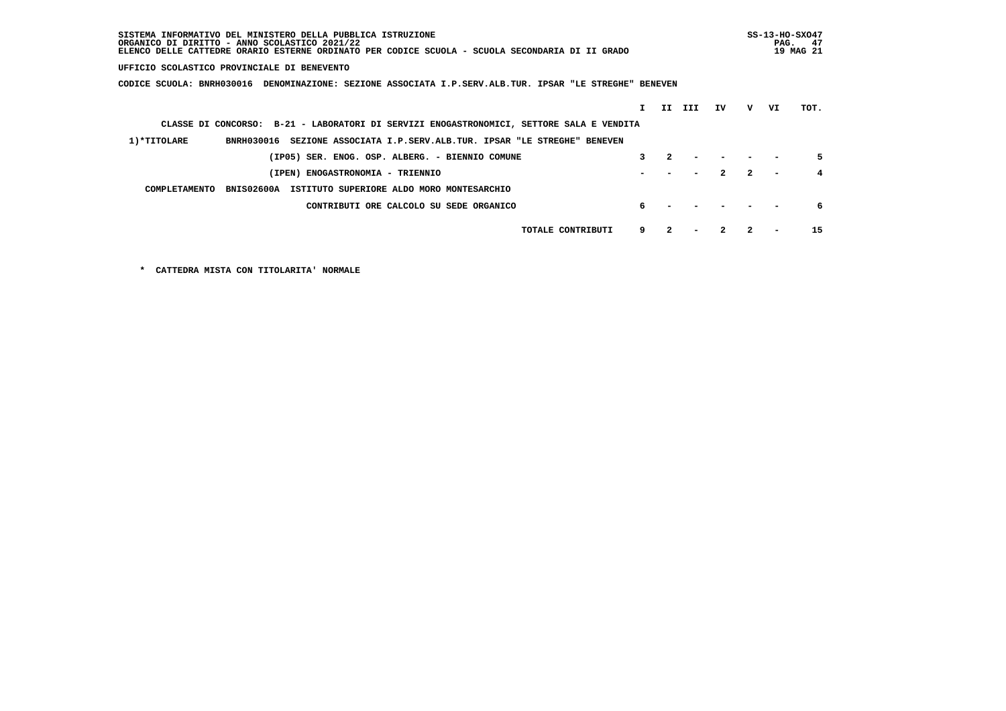| SISTEMA INFORMATIVO DEL MINISTERO DELLA PUBBLICA ISTRUZIONE<br>ORGANICO DI DIRITTO - ANNO SCOLASTICO 2021/22<br>ELENCO DELLE CATTEDRE ORARIO ESTERNE ORDINATO PER CODICE SCUOLA - SCUOLA SECONDARIA DI II GRADO |    |                  |     |              |              | PAG. | $SS-13-HO-SXO47$<br>-47<br>19 MAG 21 |
|-----------------------------------------------------------------------------------------------------------------------------------------------------------------------------------------------------------------|----|------------------|-----|--------------|--------------|------|--------------------------------------|
| UFFICIO SCOLASTICO PROVINCIALE DI BENEVENTO                                                                                                                                                                     |    |                  |     |              |              |      |                                      |
| CODICE SCUOLA: BNRH030016<br>DENOMINAZIONE: SEZIONE ASSOCIATA I.P.SERV.ALB.TUR. IPSAR "LE STREGHE" BENEVEN                                                                                                      |    |                  |     |              |              |      |                                      |
|                                                                                                                                                                                                                 | T  | II.              | III | IV           | v            | VI   | TOT.                                 |
| CLASSE DI CONCORSO: B-21 - LABORATORI DI SERVIZI ENOGASTRONOMICI, SETTORE SALA E VENDITA                                                                                                                        |    |                  |     |              |              |      |                                      |
| 1)*TITOLARE<br>BNRH030016<br>SEZIONE ASSOCIATA I.P.SERV.ALB.TUR. IPSAR "LE STREGHE" BENEVEN                                                                                                                     |    |                  |     |              |              |      |                                      |
| (IP05) SER. ENOG. OSP. ALBERG. - BIENNIO COMUNE                                                                                                                                                                 | 3  | $\boldsymbol{c}$ |     |              |              |      |                                      |
| (IPEN) ENOGASTRONOMIA - TRIENNIO                                                                                                                                                                                |    |                  |     | $\mathbf{2}$ | $\mathbf{2}$ |      |                                      |
| COMPLETAMENTO<br>BNIS02600A<br>ISTITUTO SUPERIORE ALDO MORO MONTESARCHIO                                                                                                                                        |    |                  |     |              |              |      |                                      |
| CONTRIBUTI ORE CALCOLO SU SEDE ORGANICO                                                                                                                                                                         | б. |                  |     |              |              |      | 6                                    |
| TOTALE CONTRIBUTI                                                                                                                                                                                               | 9  |                  |     |              |              |      | 15                                   |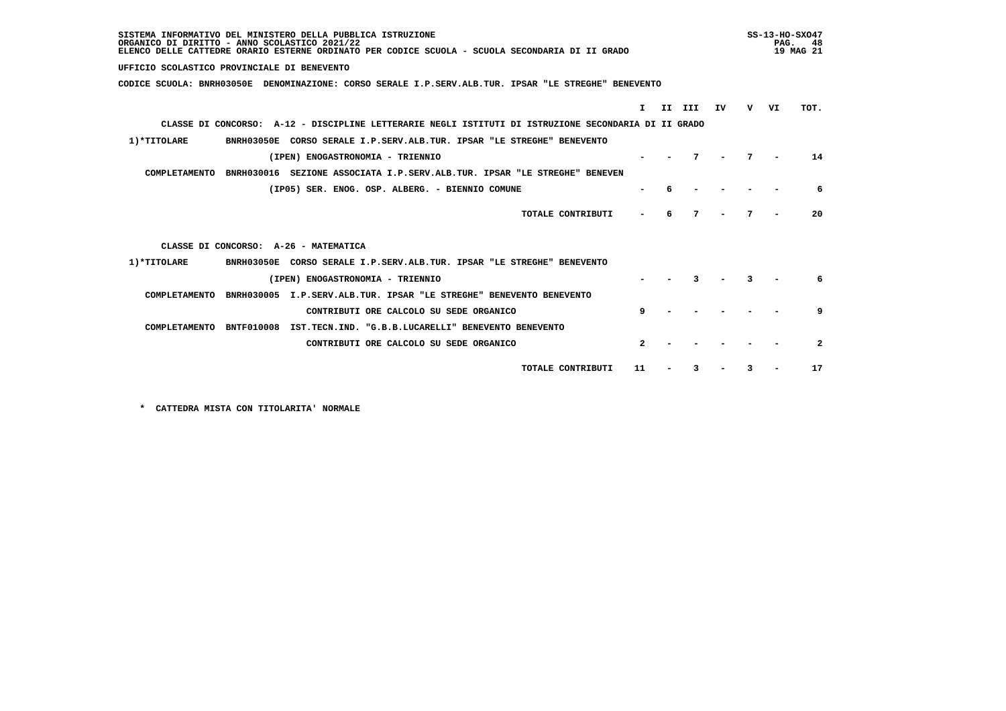| SISTEMA INFORMATIVO DEL MINISTERO DELLA PUBBLICA ISTRUZIONE<br>ORGANICO DI DIRITTO - ANNO SCOLASTICO 2021/22<br>ELENCO DELLE CATTEDRE ORARIO ESTERNE ORDINATO PER CODICE SCUOLA - SCUOLA SECONDARIA DI II GRADO |    |     |    |              |  |  |  |
|-----------------------------------------------------------------------------------------------------------------------------------------------------------------------------------------------------------------|----|-----|----|--------------|--|--|--|
| UFFICIO SCOLASTICO PROVINCIALE DI BENEVENTO                                                                                                                                                                     |    |     |    |              |  |  |  |
| CODICE SCUOLA: BNRH03050E DENOMINAZIONE: CORSO SERALE I.P.SERV.ALB.TUR. IPSAR "LE STREGHE" BENEVENTO                                                                                                            |    |     |    |              |  |  |  |
| II.<br>III<br>I.                                                                                                                                                                                                | IV | v – | VI | TOT.         |  |  |  |
|                                                                                                                                                                                                                 |    |     |    |              |  |  |  |
| CLASSE DI CONCORSO: A-12 - DISCIPLINE LETTERARIE NEGLI ISTITUTI DI ISTRUZIONE SECONDARIA DI II GRADO                                                                                                            |    |     |    |              |  |  |  |
| 1) *TITOLARE<br>BNRH03050E CORSO SERALE I.P.SERV.ALB.TUR. IPSAR "LE STREGHE" BENEVENTO                                                                                                                          |    |     |    |              |  |  |  |
| (IPEN) ENOGASTRONOMIA - TRIENNIO                                                                                                                                                                                |    |     |    | 14           |  |  |  |
| COMPLETAMENTO<br>BNRH030016 SEZIONE ASSOCIATA I.P.SERV.ALB.TUR. IPSAR "LE STREGHE" BENEVEN                                                                                                                      |    |     |    |              |  |  |  |
| (IP05) SER. ENOG. OSP. ALBERG. - BIENNIO COMUNE                                                                                                                                                                 |    |     |    | 6            |  |  |  |
| TOTALE CONTRIBUTI<br>6                                                                                                                                                                                          | 7  |     |    | 20           |  |  |  |
| CLASSE DI CONCORSO: A-26 - MATEMATICA                                                                                                                                                                           |    |     |    |              |  |  |  |
| 1) *TITOLARE<br>BNRH03050E CORSO SERALE I.P.SERV.ALB.TUR. IPSAR "LE STREGHE" BENEVENTO                                                                                                                          |    |     |    |              |  |  |  |
| (IPEN) ENOGASTRONOMIA - TRIENNIO                                                                                                                                                                                |    |     |    | 6            |  |  |  |
| COMPLETAMENTO<br>BNRH030005 I.P.SERV.ALB.TUR. IPSAR "LE STREGHE" BENEVENTO BENEVENTO                                                                                                                            |    |     |    |              |  |  |  |
| 9<br>CONTRIBUTI ORE CALCOLO SU SEDE ORGANICO                                                                                                                                                                    |    |     |    | 9            |  |  |  |
| COMPLETAMENTO<br><b>BNTF010008</b><br>IST.TECN.IND. "G.B.B.LUCARELLI" BENEVENTO BENEVENTO                                                                                                                       |    |     |    |              |  |  |  |
| $\overline{2}$<br>CONTRIBUTI ORE CALCOLO SU SEDE ORGANICO                                                                                                                                                       |    |     |    | $\mathbf{2}$ |  |  |  |
| TOTALE CONTRIBUTI<br>11                                                                                                                                                                                         |    |     |    | 17           |  |  |  |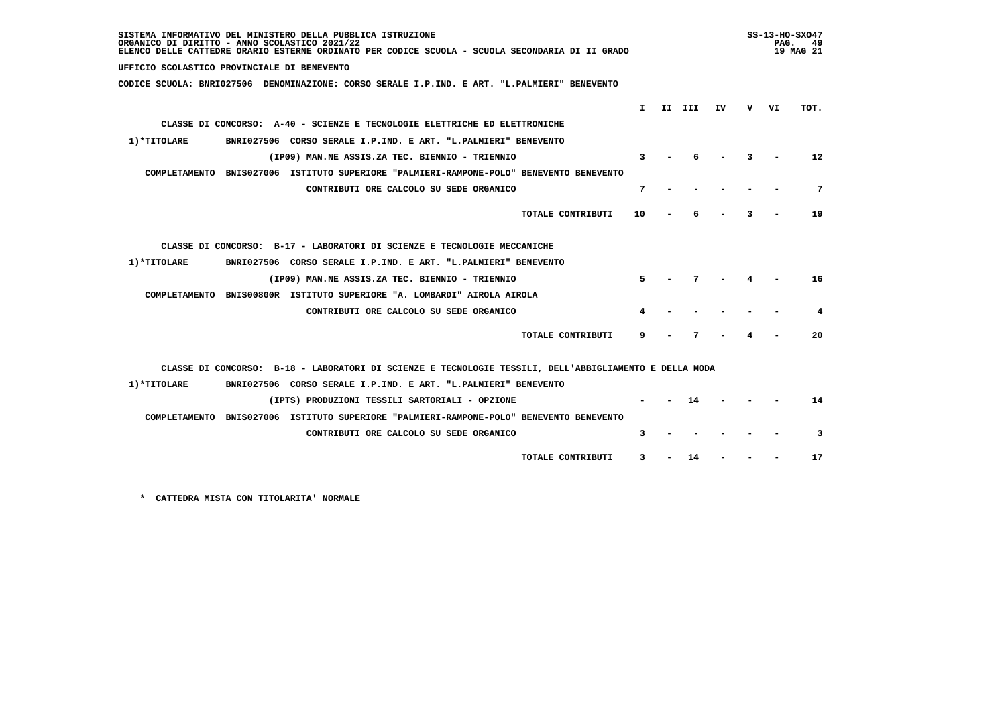| SISTEMA INFORMATIVO DEL MINISTERO DELLA PUBBLICA ISTRUZIONE<br>ORGANICO DI DIRITTO - ANNO SCOLASTICO 2021/22<br>ELENCO DELLE CATTEDRE ORARIO ESTERNE ORDINATO PER CODICE SCUOLA - SCUOLA SECONDARIA DI II GRADO |        |    |   | PAG. | SS-13-HO-SX047<br>49<br>19 MAG 21 |
|-----------------------------------------------------------------------------------------------------------------------------------------------------------------------------------------------------------------|--------|----|---|------|-----------------------------------|
| UFFICIO SCOLASTICO PROVINCIALE DI BENEVENTO                                                                                                                                                                     |        |    |   |      |                                   |
| CODICE SCUOLA: BNRI027506 DENOMINAZIONE: CORSO SERALE I.P.IND. E ART. "L.PALMIERI" BENEVENTO                                                                                                                    |        |    |   |      |                                   |
|                                                                                                                                                                                                                 |        |    |   |      |                                   |
| T.                                                                                                                                                                                                              | II III | ΙV | v | VI   | TOT.                              |
| CLASSE DI CONCORSO: A-40 - SCIENZE E TECNOLOGIE ELETTRICHE ED ELETTRONICHE                                                                                                                                      |        |    |   |      |                                   |
| BNRI027506 CORSO SERALE I.P.IND. E ART. "L.PALMIERI" BENEVENTO<br>1)*TITOLARE                                                                                                                                   |        |    |   |      |                                   |
| 3<br>(IP09) MAN.NE ASSIS.ZA TEC. BIENNIO - TRIENNIO                                                                                                                                                             |        |    |   |      | $12 \overline{ }$                 |
| COMPLETAMENTO BNIS027006 ISTITUTO SUPERIORE "PALMIERI-RAMPONE-POLO" BENEVENTO BENEVENTO                                                                                                                         |        |    |   |      |                                   |
| CONTRIBUTI ORE CALCOLO SU SEDE ORGANICO<br>7                                                                                                                                                                    |        |    |   |      | 7                                 |
| TOTALE CONTRIBUTI<br>10                                                                                                                                                                                         |        |    | ٦ |      | 19                                |
| CLASSE DI CONCORSO: B-17 - LABORATORI DI SCIENZE E TECNOLOGIE MECCANICHE                                                                                                                                        |        |    |   |      |                                   |
| 1) *TITOLARE<br>BNRI027506 CORSO SERALE I.P.IND. E ART. "L.PALMIERI" BENEVENTO                                                                                                                                  |        |    |   |      |                                   |
| (IP09) MAN.NE ASSIS.ZA TEC. BIENNIO - TRIENNIO<br>5.                                                                                                                                                            | 7      |    |   |      | 16                                |
| COMPLETAMENTO BNIS00800R ISTITUTO SUPERIORE "A. LOMBARDI" AIROLA AIROLA                                                                                                                                         |        |    |   |      |                                   |
| CONTRIBUTI ORE CALCOLO SU SEDE ORGANICO                                                                                                                                                                         |        |    |   |      | 4                                 |
| TOTALE CONTRIBUTI<br>9                                                                                                                                                                                          | 7      |    |   |      | 20                                |
| CLASSE DI CONCORSO: B-18 - LABORATORI DI SCIENZE E TECNOLOGIE TESSILI, DELL'ABBIGLIAMENTO E DELLA MODA                                                                                                          |        |    |   |      |                                   |
| 1) *TITOLARE<br>BNRI027506 CORSO SERALE I.P. IND. E ART. "L.PALMIERI" BENEVENTO                                                                                                                                 |        |    |   |      |                                   |
| (IPTS) PRODUZIONI TESSILI SARTORIALI - OPZIONE                                                                                                                                                                  | 14     |    |   |      | 14                                |
| COMPLETAMENTO BNIS027006 ISTITUTO SUPERIORE "PALMIERI-RAMPONE-POLO" BENEVENTO BENEVENTO                                                                                                                         |        |    |   |      |                                   |
| CONTRIBUTI ORE CALCOLO SU SEDE ORGANICO<br>3                                                                                                                                                                    |        |    |   |      | 3                                 |
| TOTALE CONTRIBUTI<br>3                                                                                                                                                                                          | 14     |    |   |      | 17                                |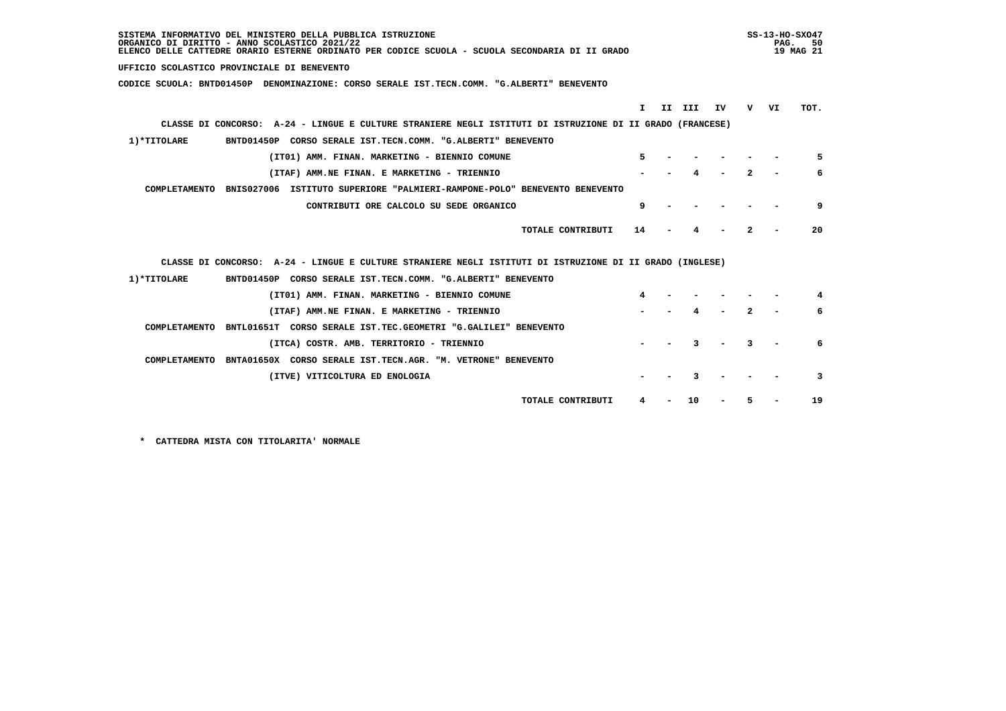| SISTEMA INFORMATIVO DEL MINISTERO DELLA PUBBLICA ISTRUZIONE<br>ORGANICO DI DIRITTO - ANNO SCOLASTICO 2021/22<br>ELENCO DELLE CATTEDRE ORARIO ESTERNE ORDINATO PER CODICE SCUOLA - SCUOLA SECONDARIA DI II GRADO |    | SS-13-HO-SX047<br>PAG. | 50.<br>19 MAG 21 |
|-----------------------------------------------------------------------------------------------------------------------------------------------------------------------------------------------------------------|----|------------------------|------------------|
| UFFICIO SCOLASTICO PROVINCIALE DI BENEVENTO                                                                                                                                                                     |    |                        |                  |
| CODICE SCUOLA: BNTD01450P DENOMINAZIONE: CORSO SERALE IST.TECN.COMM. "G.ALBERTI" BENEVENTO                                                                                                                      |    |                        |                  |
|                                                                                                                                                                                                                 |    |                        |                  |
| T.<br>II III                                                                                                                                                                                                    | IV | v<br>VI                | TOT.             |
| CLASSE DI CONCORSO: A-24 - LINGUE E CULTURE STRANIERE NEGLI ISTITUTI DI ISTRUZIONE DI II GRADO (FRANCESE)                                                                                                       |    |                        |                  |
| 1) *TITOLARE<br>BNTD01450P CORSO SERALE IST.TECN.COMM. "G.ALBERTI" BENEVENTO                                                                                                                                    |    |                        |                  |
| 5.<br>(IT01) AMM. FINAN. MARKETING - BIENNIO COMUNE                                                                                                                                                             |    |                        | 5                |
| (ITAF) AMM.NE FINAN. E MARKETING - TRIENNIO                                                                                                                                                                     |    | $\mathbf{z}$           | 6                |
| COMPLETAMENTO BNIS027006 ISTITUTO SUPERIORE "PALMIERI-RAMPONE-POLO" BENEVENTO BENEVENTO                                                                                                                         |    |                        |                  |
| CONTRIBUTI ORE CALCOLO SU SEDE ORGANICO<br>9                                                                                                                                                                    |    |                        | 9                |
|                                                                                                                                                                                                                 |    |                        |                  |
| TOTALE CONTRIBUTI<br>14                                                                                                                                                                                         |    | 2                      | 20               |
|                                                                                                                                                                                                                 |    |                        |                  |
| CLASSE DI CONCORSO: A-24 - LINGUE E CULTURE STRANIERE NEGLI ISTITUTI DI ISTRUZIONE DI II GRADO (INGLESE)                                                                                                        |    |                        |                  |
| 1) *TITOLARE<br>BNTD01450P CORSO SERALE IST.TECN.COMM. "G.ALBERTI" BENEVENTO                                                                                                                                    |    |                        |                  |
| 4<br>(IT01) AMM. FINAN. MARKETING - BIENNIO COMUNE                                                                                                                                                              |    |                        |                  |
| (ITAF) AMM.NE FINAN. E MARKETING - TRIENNIO                                                                                                                                                                     |    |                        | 6                |
| COMPLETAMENTO BNTL01651T CORSO SERALE IST.TEC.GEOMETRI "G.GALILEI" BENEVENTO                                                                                                                                    |    |                        |                  |
| (ITCA) COSTR. AMB. TERRITORIO - TRIENNIO                                                                                                                                                                        |    | 3                      |                  |
|                                                                                                                                                                                                                 |    |                        |                  |
| COMPLETAMENTO BNTA01650X CORSO SERALE IST.TECN.AGR. "M. VETRONE" BENEVENTO                                                                                                                                      |    |                        |                  |
| (ITVE) VITICOLTURA ED ENOLOGIA                                                                                                                                                                                  |    |                        | 3                |
| TOTALE CONTRIBUTI<br>10                                                                                                                                                                                         |    | 5                      | 19               |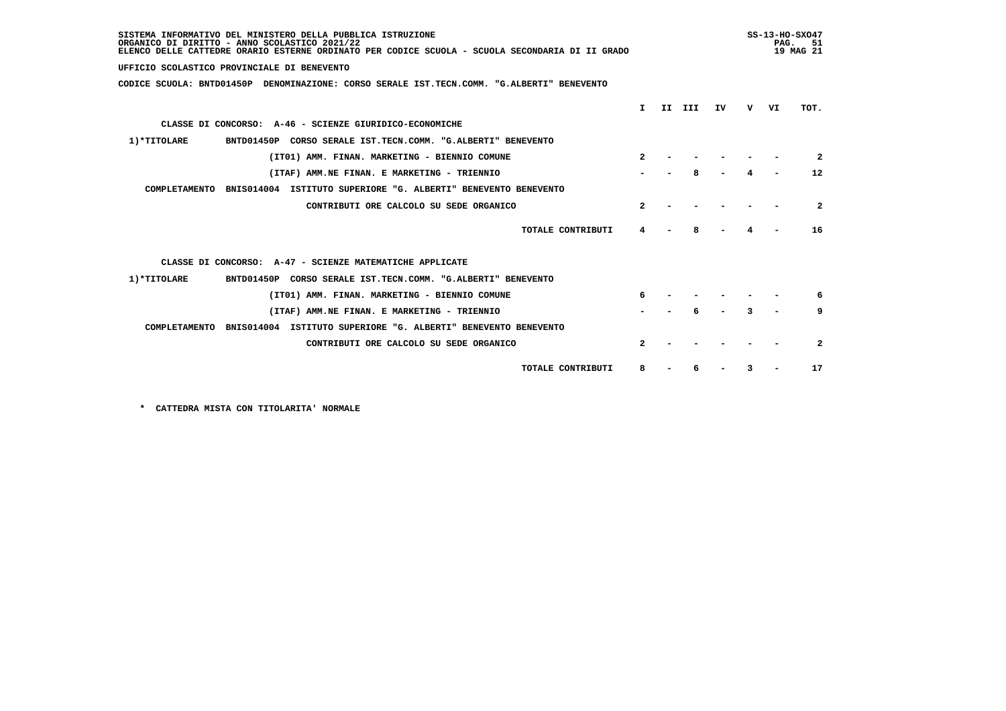| SISTEMA INFORMATIVO DEL MINISTERO DELLA PUBBLICA ISTRUZIONE<br>ORGANICO DI DIRITTO - ANNO SCOLASTICO 2021/22<br>ELENCO DELLE CATTEDRE ORARIO ESTERNE ORDINATO PER CODICE SCUOLA - SCUOLA SECONDARIA DI II GRADO |                  |     |     |    |   | PAG. | $SS-13-HO-SXO47$<br>51<br>19 MAG 21 |
|-----------------------------------------------------------------------------------------------------------------------------------------------------------------------------------------------------------------|------------------|-----|-----|----|---|------|-------------------------------------|
| UFFICIO SCOLASTICO PROVINCIALE DI BENEVENTO                                                                                                                                                                     |                  |     |     |    |   |      |                                     |
| CODICE SCUOLA: BNTD01450P DENOMINAZIONE: CORSO SERALE IST.TECN.COMM. "G.ALBERTI" BENEVENTO                                                                                                                      |                  |     |     |    |   |      |                                     |
|                                                                                                                                                                                                                 | т.               | II. | III | IV | v | VI   | TOT.                                |
| CLASSE DI CONCORSO: A-46 - SCIENZE GIURIDICO-ECONOMICHE                                                                                                                                                         |                  |     |     |    |   |      |                                     |
| 1) *TITOLARE<br>BNTD01450P CORSO SERALE IST.TECN.COMM. "G.ALBERTI" BENEVENTO                                                                                                                                    |                  |     |     |    |   |      |                                     |
| (IT01) AMM. FINAN. MARKETING - BIENNIO COMUNE                                                                                                                                                                   | 2                |     |     |    |   |      | 2                                   |
| (ITAF) AMM.NE FINAN. E MARKETING - TRIENNIO                                                                                                                                                                     |                  |     |     |    |   |      | $12 \overline{ }$                   |
| COMPLETAMENTO<br>BNIS014004 ISTITUTO SUPERIORE "G. ALBERTI" BENEVENTO BENEVENTO                                                                                                                                 |                  |     |     |    |   |      |                                     |
| CONTRIBUTI ORE CALCOLO SU SEDE ORGANICO                                                                                                                                                                         | $\boldsymbol{c}$ |     |     |    |   |      | $\mathbf{2}$                        |
| TOTALE CONTRIBUTI                                                                                                                                                                                               | 4                |     |     |    |   |      | 16                                  |
| CLASSE DI CONCORSO: A-47 - SCIENZE MATEMATICHE APPLICATE                                                                                                                                                        |                  |     |     |    |   |      |                                     |
| 1) *TITOLARE<br>BNTD01450P CORSO SERALE IST.TECN.COMM. "G.ALBERTI" BENEVENTO                                                                                                                                    |                  |     |     |    |   |      |                                     |
| (IT01) AMM. FINAN. MARKETING - BIENNIO COMUNE                                                                                                                                                                   |                  |     |     |    |   |      | 6                                   |
| (ITAF) AMM.NE FINAN. E MARKETING - TRIENNIO                                                                                                                                                                     |                  |     |     |    |   |      | 9                                   |
| COMPLETAMENTO<br>BNIS014004 ISTITUTO SUPERIORE "G. ALBERTI" BENEVENTO BENEVENTO                                                                                                                                 |                  |     |     |    |   |      |                                     |
| CONTRIBUTI ORE CALCOLO SU SEDE ORGANICO                                                                                                                                                                         | $\mathbf{z}$     |     |     |    |   |      | $\mathbf{2}$                        |
| TOTALE CONTRIBUTI                                                                                                                                                                                               | 8                |     |     |    | 3 |      | 17                                  |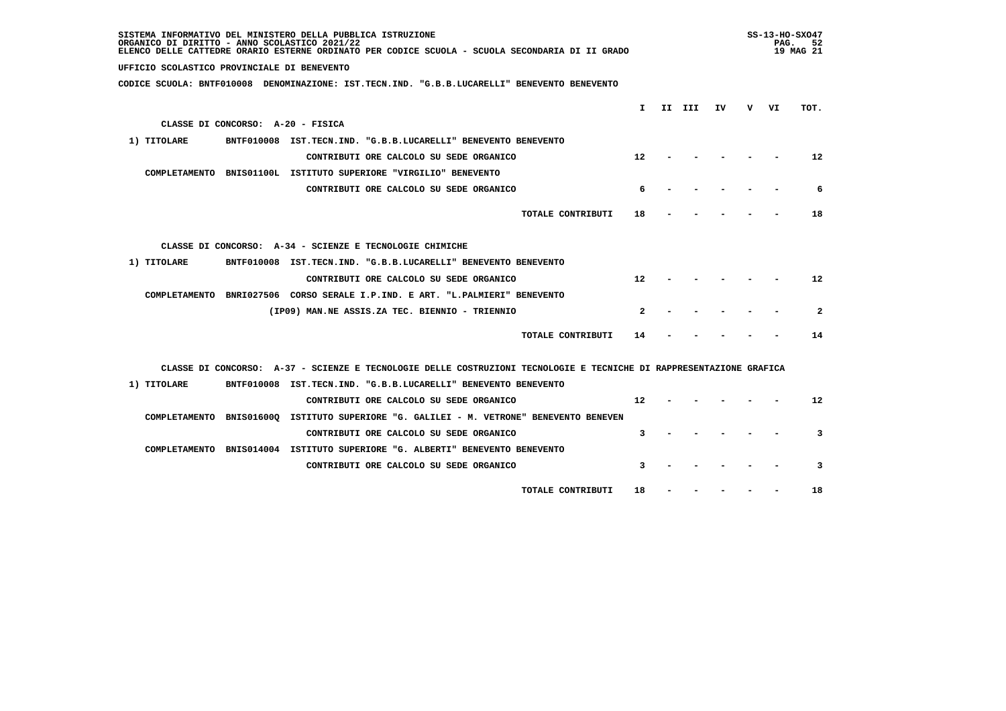| SISTEMA INFORMATIVO DEL MINISTERO DELLA PUBBLICA ISTRUZIONE<br>ORGANICO DI DIRITTO - ANNO SCOLASTICO 2021/22<br>ELENCO DELLE CATTEDRE ORARIO ESTERNE ORDINATO PER CODICE SCUOLA - SCUOLA SECONDARIA DI II GRADO |   | $SS-13-HO-SXO47$<br>PAG. 52<br>19 MAG 21 |  |
|-----------------------------------------------------------------------------------------------------------------------------------------------------------------------------------------------------------------|---|------------------------------------------|--|
| UFFICIO SCOLASTICO PROVINCIALE DI BENEVENTO                                                                                                                                                                     |   |                                          |  |
| CODICE SCUOLA: BNTF010008 DENOMINAZIONE: IST.TECN.IND. "G.B.B.LUCARELLI" BENEVENTO BENEVENTO                                                                                                                    |   |                                          |  |
|                                                                                                                                                                                                                 |   |                                          |  |
| I.<br>II III<br>ΙV                                                                                                                                                                                              | v | TOT.<br>VI                               |  |
| CLASSE DI CONCORSO: A-20 - FISICA                                                                                                                                                                               |   |                                          |  |
| 1) TITOLARE<br>BNTF010008 IST.TECN.IND. "G.B.B.LUCARELLI" BENEVENTO BENEVENTO                                                                                                                                   |   |                                          |  |
| 12<br>CONTRIBUTI ORE CALCOLO SU SEDE ORGANICO                                                                                                                                                                   |   | 12                                       |  |
| COMPLETAMENTO BNIS01100L ISTITUTO SUPERIORE "VIRGILIO" BENEVENTO                                                                                                                                                |   |                                          |  |
| CONTRIBUTI ORE CALCOLO SU SEDE ORGANICO<br>6                                                                                                                                                                    |   | 6                                        |  |
| TOTALE CONTRIBUTI<br>18                                                                                                                                                                                         |   | 18                                       |  |
|                                                                                                                                                                                                                 |   |                                          |  |
| CLASSE DI CONCORSO: A-34 - SCIENZE E TECNOLOGIE CHIMICHE                                                                                                                                                        |   |                                          |  |
| 1) TITOLARE<br>BNTF010008 IST.TECN.IND. "G.B.B.LUCARELLI" BENEVENTO BENEVENTO                                                                                                                                   |   |                                          |  |
| $12 \overline{ }$<br>CONTRIBUTI ORE CALCOLO SU SEDE ORGANICO                                                                                                                                                    |   | 12                                       |  |
| COMPLETAMENTO BNRI027506 CORSO SERALE I.P.IND. E ART. "L.PALMIERI" BENEVENTO                                                                                                                                    |   |                                          |  |
| (IP09) MAN.NE ASSIS.ZA TEC. BIENNIO - TRIENNIO<br>2                                                                                                                                                             |   | $\mathbf{2}$                             |  |
|                                                                                                                                                                                                                 |   |                                          |  |
| TOTALE CONTRIBUTI<br>14                                                                                                                                                                                         |   | 14                                       |  |
|                                                                                                                                                                                                                 |   |                                          |  |
| CLASSE DI CONCORSO: A-37 - SCIENZE E TECNOLOGIE DELLE COSTRUZIONI TECNOLOGIE E TECNICHE DI RAPPRESENTAZIONE GRAFICA                                                                                             |   |                                          |  |
| 1) TITOLARE<br>BNTF010008 IST.TECN.IND. "G.B.B.LUCARELLI" BENEVENTO BENEVENTO                                                                                                                                   |   |                                          |  |
| CONTRIBUTI ORE CALCOLO SU SEDE ORGANICO<br>$12^{\circ}$                                                                                                                                                         |   | $12 \overline{ }$                        |  |
| COMPLETAMENTO BNIS01600Q ISTITUTO SUPERIORE "G. GALILEI - M. VETRONE" BENEVENTO BENEVEN                                                                                                                         |   |                                          |  |
| CONTRIBUTI ORE CALCOLO SU SEDE ORGANICO<br>3                                                                                                                                                                    |   | 3                                        |  |
| COMPLETAMENTO BNIS014004 ISTITUTO SUPERIORE "G. ALBERTI" BENEVENTO BENEVENTO                                                                                                                                    |   |                                          |  |
| CONTRIBUTI ORE CALCOLO SU SEDE ORGANICO<br>3                                                                                                                                                                    |   | 3                                        |  |
| TOTALE CONTRIBUTI<br>18                                                                                                                                                                                         |   | 18                                       |  |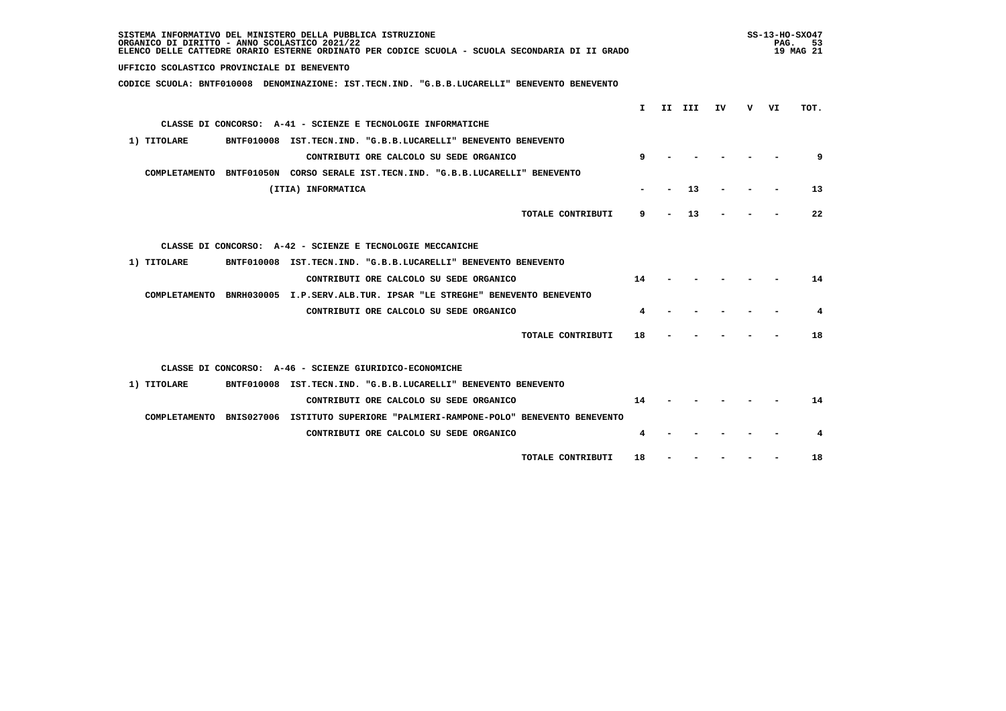| SISTEMA INFORMATIVO DEL MINISTERO DELLA PUBBLICA ISTRUZIONE<br>ORGANICO DI DIRITTO - ANNO SCOLASTICO 2021/22<br>ELENCO DELLE CATTEDRE ORARIO ESTERNE ORDINATO PER CODICE SCUOLA - SCUOLA SECONDARIA DI II GRADO |    |        |    | PAG. | $SS-13-HO-SXO47$<br>53<br>19 MAG 21 |
|-----------------------------------------------------------------------------------------------------------------------------------------------------------------------------------------------------------------|----|--------|----|------|-------------------------------------|
| UFFICIO SCOLASTICO PROVINCIALE DI BENEVENTO                                                                                                                                                                     |    |        |    |      |                                     |
| CODICE SCUOLA: BNTF010008 DENOMINAZIONE: IST.TECN.IND. "G.B.B.LUCARELLI" BENEVENTO BENEVENTO                                                                                                                    |    |        |    |      |                                     |
|                                                                                                                                                                                                                 | T  |        |    |      | TOT.                                |
|                                                                                                                                                                                                                 |    | II III | IV | v vı |                                     |
| CLASSE DI CONCORSO: A-41 - SCIENZE E TECNOLOGIE INFORMATICHE                                                                                                                                                    |    |        |    |      |                                     |
| 1) TITOLARE<br>BNTF010008 IST.TECN.IND. "G.B.B.LUCARELLI" BENEVENTO BENEVENTO                                                                                                                                   |    |        |    |      |                                     |
| CONTRIBUTI ORE CALCOLO SU SEDE ORGANICO                                                                                                                                                                         |    |        |    |      | 9                                   |
| COMPLETAMENTO BNTF01050N CORSO SERALE IST.TECN.IND. "G.B.B.LUCARELLI" BENEVENTO                                                                                                                                 |    |        |    |      |                                     |
| (ITIA) INFORMATICA                                                                                                                                                                                              |    | 13     |    |      | 13                                  |
| TOTALE CONTRIBUTI                                                                                                                                                                                               | 9  | 13     |    |      | 22                                  |
| CLASSE DI CONCORSO: A-42 - SCIENZE E TECNOLOGIE MECCANICHE                                                                                                                                                      |    |        |    |      |                                     |
| 1) TITOLARE<br>BNTF010008 IST.TECN.IND. "G.B.B.LUCARELLI" BENEVENTO BENEVENTO                                                                                                                                   |    |        |    |      |                                     |
| CONTRIBUTI ORE CALCOLO SU SEDE ORGANICO                                                                                                                                                                         | 14 |        |    |      | 14                                  |
| COMPLETAMENTO BNRH030005 I.P.SERV.ALB.TUR. IPSAR "LE STREGHE" BENEVENTO BENEVENTO                                                                                                                               |    |        |    |      |                                     |
| CONTRIBUTI ORE CALCOLO SU SEDE ORGANICO                                                                                                                                                                         | 4  |        |    |      | 4                                   |
| TOTALE CONTRIBUTI                                                                                                                                                                                               | 18 |        |    |      | 18                                  |
| CLASSE DI CONCORSO: A-46 - SCIENZE GIURIDICO-ECONOMICHE                                                                                                                                                         |    |        |    |      |                                     |
| 1) TITOLARE<br>BNTF010008 IST.TECN.IND. "G.B.B.LUCARELLI" BENEVENTO BENEVENTO                                                                                                                                   |    |        |    |      |                                     |
| CONTRIBUTI ORE CALCOLO SU SEDE ORGANICO                                                                                                                                                                         | 14 |        |    |      | 14                                  |
| COMPLETAMENTO BNIS027006 ISTITUTO SUPERIORE "PALMIERI-RAMPONE-POLO" BENEVENTO BENEVENTO                                                                                                                         |    |        |    |      |                                     |
| CONTRIBUTI ORE CALCOLO SU SEDE ORGANICO                                                                                                                                                                         |    |        |    |      | 4                                   |
| TOTALE CONTRIBUTI                                                                                                                                                                                               | 18 |        |    |      | 18                                  |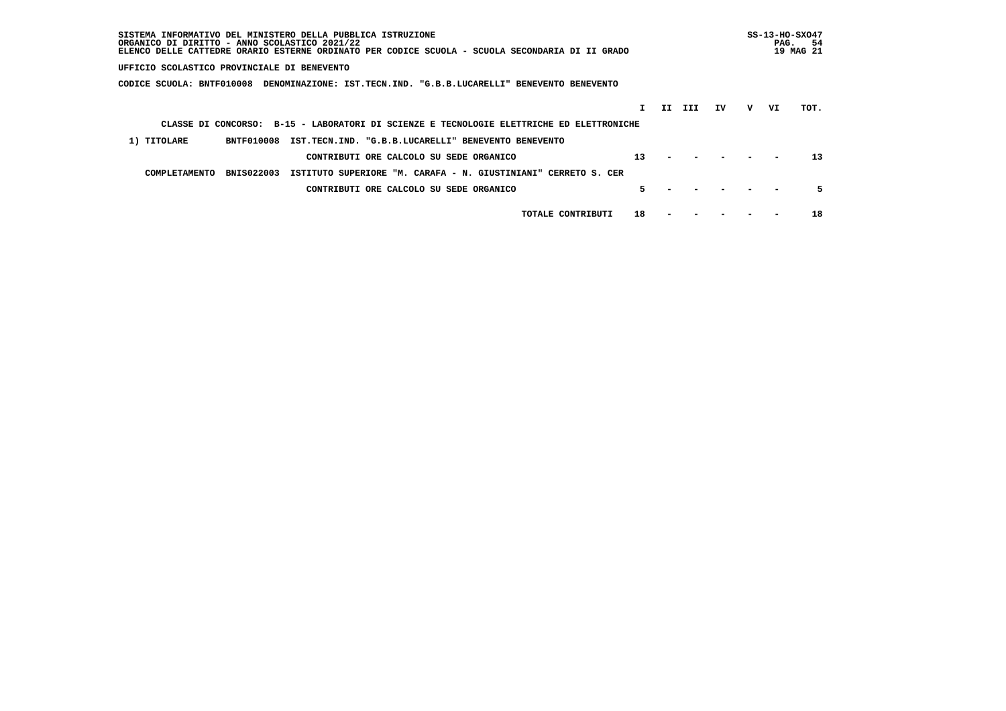| SISTEMA INFORMATIVO DEL MINISTERO DELLA PUBBLICA ISTRUZIONE<br>ORGANICO DI DIRITTO - ANNO SCOLASTICO 2021/22<br>ELENCO DELLE CATTEDRE ORARIO ESTERNE ORDINATO PER CODICE SCUOLA - SCUOLA SECONDARIA DI II GRADO |    |   | $SS-13-HO-SXO47$<br>PAG. | -54<br>19 MAG 21 |
|-----------------------------------------------------------------------------------------------------------------------------------------------------------------------------------------------------------------|----|---|--------------------------|------------------|
| UFFICIO SCOLASTICO PROVINCIALE DI BENEVENTO                                                                                                                                                                     |    |   |                          |                  |
| CODICE SCUOLA: BNTF010008<br>DENOMINAZIONE: IST.TECN.IND. "G.B.B.LUCARELLI" BENEVENTO BENEVENTO                                                                                                                 |    |   |                          |                  |
| II III                                                                                                                                                                                                          | IV | v | VI                       | TOT.             |
| CLASSE DI CONCORSO: B-15 - LABORATORI DI SCIENZE E TECNOLOGIE ELETTRICHE ED ELETTRONICHE                                                                                                                        |    |   |                          |                  |
| 1) TITOLARE<br><b>BNTF010008</b><br>IST.TECN.IND. "G.B.B.LUCARELLI" BENEVENTO BENEVENTO                                                                                                                         |    |   |                          |                  |
| 13<br>CONTRIBUTI ORE CALCOLO SU SEDE ORGANICO                                                                                                                                                                   |    |   |                          | 13               |
| <b>BNIS022003</b><br>ISTITUTO SUPERIORE "M. CARAFA - N. GIUSTINIANI"<br>COMPLETAMENTO<br>CERRETO S. CER                                                                                                         |    |   |                          |                  |
| 5.<br>CONTRIBUTI ORE CALCOLO SU SEDE ORGANICO                                                                                                                                                                   |    |   |                          | 5.               |
| 18<br>TOTALE CONTRIBUTI                                                                                                                                                                                         |    |   |                          | 18               |